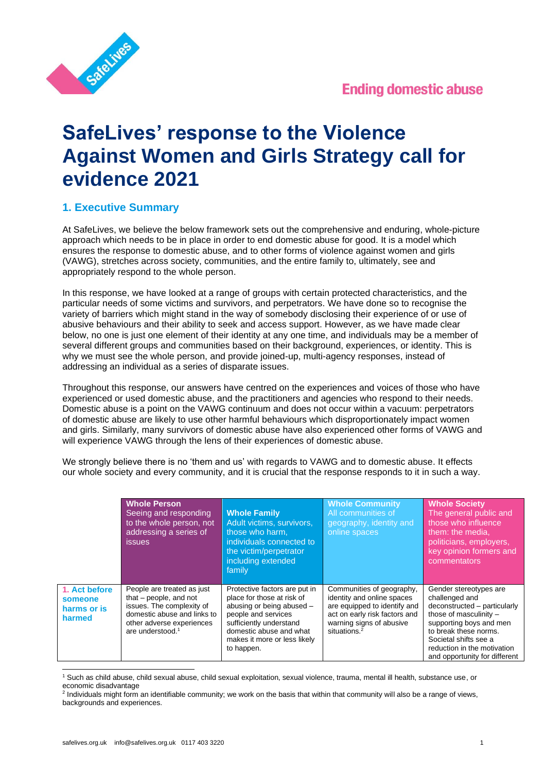



# **SafeLives' response to the Violence Against Women and Girls Strategy call for evidence 2021**

# **1. Executive Summary**

At SafeLives, we believe the below framework sets out the comprehensive and enduring, whole-picture approach which needs to be in place in order to end domestic abuse for good. It is a model which ensures the response to domestic abuse, and to other forms of violence against women and girls (VAWG), stretches across society, communities, and the entire family to, ultimately, see and appropriately respond to the whole person.

In this response, we have looked at a range of groups with certain protected characteristics, and the particular needs of some victims and survivors, and perpetrators. We have done so to recognise the variety of barriers which might stand in the way of somebody disclosing their experience of or use of abusive behaviours and their ability to seek and access support. However, as we have made clear below, no one is just one element of their identity at any one time, and individuals may be a member of several different groups and communities based on their background, experiences, or identity. This is why we must see the whole person, and provide joined-up, multi-agency responses, instead of addressing an individual as a series of disparate issues.

Throughout this response, our answers have centred on the experiences and voices of those who have experienced or used domestic abuse, and the practitioners and agencies who respond to their needs. Domestic abuse is a point on the VAWG continuum and does not occur within a vacuum: perpetrators of domestic abuse are likely to use other harmful behaviours which disproportionately impact women and girls. Similarly, many survivors of domestic abuse have also experienced other forms of VAWG and will experience VAWG through the lens of their experiences of domestic abuse.

We strongly believe there is no 'them and us' with regards to VAWG and to domestic abuse. It effects our whole society and every community, and it is crucial that the response responds to it in such a way.

|                                                   | <b>Whole Person</b><br>Seeing and responding<br>to the whole person, not<br>addressing a series of<br><i>issues</i>                                                             | <b>Whole Family</b><br>Adult victims, survivors,<br>those who harm,<br>individuals connected to<br>the victim/perpetrator<br>including extended<br>family                                                           | <b>Whole Community</b><br>All communities of<br>geography, identity and<br>online spaces                                                                                         | <b>Whole Society</b><br>The general public and<br>those who influence<br>them: the media,<br>politicians, employers,<br>key opinion formers and<br>commentators                                                                                 |
|---------------------------------------------------|---------------------------------------------------------------------------------------------------------------------------------------------------------------------------------|---------------------------------------------------------------------------------------------------------------------------------------------------------------------------------------------------------------------|----------------------------------------------------------------------------------------------------------------------------------------------------------------------------------|-------------------------------------------------------------------------------------------------------------------------------------------------------------------------------------------------------------------------------------------------|
| 1. Act before<br>someone<br>harms or is<br>harmed | People are treated as just<br>that $-$ people, and not<br>issues. The complexity of<br>domestic abuse and links to<br>other adverse experiences<br>are understood. <sup>1</sup> | Protective factors are put in<br>place for those at risk of<br>abusing or being abused -<br>people and services<br>sufficiently understand<br>domestic abuse and what<br>makes it more or less likely<br>to happen. | Communities of geography,<br>identity and online spaces<br>are equipped to identify and<br>act on early risk factors and<br>warning signs of abusive<br>situations. <sup>2</sup> | Gender stereotypes are<br>challenged and<br>deconstructed - particularly<br>those of masculinity -<br>supporting boys and men<br>to break these norms.<br>Societal shifts see a<br>reduction in the motivation<br>and opportunity for different |

<sup>1</sup> Such as child abuse, child sexual abuse, child sexual exploitation, sexual violence, trauma, mental ill health, substance use, or economic disadvantage<br><sup>2</sup> Individuals might form an identifiable community; we work on the basis that within that community will also be a range of views,

backgrounds and experiences.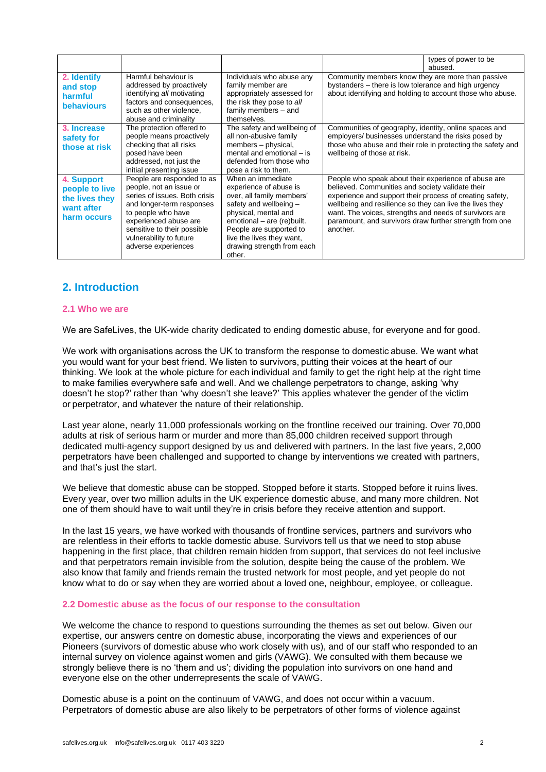|                                                                             |                                                                                                                                                                                                                                                     |                                                                                                                                                                                                                                                          | types of power to be<br>abused.                                                                                                                                                                                                                                                                                                                                   |  |
|-----------------------------------------------------------------------------|-----------------------------------------------------------------------------------------------------------------------------------------------------------------------------------------------------------------------------------------------------|----------------------------------------------------------------------------------------------------------------------------------------------------------------------------------------------------------------------------------------------------------|-------------------------------------------------------------------------------------------------------------------------------------------------------------------------------------------------------------------------------------------------------------------------------------------------------------------------------------------------------------------|--|
| 2. Identify<br>and stop<br>harmful<br><b>behaviours</b>                     | Harmful behaviour is<br>addressed by proactively<br>identifying all motivating<br>factors and consequences,<br>such as other violence,<br>abuse and criminality                                                                                     | Individuals who abuse any<br>family member are<br>appropriately assessed for<br>the risk they pose to all<br>family members - and<br>themselves.                                                                                                         | Community members know they are more than passive<br>bystanders – there is low tolerance and high urgency<br>about identifying and holding to account those who abuse.                                                                                                                                                                                            |  |
| 3. Increase<br>safety for<br>those at risk                                  | The protection offered to<br>people means proactively<br>checking that all risks<br>posed have been<br>addressed, not just the<br>initial presenting issue                                                                                          | The safety and wellbeing of<br>all non-abusive family<br>members - physical,<br>mental and emotional – is<br>defended from those who<br>pose a risk to them.                                                                                             | Communities of geography, identity, online spaces and<br>employers/ businesses understand the risks posed by<br>those who abuse and their role in protecting the safety and<br>wellbeing of those at risk.                                                                                                                                                        |  |
| 4. Support<br>people to live<br>the lives they<br>want after<br>harm occurs | People are responded to as<br>people, not an issue or<br>series of issues. Both crisis<br>and longer-term responses<br>to people who have<br>experienced abuse are<br>sensitive to their possible<br>vulnerability to future<br>adverse experiences | When an immediate<br>experience of abuse is<br>over, all family members'<br>safety and wellbeing -<br>physical, mental and<br>emotional - are (re)built.<br>People are supported to<br>live the lives they want,<br>drawing strength from each<br>other. | People who speak about their experience of abuse are<br>believed. Communities and society validate their<br>experience and support their process of creating safety,<br>wellbeing and resilience so they can live the lives they<br>want. The voices, strengths and needs of survivors are<br>paramount, and survivors draw further strength from one<br>another. |  |

# **2. Introduction**

#### **2.1 Who we are**

We are SafeLives, the UK-wide charity dedicated to ending domestic abuse, for everyone and for good.

We work with organisations across the UK to transform the response to domestic abuse. We want what you would want for your best friend. We listen to survivors, putting their voices at the heart of our thinking. We look at the whole picture for each individual and family to get the right help at the right time to make families everywhere safe and well. And we challenge perpetrators to change, asking 'why doesn't he stop?' rather than 'why doesn't she leave?' This applies whatever the gender of the victim or perpetrator, and whatever the nature of their relationship.

Last year alone, nearly 11,000 professionals working on the frontline received our training. Over 70,000 adults at risk of serious harm or murder and more than 85,000 children received support through dedicated multi-agency support designed by us and delivered with partners. In the last five years, 2,000 perpetrators have been challenged and supported to change by interventions we created with partners, and that's just the start.

We believe that domestic abuse can be stopped. Stopped before it starts. Stopped before it ruins lives. Every year, over two million adults in the UK experience domestic abuse, and many more children. Not one of them should have to wait until they're in crisis before they receive attention and support.

In the last 15 years, we have worked with thousands of frontline services, partners and survivors who are relentless in their efforts to tackle domestic abuse. Survivors tell us that we need to stop abuse happening in the first place, that children remain hidden from support, that services do not feel inclusive and that perpetrators remain invisible from the solution, despite being the cause of the problem. We also know that family and friends remain the trusted network for most people, and yet people do not know what to do or say when they are worried about a loved one, neighbour, employee, or colleague.

#### **2.2 Domestic abuse as the focus of our response to the consultation**

We welcome the chance to respond to questions surrounding the themes as set out below. Given our expertise, our answers centre on domestic abuse, incorporating the views and experiences of our Pioneers (survivors of domestic abuse who work closely with us), and of our staff who responded to an internal survey on violence against women and girls (VAWG). We consulted with them because we strongly believe there is no 'them and us'; dividing the population into survivors on one hand and everyone else on the other underrepresents the scale of VAWG.

Domestic abuse is a point on the continuum of VAWG, and does not occur within a vacuum. Perpetrators of domestic abuse are also likely to be perpetrators of other forms of violence against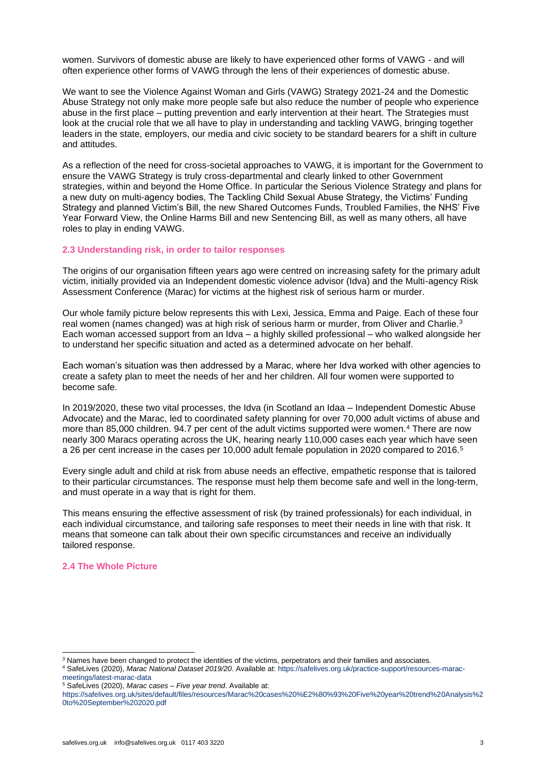women. Survivors of domestic abuse are likely to have experienced other forms of VAWG - and will often experience other forms of VAWG through the lens of their experiences of domestic abuse.

We want to see the Violence Against Woman and Girls (VAWG) Strategy 2021-24 and the Domestic Abuse Strategy not only make more people safe but also reduce the number of people who experience abuse in the first place – putting prevention and early intervention at their heart. The Strategies must look at the crucial role that we all have to play in understanding and tackling VAWG, bringing together leaders in the state, employers, our media and civic society to be standard bearers for a shift in culture and attitudes.

As a reflection of the need for cross-societal approaches to VAWG, it is important for the Government to ensure the VAWG Strategy is truly cross-departmental and clearly linked to other Government strategies, within and beyond the Home Office. In particular the Serious Violence Strategy and plans for a new duty on multi-agency bodies, The Tackling Child Sexual Abuse Strategy, the Victims' Funding Strategy and planned Victim's Bill, the new Shared Outcomes Funds, Troubled Families, the NHS' Five Year Forward View, the Online Harms Bill and new Sentencing Bill, as well as many others, all have roles to play in ending VAWG.

#### **2.3 Understanding risk, in order to tailor responses**

The origins of our organisation fifteen years ago were centred on increasing safety for the primary adult victim, initially provided via an Independent domestic violence advisor (Idva) and the Multi-agency Risk Assessment Conference (Marac) for victims at the highest risk of serious harm or murder.

Our whole family picture below represents this with Lexi, Jessica, Emma and Paige. Each of these four real women (names changed) was at high risk of serious harm or murder, from Oliver and Charlie.<sup>3</sup> Each woman accessed support from an Idva – a highly skilled professional – who walked alongside her to understand her specific situation and acted as a determined advocate on her behalf.

Each woman's situation was then addressed by a Marac, where her Idva worked with other agencies to create a safety plan to meet the needs of her and her children. All four women were supported to become safe.

In 2019/2020, these two vital processes, the Idva (in Scotland an Idaa – Independent Domestic Abuse Advocate) and the Marac, led to coordinated safety planning for over 70,000 adult victims of abuse and more than 85,000 children. 94.7 per cent of the adult victims supported were women.<sup>4</sup> There are now nearly 300 Maracs operating across the UK, hearing nearly 110,000 cases each year which have seen a 26 per cent increase in the cases per 10,000 adult female population in 2020 compared to 2016.<sup>5</sup>

Every single adult and child at risk from abuse needs an effective, empathetic response that is tailored to their particular circumstances. The response must help them become safe and well in the long-term, and must operate in a way that is right for them.

This means ensuring the effective assessment of risk (by trained professionals) for each individual, in each individual circumstance, and tailoring safe responses to meet their needs in line with that risk. It means that someone can talk about their own specific circumstances and receive an individually tailored response.

# **2.4 The Whole Picture**

<sup>&</sup>lt;sup>3</sup> Names have been changed to protect the identities of the victims, perpetrators and their families and associates.

<sup>4</sup> SafeLives (2020), *Marac National Dataset 2019/20*. Available at: [https://safelives.org.uk/practice-support/resources-marac](https://safelives.org.uk/practice-support/resources-marac-meetings/latest-marac-data)[meetings/latest-marac-data](https://safelives.org.uk/practice-support/resources-marac-meetings/latest-marac-data)

<sup>5</sup> SafeLives (2020), *Marac cases – Five year trend*. Available at:

[https://safelives.org.uk/sites/default/files/resources/Marac%20cases%20%E2%80%93%20Five%20year%20trend%20Analysis%2](https://safelives.org.uk/sites/default/files/resources/Marac%20cases%20%E2%80%93%20Five%20year%20trend%20Analysis%20to%20September%202020.pdf) [0to%20September%202020.pdf](https://safelives.org.uk/sites/default/files/resources/Marac%20cases%20%E2%80%93%20Five%20year%20trend%20Analysis%20to%20September%202020.pdf)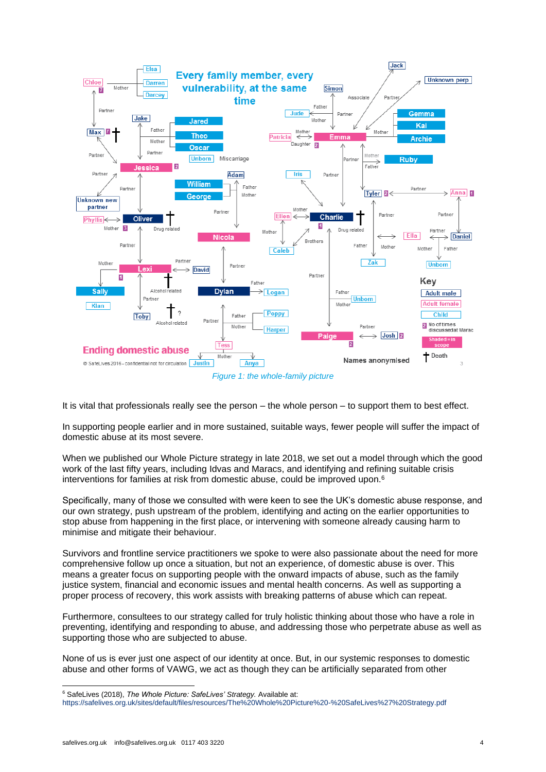

It is vital that professionals really see the person – the whole person – to support them to best effect.

In supporting people earlier and in more sustained, suitable ways, fewer people will suffer the impact of domestic abuse at its most severe.

When we published our Whole Picture strategy in late 2018, we set out a model through which the good work of the last fifty years, including Idvas and Maracs, and identifying and refining suitable crisis interventions for families at risk from domestic abuse, could be improved upon.<sup>6</sup>

Specifically, many of those we consulted with were keen to see the UK's domestic abuse response, and our own strategy, push upstream of the problem, identifying and acting on the earlier opportunities to stop abuse from happening in the first place, or intervening with someone already causing harm to minimise and mitigate their behaviour.

Survivors and frontline service practitioners we spoke to were also passionate about the need for more comprehensive follow up once a situation, but not an experience, of domestic abuse is over. This means a greater focus on supporting people with the onward impacts of abuse, such as the family justice system, financial and economic issues and mental health concerns. As well as supporting a proper process of recovery, this work assists with breaking patterns of abuse which can repeat.

Furthermore, consultees to our strategy called for truly holistic thinking about those who have a role in preventing, identifying and responding to abuse, and addressing those who perpetrate abuse as well as supporting those who are subjected to abuse.

None of us is ever just one aspect of our identity at once. But, in our systemic responses to domestic abuse and other forms of VAWG, we act as though they can be artificially separated from other

<sup>6</sup> SafeLives (2018), *The Whole Picture: SafeLives' Strategy.* Available at:

<https://safelives.org.uk/sites/default/files/resources/The%20Whole%20Picture%20-%20SafeLives%27%20Strategy.pdf>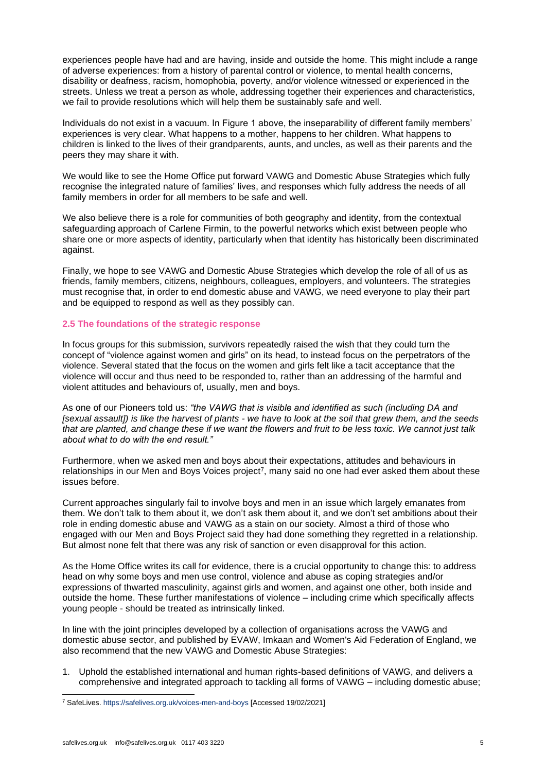experiences people have had and are having, inside and outside the home. This might include a range of adverse experiences: from a history of parental control or violence, to mental health concerns, disability or deafness, racism, homophobia, poverty, and/or violence witnessed or experienced in the streets. Unless we treat a person as whole, addressing together their experiences and characteristics, we fail to provide resolutions which will help them be sustainably safe and well.

Individuals do not exist in a vacuum. In Figure 1 above, the inseparability of different family members' experiences is very clear. What happens to a mother, happens to her children. What happens to children is linked to the lives of their grandparents, aunts, and uncles, as well as their parents and the peers they may share it with.

We would like to see the Home Office put forward VAWG and Domestic Abuse Strategies which fully recognise the integrated nature of families' lives, and responses which fully address the needs of all family members in order for all members to be safe and well.

We also believe there is a role for communities of both geography and identity, from the contextual safeguarding approach of Carlene Firmin, to the powerful networks which exist between people who share one or more aspects of identity, particularly when that identity has historically been discriminated against.

Finally, we hope to see VAWG and Domestic Abuse Strategies which develop the role of all of us as friends, family members, citizens, neighbours, colleagues, employers, and volunteers. The strategies must recognise that, in order to end domestic abuse and VAWG, we need everyone to play their part and be equipped to respond as well as they possibly can.

# **2.5 The foundations of the strategic response**

In focus groups for this submission, survivors repeatedly raised the wish that they could turn the concept of "violence against women and girls" on its head, to instead focus on the perpetrators of the violence. Several stated that the focus on the women and girls felt like a tacit acceptance that the violence will occur and thus need to be responded to, rather than an addressing of the harmful and violent attitudes and behaviours of, usually, men and boys.

As one of our Pioneers told us: *"the VAWG that is visible and identified as such (including DA and [sexual assault]) is like the harvest of plants - we have to look at the soil that grew them, and the seeds that are planted, and change these if we want the flowers and fruit to be less toxic. We cannot just talk about what to do with the end result."*

Furthermore, when we asked men and boys about their expectations, attitudes and behaviours in relationships in our Men and Boys Voices project<sup>7</sup>, many said no one had ever asked them about these issues before.

Current approaches singularly fail to involve boys and men in an issue which largely emanates from them. We don't talk to them about it, we don't ask them about it, and we don't set ambitions about their role in ending domestic abuse and VAWG as a stain on our society. Almost a third of those who engaged with our Men and Boys Project said they had done something they regretted in a relationship. But almost none felt that there was any risk of sanction or even disapproval for this action.

As the Home Office writes its call for evidence, there is a crucial opportunity to change this: to address head on why some boys and men use control, violence and abuse as coping strategies and/or expressions of thwarted masculinity, against girls and women, and against one other, both inside and outside the home. These further manifestations of violence – including crime which specifically affects young people - should be treated as intrinsically linked.

In line with the joint principles developed by a collection of organisations across the VAWG and domestic abuse sector, and published by EVAW, Imkaan and Women's Aid Federation of England, we also recommend that the new VAWG and Domestic Abuse Strategies:

1. Uphold the established international and human rights-based definitions of VAWG, and delivers a comprehensive and integrated approach to tackling all forms of VAWG – including domestic abuse;

<sup>7</sup> SafeLives. <https://safelives.org.uk/voices-men-and-boys> [Accessed 19/02/2021]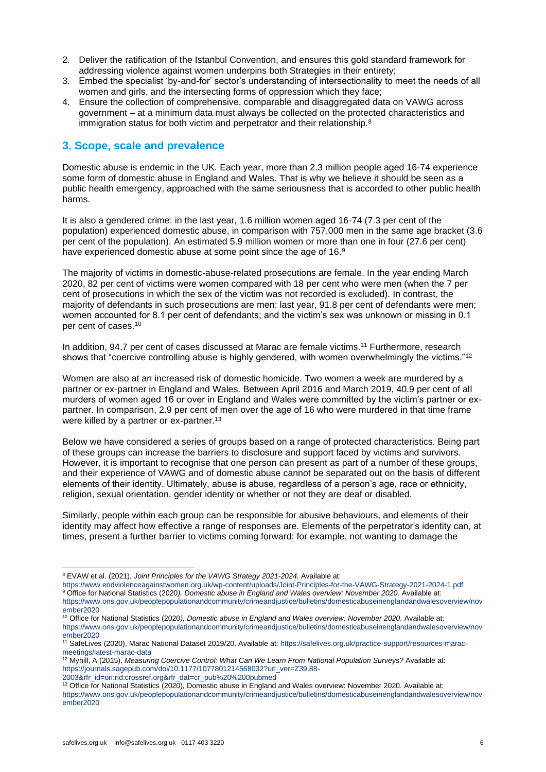- 2. Deliver the ratification of the Istanbul Convention, and ensures this gold standard framework for addressing violence against women underpins both Strategies in their entirety;
- 3. Embed the specialist 'by-and-for' sector's understanding of intersectionality to meet the needs of all women and girls, and the intersecting forms of oppression which they face;
- 4. Ensure the collection of comprehensive, comparable and disaggregated data on VAWG across government – at a minimum data must always be collected on the protected characteristics and immigration status for both victim and perpetrator and their relationship.<sup>8</sup>

# **3. Scope, scale and prevalence**

Domestic abuse is endemic in the UK. Each year, more than 2.3 million people aged 16-74 experience some form of domestic abuse in England and Wales. That is why we believe it should be seen as a public health emergency, approached with the same seriousness that is accorded to other public health harms.

It is also a gendered crime: in the last year, 1.6 million women aged 16-74 (7.3 per cent of the population) experienced domestic abuse, in comparison with 757,000 men in the same age bracket (3.6 per cent of the population). An estimated 5.9 million women or more than one in four (27.6 per cent) have experienced domestic abuse at some point since the age of 16.<sup>9</sup>

The majority of victims in domestic-abuse-related prosecutions are female. In the year ending March 2020, 82 per cent of victims were women compared with 18 per cent who were men (when the 7 per cent of prosecutions in which the sex of the victim was not recorded is excluded). In contrast, the majority of defendants in such prosecutions are men: last year, 91.8 per cent of defendants were men; women accounted for 8.1 per cent of defendants; and the victim's sex was unknown or missing in 0.1 per cent of cases.<sup>10</sup>

In addition, 94.7 per cent of cases discussed at Marac are female victims. <sup>11</sup> Furthermore, research shows that "coercive controlling abuse is highly gendered, with women overwhelmingly the victims."<sup>12</sup>

Women are also at an increased risk of domestic homicide. Two women a week are murdered by a partner or ex-partner in England and Wales. Between April 2016 and March 2019, 40.9 per cent of all murders of women aged 16 or over in England and Wales were committed by the victim's partner or expartner. In comparison, 2.9 per cent of men over the age of 16 who were murdered in that time frame were killed by a partner or ex-partner.<sup>13</sup>

Below we have considered a series of groups based on a range of protected characteristics. Being part of these groups can increase the barriers to disclosure and support faced by victims and survivors. However, it is important to recognise that one person can present as part of a number of these groups, and their experience of VAWG and of domestic abuse cannot be separated out on the basis of different elements of their identity. Ultimately, abuse is abuse, regardless of a person's age, race or ethnicity, religion, sexual orientation, gender identity or whether or not they are deaf or disabled.

Similarly, people within each group can be responsible for abusive behaviours, and elements of their identity may affect how effective a range of responses are. Elements of the perpetrator's identity can, at times, present a further barrier to victims coming forward: for example, not wanting to damage the

[2003&rfr\\_id=ori:rid:crossref.org&rfr\\_dat=cr\\_pub%20%200pubmed](https://journals.sagepub.com/doi/10.1177/1077801214568032?url_ver=Z39.88-2003&rfr_id=ori:rid:crossref.org&rfr_dat=cr_pub%20%200pubmed)

<sup>8</sup> EVAW et al. (2021), *Joint Principles for the VAWG Strategy 2021-2024.* Available at:

<https://www.endviolenceagainstwomen.org.uk/wp-content/uploads/Joint-Principles-for-the-VAWG-Strategy-2021-2024-1.pdf>

<sup>&</sup>lt;sup>9</sup> Office for National Statistics (2020), Domestic abuse in England and Wales overview: November 2020. Available at: [https://www.ons.gov.uk/peoplepopulationandcommunity/crimeandjustice/bulletins/domesticabuseinenglandandwalesoverview/nov](https://www.ons.gov.uk/peoplepopulationandcommunity/crimeandjustice/bulletins/domesticabuseinenglandandwalesoverview/november2020)

[ember2020](https://www.ons.gov.uk/peoplepopulationandcommunity/crimeandjustice/bulletins/domesticabuseinenglandandwalesoverview/november2020) <sup>10</sup> Office for National Statistics (2020), Domestic abuse in England and Wales overview: November 2020, Available at:

[https://www.ons.gov.uk/peoplepopulationandcommunity/crimeandjustice/bulletins/domesticabuseinenglandandwalesoverview/nov](https://www.ons.gov.uk/peoplepopulationandcommunity/crimeandjustice/bulletins/domesticabuseinenglandandwalesoverview/november2020) [ember2020](https://www.ons.gov.uk/peoplepopulationandcommunity/crimeandjustice/bulletins/domesticabuseinenglandandwalesoverview/november2020)

<sup>11</sup> SafeLives (2020), Marac National Dataset 2019/20. Available at: [https://safelives.org.uk/practice-support/resources-marac](https://safelives.org.uk/practice-support/resources-marac-meetings/latest-marac-data)[meetings/latest-marac-data](https://safelives.org.uk/practice-support/resources-marac-meetings/latest-marac-data)

<sup>12</sup> Myhill, A (2015), *Measuring Coercive Control: What Can We Learn From National Population Surveys?* Available at: [https://journals.sagepub.com/doi/10.1177/1077801214568032?url\\_ver=Z39.88-](https://journals.sagepub.com/doi/10.1177/1077801214568032?url_ver=Z39.88-2003&rfr_id=ori:rid:crossref.org&rfr_dat=cr_pub%20%200pubmed)

<sup>&</sup>lt;sup>13</sup> Office for National Statistics (2020), Domestic abuse in England and Wales overview: November 2020. Available at: [https://www.ons.gov.uk/peoplepopulationandcommunity/crimeandjustice/bulletins/domesticabuseinenglandandwalesoverview/nov](https://www.ons.gov.uk/peoplepopulationandcommunity/crimeandjustice/bulletins/domesticabuseinenglandandwalesoverview/november2020) [ember2020](https://www.ons.gov.uk/peoplepopulationandcommunity/crimeandjustice/bulletins/domesticabuseinenglandandwalesoverview/november2020)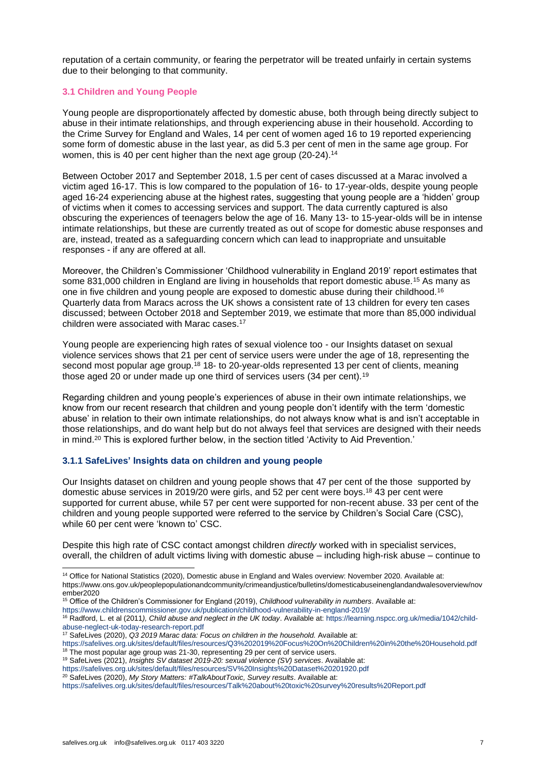reputation of a certain community, or fearing the perpetrator will be treated unfairly in certain systems due to their belonging to that community.

#### **3.1 Children and Young People**

Young people are disproportionately affected by domestic abuse, both through being directly subject to abuse in their intimate relationships, and through experiencing abuse in their household. According to the Crime Survey for England and Wales, 14 per cent of women aged 16 to 19 reported experiencing some form of domestic abuse in the last year, as did 5.3 per cent of men in the same age group. For women, this is 40 per cent higher than the next age group (20-24).<sup>14</sup>

Between October 2017 and September 2018, 1.5 per cent of cases discussed at a Marac involved a victim aged 16-17. This is low compared to the population of 16- to 17-year-olds, despite young people aged 16-24 experiencing abuse at the highest rates, suggesting that young people are a 'hidden' group of victims when it comes to accessing services and support. The data currently captured is also obscuring the experiences of teenagers below the age of 16. Many 13- to 15-year-olds will be in intense intimate relationships, but these are currently treated as out of scope for domestic abuse responses and are, instead, treated as a safeguarding concern which can lead to inappropriate and unsuitable responses - if any are offered at all.

Moreover, the Children's Commissioner 'Childhood vulnerability in England 2019' report estimates that some 831,000 children in England are living in households that report domestic abuse.<sup>15</sup> As many as one in five children and young people are exposed to domestic abuse during their childhood.<sup>16</sup> Quarterly data from Maracs across the UK shows a consistent rate of 13 children for every ten cases discussed; between October 2018 and September 2019, we estimate that more than 85,000 individual children were associated with Marac cases.<sup>17</sup>

Young people are experiencing high rates of sexual violence too - our Insights dataset on sexual violence services shows that 21 per cent of service users were under the age of 18, representing the second most popular age group.<sup>18</sup> 18- to 20-year-olds represented 13 per cent of clients, meaning those aged 20 or under made up one third of services users (34 per cent).<sup>19</sup>

Regarding children and young people's experiences of abuse in their own intimate relationships, we know from our recent research that children and young people don't identify with the term 'domestic abuse' in relation to their own intimate relationships, do not always know what is and isn't acceptable in those relationships, and do want help but do not always feel that services are designed with their needs in mind.<sup>20</sup> This is explored further below, in the section titled 'Activity to Aid Prevention.'

# **3.1.1 SafeLives' Insights data on children and young people**

Our Insights dataset on children and young people shows that 47 per cent of the those supported by domestic abuse services in 2019/20 were girls, and 52 per cent were boys.<sup>18</sup> 43 per cent were supported for current abuse, while 57 per cent were supported for non-recent abuse. 33 per cent of the children and young people supported were referred to the service by Children's Social Care (CSC), while 60 per cent were 'known to' CSC.

Despite this high rate of CSC contact amongst children *directly* worked with in specialist services, overall, the children of adult victims living with domestic abuse – including high-risk abuse – continue to

<sup>15</sup> Office of the Children's Commissioner for England (2019), *Childhood vulnerability in numbers*. Available at:

<https://www.childrenscommissioner.gov.uk/publication/childhood-vulnerability-in-england-2019/>

<sup>17</sup> SafeLives (2020), *Q3 2019 Marac data: Focus on children in the household.* Available at:

<sup>&</sup>lt;sup>14</sup> Office for National Statistics (2020), Domestic abuse in England and Wales overview: November 2020. Available at: https://www.ons.gov.uk/peoplepopulationandcommunity/crimeandjustice/bulletins/domesticabuseinenglandandwalesoverview/nov ember2020

<sup>16</sup> Radford, L. et al (2011*), Child abuse and neglect in the UK today*. Available at[: https://learning.nspcc.org.uk/media/1042/child](https://learning.nspcc.org.uk/media/1042/child-abuse-neglect-uk-today-research-report.pdf)[abuse-neglect-uk-today-research-report.pdf](https://learning.nspcc.org.uk/media/1042/child-abuse-neglect-uk-today-research-report.pdf)

<https://safelives.org.uk/sites/default/files/resources/Q3%202019%20Focus%20On%20Children%20in%20the%20Household.pdf> <sup>18</sup> The most popular age group was 21-30, representing 29 per cent of service users.

<sup>19</sup> SafeLives (2021), *Insights SV dataset 2019-20: sexual violence (SV) services*. Available at:

<https://safelives.org.uk/sites/default/files/resources/SV%20Insights%20Dataset%20201920.pdf>

<sup>&</sup>lt;sup>20</sup> SafeLives (2020), My Story Matters: #TalkAboutToxic, Survey results. Available at:

<https://safelives.org.uk/sites/default/files/resources/Talk%20about%20toxic%20survey%20results%20Report.pdf>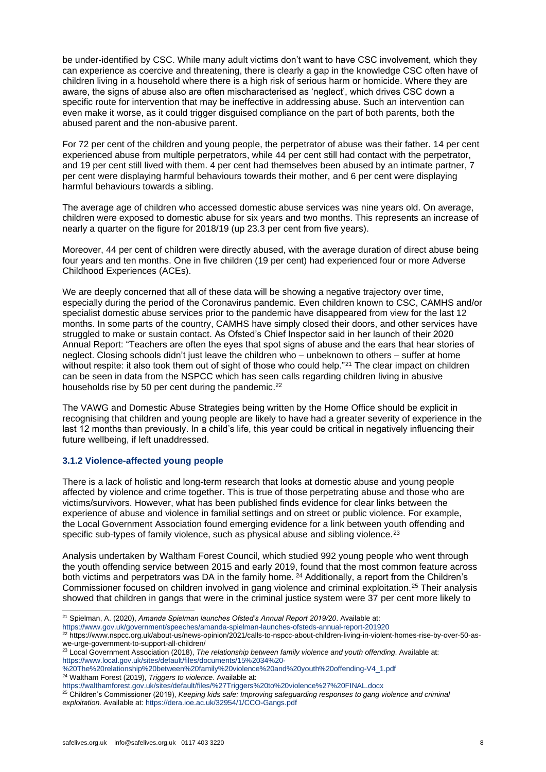be under-identified by CSC. While many adult victims don't want to have CSC involvement, which they can experience as coercive and threatening, there is clearly a gap in the knowledge CSC often have of children living in a household where there is a high risk of serious harm or homicide. Where they are aware, the signs of abuse also are often mischaracterised as 'neglect', which drives CSC down a specific route for intervention that may be ineffective in addressing abuse. Such an intervention can even make it worse, as it could trigger disguised compliance on the part of both parents, both the abused parent and the non-abusive parent.

For 72 per cent of the children and young people, the perpetrator of abuse was their father. 14 per cent experienced abuse from multiple perpetrators, while 44 per cent still had contact with the perpetrator, and 19 per cent still lived with them. 4 per cent had themselves been abused by an intimate partner, 7 per cent were displaying harmful behaviours towards their mother, and 6 per cent were displaying harmful behaviours towards a sibling.

The average age of children who accessed domestic abuse services was nine years old. On average, children were exposed to domestic abuse for six years and two months. This represents an increase of nearly a quarter on the figure for 2018/19 (up 23.3 per cent from five years).

Moreover, 44 per cent of children were directly abused, with the average duration of direct abuse being four years and ten months. One in five children (19 per cent) had experienced four or more Adverse Childhood Experiences (ACEs).

We are deeply concerned that all of these data will be showing a negative trajectory over time, especially during the period of the Coronavirus pandemic. Even children known to CSC, CAMHS and/or specialist domestic abuse services prior to the pandemic have disappeared from view for the last 12 months. In some parts of the country, CAMHS have simply closed their doors, and other services have struggled to make or sustain contact. As Ofsted's Chief Inspector said in her launch of their 2020 Annual Report: "Teachers are often the eyes that spot signs of abuse and the ears that hear stories of neglect. Closing schools didn't just leave the children who – unbeknown to others – suffer at home without respite: it also took them out of sight of those who could help."<sup>21</sup> The clear impact on children can be seen in data from the NSPCC which has seen calls regarding children living in abusive households rise by 50 per cent during the pandemic.<sup>22</sup>

The VAWG and Domestic Abuse Strategies being written by the Home Office should be explicit in recognising that children and young people are likely to have had a greater severity of experience in the last 12 months than previously. In a child's life, this year could be critical in negatively influencing their future wellbeing, if left unaddressed.

# **3.1.2 Violence-affected young people**

There is a lack of holistic and long-term research that looks at domestic abuse and young people affected by violence and crime together. This is true of those perpetrating abuse and those who are victims/survivors. However, what has been published finds evidence for clear links between the experience of abuse and violence in familial settings and on street or public violence. For example, the Local Government Association found emerging evidence for a link between youth offending and specific sub-types of family violence, such as physical abuse and sibling violence.<sup>23</sup>

Analysis undertaken by Waltham Forest Council, which studied 992 young people who went through the youth offending service between 2015 and early 2019, found that the most common feature across both victims and perpetrators was DA in the family home.<sup>24</sup> Additionally, a report from the Children's Commissioner focused on children involved in gang violence and criminal exploitation.<sup>25</sup> Their analysis showed that children in gangs that were in the criminal justice system were 37 per cent more likely to

<sup>21</sup> Spielman, A. (2020), *Amanda Spielman launches Ofsted's Annual Report 2019/20*. Available at:

<https://www.gov.uk/government/speeches/amanda-spielman-launches-ofsteds-annual-report-201920>

<sup>22</sup> https://www.nspcc.org.uk/about-us/news-opinion/2021/calls-to-nspcc-about-children-living-in-violent-homes-rise-by-over-50-aswe-urge-government-to-support-all-children/

<sup>23</sup> Local Government Association (2018), *The relationship between family violence and youth offending*. Available at: [https://www.local.gov.uk/sites/default/files/documents/15%2034%20-](https://www.local.gov.uk/sites/default/files/documents/15%2034%20-%20The%20relationship%20between%20family%20violence%20and%20youth%20offending-V4_1.pdf)

[<sup>%20</sup>The%20relationship%20between%20family%20violence%20and%20youth%20offending-V4\\_1.pdf](https://www.local.gov.uk/sites/default/files/documents/15%2034%20-%20The%20relationship%20between%20family%20violence%20and%20youth%20offending-V4_1.pdf) <sup>24</sup> Waltham Forest (2019), *Triggers to violence*. Available at:

<https://walthamforest.gov.uk/sites/default/files/%27Triggers%20to%20violence%27%20FINAL.docx>

<sup>25</sup> Children's Commissioner (2019), *Keeping kids safe: Improving safeguarding responses to gang violence and criminal exploitation.* Available at:<https://dera.ioe.ac.uk/32954/1/CCO-Gangs.pdf>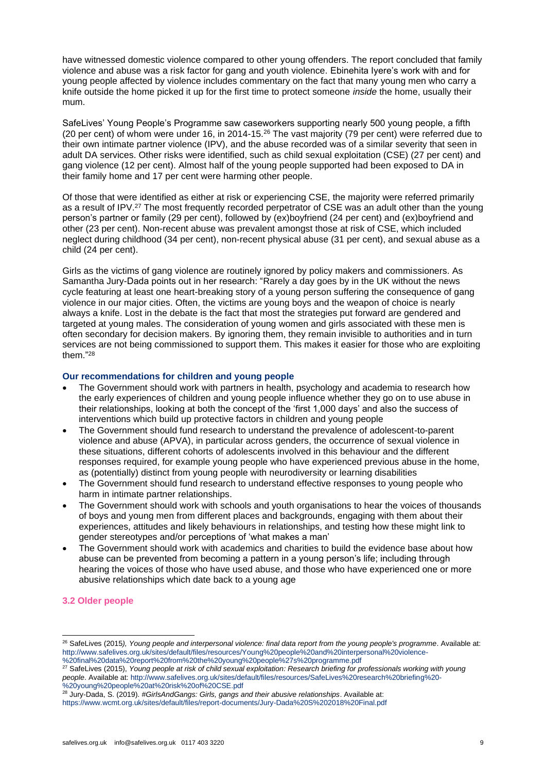have witnessed domestic violence compared to other young offenders. The report concluded that family violence and abuse was a risk factor for gang and youth violence. Ebinehita Iyere's work with and for young people affected by violence includes commentary on the fact that many young men who carry a knife outside the home picked it up for the first time to protect someone *inside* the home, usually their mum.

SafeLives' Young People's Programme saw caseworkers supporting nearly 500 young people, a fifth (20 per cent) of whom were under 16, in 2014-15.<sup>26</sup> The vast majority (79 per cent) were referred due to their own intimate partner violence (IPV), and the abuse recorded was of a similar severity that seen in adult DA services. Other risks were identified, such as child sexual exploitation (CSE) (27 per cent) and gang violence (12 per cent). Almost half of the young people supported had been exposed to DA in their family home and 17 per cent were harming other people.

Of those that were identified as either at risk or experiencing CSE, the majority were referred primarily as a result of IPV.<sup>27</sup> The most frequently recorded perpetrator of CSE was an adult other than the young person's partner or family (29 per cent), followed by (ex)boyfriend (24 per cent) and (ex)boyfriend and other (23 per cent). Non-recent abuse was prevalent amongst those at risk of CSE, which included neglect during childhood (34 per cent), non-recent physical abuse (31 per cent), and sexual abuse as a child (24 per cent).

Girls as the victims of gang violence are routinely ignored by policy makers and commissioners. As Samantha Jury-Dada points out in her research: "Rarely a day goes by in the UK without the news cycle featuring at least one heart-breaking story of a young person suffering the consequence of gang violence in our major cities. Often, the victims are young boys and the weapon of choice is nearly always a knife. Lost in the debate is the fact that most the strategies put forward are gendered and targeted at young males. The consideration of young women and girls associated with these men is often secondary for decision makers. By ignoring them, they remain invisible to authorities and in turn services are not being commissioned to support them. This makes it easier for those who are exploiting them." 28

# **Our recommendations for children and young people**

- The Government should work with partners in health, psychology and academia to research how the early experiences of children and young people influence whether they go on to use abuse in their relationships, looking at both the concept of the 'first 1,000 days' and also the success of interventions which build up protective factors in children and young people
- The Government should fund research to understand the prevalence of adolescent-to-parent violence and abuse (APVA), in particular across genders, the occurrence of sexual violence in these situations, different cohorts of adolescents involved in this behaviour and the different responses required, for example young people who have experienced previous abuse in the home, as (potentially) distinct from young people with neurodiversity or learning disabilities
- The Government should fund research to understand effective responses to young people who harm in intimate partner relationships.
- The Government should work with schools and youth organisations to hear the voices of thousands of boys and young men from different places and backgrounds, engaging with them about their experiences, attitudes and likely behaviours in relationships, and testing how these might link to gender stereotypes and/or perceptions of 'what makes a man'
- The Government should work with academics and charities to build the evidence base about how abuse can be prevented from becoming a pattern in a young person's life; including through hearing the voices of those who have used abuse, and those who have experienced one or more abusive relationships which date back to a young age

# **3.2 Older people**

<sup>27</sup> SafeLives (2015), *Young people at risk of child sexual exploitation: Research briefing for professionals working with young people*. Available at: [http://www.safelives.org.uk/sites/default/files/resources/SafeLives%20research%20briefing%20-](http://www.safelives.org.uk/sites/default/files/resources/SafeLives%20research%20briefing%20-%20young%20people%20at%20risk%20of%20CSE.pdf) [%20young%20people%20at%20risk%20of%20CSE.pdf](http://www.safelives.org.uk/sites/default/files/resources/SafeLives%20research%20briefing%20-%20young%20people%20at%20risk%20of%20CSE.pdf)

<sup>26</sup> SafeLives (2015*), Young people and interpersonal violence: final data report from the young people's programme*. Available at: [http://www.safelives.org.uk/sites/default/files/resources/Young%20people%20and%20interpersonal%20violence-](http://www.safelives.org.uk/sites/default/files/resources/Young%20people%20and%20interpersonal%20violence-%20final%20data%20report%20from%20the%20young%20people%27s%20programme.pdf)

[<sup>%20</sup>final%20data%20report%20from%20the%20young%20people%27s%20programme.pdf](http://www.safelives.org.uk/sites/default/files/resources/Young%20people%20and%20interpersonal%20violence-%20final%20data%20report%20from%20the%20young%20people%27s%20programme.pdf)

<sup>28</sup> Jury-Dada, S. (2019). *#GirlsAndGangs: Girls, gangs and their abusive relationships*. Available at:

<https://www.wcmt.org.uk/sites/default/files/report-documents/Jury-Dada%20S%202018%20Final.pdf>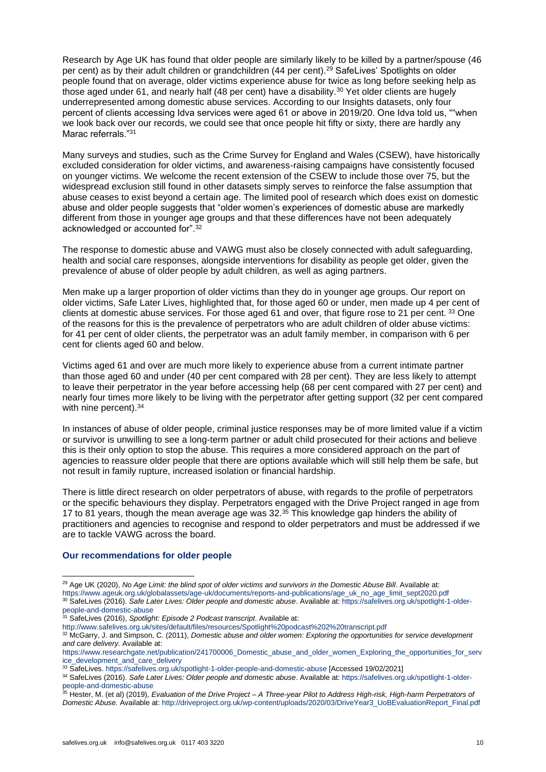Research by Age UK has found that older people are similarly likely to be killed by a partner/spouse (46 per cent) as by their adult children or grandchildren (44 per cent).<sup>29</sup> SafeLives' Spotlights on older people found that on average, older victims experience abuse for twice as long before seeking help as those aged under 61, and nearly half (48 per cent) have a disability.<sup>30</sup> Yet older clients are hugely underrepresented among domestic abuse services. According to our Insights datasets, only four percent of clients accessing Idva services were aged 61 or above in 2019/20. One Idva told us, ""when we look back over our records, we could see that once people hit fifty or sixty, there are hardly any Marac referrals."<sup>31</sup>

Many surveys and studies, such as the Crime Survey for England and Wales (CSEW), have historically excluded consideration for older victims, and awareness-raising campaigns have consistently focused on younger victims. We welcome the recent extension of the CSEW to include those over 75, but the widespread exclusion still found in other datasets simply serves to reinforce the false assumption that abuse ceases to exist beyond a certain age. The limited pool of research which does exist on domestic abuse and older people suggests that "older women's experiences of domestic abuse are markedly different from those in younger age groups and that these differences have not been adequately acknowledged or accounted for".<sup>32</sup>

The response to domestic abuse and VAWG must also be closely connected with adult safeguarding, health and social care responses, alongside interventions for disability as people get older, given the prevalence of abuse of older people by adult children, as well as aging partners.

Men make up a larger proportion of older victims than they do in younger age groups. Our report on older victims, Safe Later Lives, highlighted that, for those aged 60 or under, men made up 4 per cent of clients at domestic abuse services. For those aged 61 and over, that figure rose to 21 per cent. 33 One of the reasons for this is the prevalence of perpetrators who are adult children of older abuse victims: for 41 per cent of older clients, the perpetrator was an adult family member, in comparison with 6 per cent for clients aged 60 and below.

Victims aged 61 and over are much more likely to experience abuse from a current intimate partner than those aged 60 and under (40 per cent compared with 28 per cent). They are less likely to attempt to leave their perpetrator in the year before accessing help (68 per cent compared with 27 per cent) and nearly four times more likely to be living with the perpetrator after getting support (32 per cent compared with nine percent).<sup>34</sup>

In instances of abuse of older people, criminal justice responses may be of more limited value if a victim or survivor is unwilling to see a long-term partner or adult child prosecuted for their actions and believe this is their only option to stop the abuse. This requires a more considered approach on the part of agencies to reassure older people that there are options available which will still help them be safe, but not result in family rupture, increased isolation or financial hardship.

There is little direct research on older perpetrators of abuse, with regards to the profile of perpetrators or the specific behaviours they display. Perpetrators engaged with the Drive Project ranged in age from 17 to 81 years, though the mean average age was 32.<sup>35</sup> This knowledge gap hinders the ability of practitioners and agencies to recognise and respond to older perpetrators and must be addressed if we are to tackle VAWG across the board.

#### **Our recommendations for older people**

<sup>30</sup> SafeLives (2016). *Safe Later Lives: Older people and domestic abuse*. Available at: [https://safelives.org.uk/spotlight-1-older](https://safelives.org.uk/spotlight-1-older-people-and-domestic-abuse)[people-and-domestic-abuse](https://safelives.org.uk/spotlight-1-older-people-and-domestic-abuse)

<sup>&</sup>lt;sup>29</sup> Age UK (2020), *No Age Limit: the blind spot of older victims and survivors in the Domestic Abuse Bill. Available at:* [https://www.ageuk.org.uk/globalassets/age-uk/documents/reports-and-publications/age\\_uk\\_no\\_age\\_limit\\_sept2020.pdf](https://www.ageuk.org.uk/globalassets/age-uk/documents/reports-and-publications/age_uk_no_age_limit_sept2020.pdf)

<sup>31</sup> SafeLives (2016), *Spotlight: Episode 2 Podcast transcript*. Available at:

<http://www.safelives.org.uk/sites/default/files/resources/Spotlight%20podcast%202%20transcript.pdf>

<sup>32</sup> McGarry, J. and Simpson, C. (2011), *Domestic abuse and older women: Exploring the opportunities for service development and care delivery.* Available at:

[https://www.researchgate.net/publication/241700006\\_Domestic\\_abuse\\_and\\_older\\_women\\_Exploring\\_the\\_opportunities\\_for\\_serv](https://www.researchgate.net/publication/241700006_Domestic_abuse_and_older_women_Exploring_the_opportunities_for_service_development_and_care_delivery) [ice\\_development\\_and\\_care\\_delivery](https://www.researchgate.net/publication/241700006_Domestic_abuse_and_older_women_Exploring_the_opportunities_for_service_development_and_care_delivery)

<sup>33</sup> SafeLives[. https://safelives.org.uk/spotlight-1-older-people-and-domestic-abuse](https://safelives.org.uk/spotlight-1-older-people-and-domestic-abuse) [Accessed 19/02/2021]

<sup>34</sup> SafeLives (2016). *Safe Later Lives: Older people and domestic abuse*. Available at: [https://safelives.org.uk/spotlight-1-older](https://safelives.org.uk/spotlight-1-older-people-and-domestic-abuse)[people-and-domestic-abuse](https://safelives.org.uk/spotlight-1-older-people-and-domestic-abuse)

<sup>35</sup> Hester, M. (et al) (2019), *Evaluation of the Drive Project – A Three-year Pilot to Address High-risk, High-harm Perpetrators of Domestic Abuse.* Available at: [http://driveproject.org.uk/wp-content/uploads/2020/03/DriveYear3\\_UoBEvaluationReport\\_Final.pdf](http://driveproject.org.uk/wp-content/uploads/2020/03/DriveYear3_UoBEvaluationReport_Final.pdf)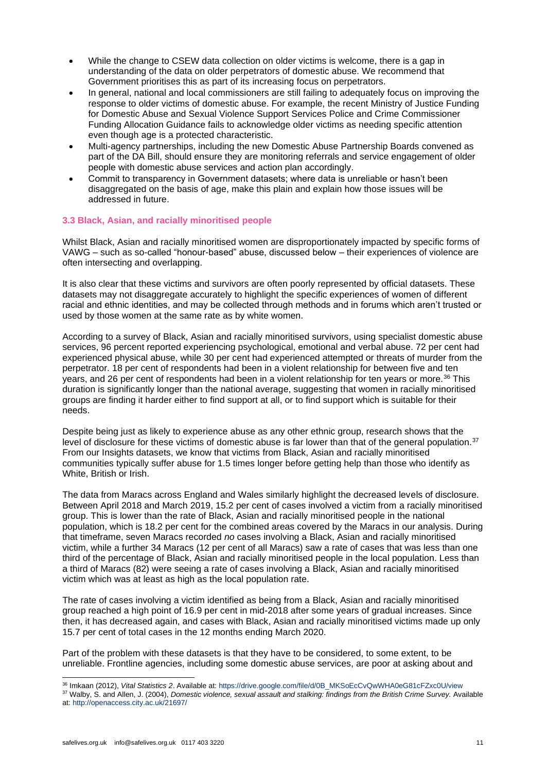- While the change to CSEW data collection on older victims is welcome, there is a gap in understanding of the data on older perpetrators of domestic abuse. We recommend that Government prioritises this as part of its increasing focus on perpetrators.
- In general, national and local commissioners are still failing to adequately focus on improving the response to older victims of domestic abuse. For example, the recent Ministry of Justice Funding for Domestic Abuse and Sexual Violence Support Services Police and Crime Commissioner Funding Allocation Guidance fails to acknowledge older victims as needing specific attention even though age is a protected characteristic.
- Multi-agency partnerships, including the new Domestic Abuse Partnership Boards convened as part of the DA Bill, should ensure they are monitoring referrals and service engagement of older people with domestic abuse services and action plan accordingly.
- Commit to transparency in Government datasets; where data is unreliable or hasn't been disaggregated on the basis of age, make this plain and explain how those issues will be addressed in future.

# **3.3 Black, Asian, and racially minoritised people**

Whilst Black, Asian and racially minoritised women are disproportionately impacted by specific forms of VAWG – such as so-called "honour-based" abuse, discussed below – their experiences of violence are often intersecting and overlapping.

It is also clear that these victims and survivors are often poorly represented by official datasets. These datasets may not disaggregate accurately to highlight the specific experiences of women of different racial and ethnic identities, and may be collected through methods and in forums which aren't trusted or used by those women at the same rate as by white women.

According to a survey of Black, Asian and racially minoritised survivors, using specialist domestic abuse services, 96 percent reported experiencing psychological, emotional and verbal abuse. 72 per cent had experienced physical abuse, while 30 per cent had experienced attempted or threats of murder from the perpetrator. 18 per cent of respondents had been in a violent relationship for between five and ten years, and 26 per cent of respondents had been in a violent relationship for ten years or more.<sup>36</sup> This duration is significantly longer than the national average, suggesting that women in racially minoritised groups are finding it harder either to find support at all, or to find support which is suitable for their needs.

Despite being just as likely to experience abuse as any other ethnic group, research shows that the level of disclosure for these victims of domestic abuse is far lower than that of the general population.<sup>37</sup> From our Insights datasets, we know that victims from Black, Asian and racially minoritised communities typically suffer abuse for 1.5 times longer before getting help than those who identify as White, British or Irish.

The data from Maracs across England and Wales similarly highlight the decreased levels of disclosure. Between April 2018 and March 2019, 15.2 per cent of cases involved a victim from a racially minoritised group. This is lower than the rate of Black, Asian and racially minoritised people in the national population, which is 18.2 per cent for the combined areas covered by the Maracs in our analysis. During that timeframe, seven Maracs recorded *no* cases involving a Black, Asian and racially minoritised victim, while a further 34 Maracs (12 per cent of all Maracs) saw a rate of cases that was less than one third of the percentage of Black, Asian and racially minoritised people in the local population. Less than a third of Maracs (82) were seeing a rate of cases involving a Black, Asian and racially minoritised victim which was at least as high as the local population rate.

The rate of cases involving a victim identified as being from a Black, Asian and racially minoritised group reached a high point of 16.9 per cent in mid-2018 after some years of gradual increases. Since then, it has decreased again, and cases with Black, Asian and racially minoritised victims made up only 15.7 per cent of total cases in the 12 months ending March 2020.

Part of the problem with these datasets is that they have to be considered, to some extent, to be unreliable. Frontline agencies, including some domestic abuse services, are poor at asking about and

<sup>36</sup> Imkaan (2012), *Vital Statistics 2*. Available at: [https://drive.google.com/file/d/0B\\_MKSoEcCvQwWHA0eG81cFZxc0U/view](https://drive.google.com/file/d/0B_MKSoEcCvQwWHA0eG81cFZxc0U/view) <sup>37</sup> Walby, S. and Allen, J. (2004), *Domestic violence, sexual assault and stalking: findings from the British Crime Survey.* Available at[: http://openaccess.city.ac.uk/21697/](http://openaccess.city.ac.uk/21697/)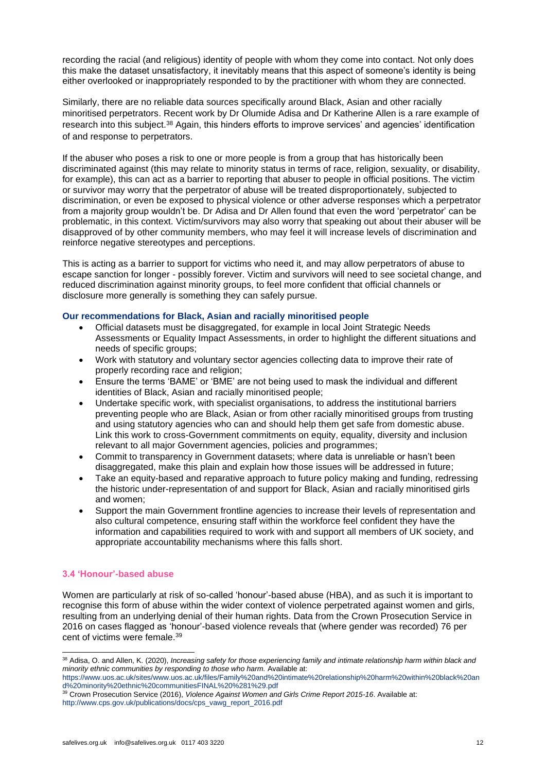recording the racial (and religious) identity of people with whom they come into contact. Not only does this make the dataset unsatisfactory, it inevitably means that this aspect of someone's identity is being either overlooked or inappropriately responded to by the practitioner with whom they are connected.

Similarly, there are no reliable data sources specifically around Black, Asian and other racially minoritised perpetrators. Recent work by Dr Olumide Adisa and Dr Katherine Allen is a rare example of research into this subject.<sup>38</sup> Again, this hinders efforts to improve services' and agencies' identification of and response to perpetrators.

If the abuser who poses a risk to one or more people is from a group that has historically been discriminated against (this may relate to minority status in terms of race, religion, sexuality, or disability, for example), this can act as a barrier to reporting that abuser to people in official positions. The victim or survivor may worry that the perpetrator of abuse will be treated disproportionately, subjected to discrimination, or even be exposed to physical violence or other adverse responses which a perpetrator from a majority group wouldn't be. Dr Adisa and Dr Allen found that even the word 'perpetrator' can be problematic, in this context. Victim/survivors may also worry that speaking out about their abuser will be disapproved of by other community members, who may feel it will increase levels of discrimination and reinforce negative stereotypes and perceptions.

This is acting as a barrier to support for victims who need it, and may allow perpetrators of abuse to escape sanction for longer - possibly forever. Victim and survivors will need to see societal change, and reduced discrimination against minority groups, to feel more confident that official channels or disclosure more generally is something they can safely pursue.

# **Our recommendations for Black, Asian and racially minoritised people**

- Official datasets must be disaggregated, for example in local Joint Strategic Needs Assessments or Equality Impact Assessments, in order to highlight the different situations and needs of specific groups;
- Work with statutory and voluntary sector agencies collecting data to improve their rate of properly recording race and religion;
- Ensure the terms 'BAME' or 'BME' are not being used to mask the individual and different identities of Black, Asian and racially minoritised people;
- Undertake specific work, with specialist organisations, to address the institutional barriers preventing people who are Black, Asian or from other racially minoritised groups from trusting and using statutory agencies who can and should help them get safe from domestic abuse. Link this work to cross-Government commitments on equity, equality, diversity and inclusion relevant to all major Government agencies, policies and programmes;
- Commit to transparency in Government datasets; where data is unreliable or hasn't been disaggregated, make this plain and explain how those issues will be addressed in future;
- Take an equity-based and reparative approach to future policy making and funding, redressing the historic under-representation of and support for Black, Asian and racially minoritised girls and women;
- Support the main Government frontline agencies to increase their levels of representation and also cultural competence, ensuring staff within the workforce feel confident they have the information and capabilities required to work with and support all members of UK society, and appropriate accountability mechanisms where this falls short.

# **3.4 'Honour'-based abuse**

Women are particularly at risk of so-called 'honour'-based abuse (HBA), and as such it is important to recognise this form of abuse within the wider context of violence perpetrated against women and girls, resulting from an underlying denial of their human rights. Data from the Crown Prosecution Service in 2016 on cases flagged as 'honour'-based violence reveals that (where gender was recorded) 76 per cent of victims were female.<sup>39</sup>

<sup>38</sup> Adisa, O. and Allen, K. (2020), *Increasing safety for those experiencing family and intimate relationship harm within black and minority ethnic communities by responding to those who harm.* Available at:

[https://www.uos.ac.uk/sites/www.uos.ac.uk/files/Family%20and%20intimate%20relationship%20harm%20within%20black%20an](https://www.uos.ac.uk/sites/www.uos.ac.uk/files/Family%20and%20intimate%20relationship%20harm%20within%20black%20and%20minority%20ethnic%20communitiesFINAL%20%281%29.pdf) [d%20minority%20ethnic%20communitiesFINAL%20%281%29.pdf](https://www.uos.ac.uk/sites/www.uos.ac.uk/files/Family%20and%20intimate%20relationship%20harm%20within%20black%20and%20minority%20ethnic%20communitiesFINAL%20%281%29.pdf)

<sup>39</sup> Crown Prosecution Service (2016), *Violence Against Women and Girls Crime Report 2015-16*. Available at: [http://www.cps.gov.uk/publications/docs/cps\\_vawg\\_report\\_2016.pdf](http://www.cps.gov.uk/publications/docs/cps_vawg_report_2016.pdf)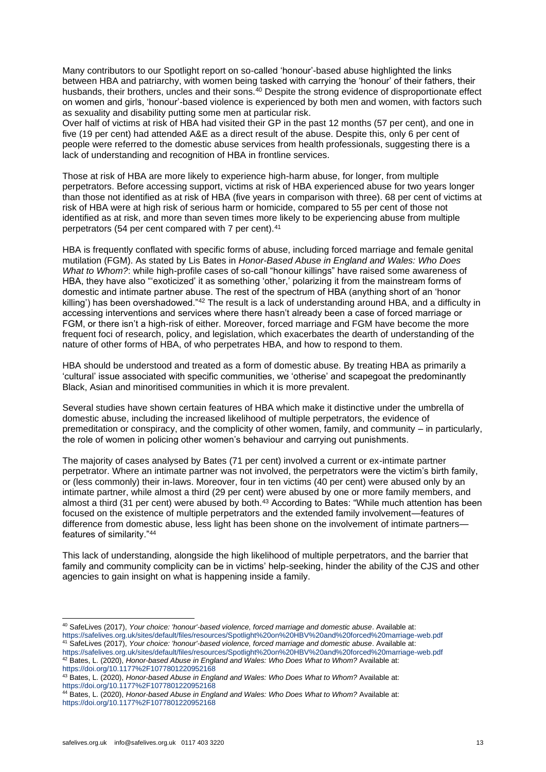Many contributors to our Spotlight report on so-called 'honour'-based abuse highlighted the links between HBA and patriarchy, with women being tasked with carrying the 'honour' of their fathers, their husbands, their brothers, uncles and their sons.<sup>40</sup> Despite the strong evidence of disproportionate effect on women and girls, 'honour'-based violence is experienced by both men and women, with factors such as sexuality and disability putting some men at particular risk.

Over half of victims at risk of HBA had visited their GP in the past 12 months (57 per cent), and one in five (19 per cent) had attended A&E as a direct result of the abuse. Despite this, only 6 per cent of people were referred to the domestic abuse services from health professionals, suggesting there is a lack of understanding and recognition of HBA in frontline services.

Those at risk of HBA are more likely to experience high-harm abuse, for longer, from multiple perpetrators. Before accessing support, victims at risk of HBA experienced abuse for two years longer than those not identified as at risk of HBA (five years in comparison with three). 68 per cent of victims at risk of HBA were at high risk of serious harm or homicide, compared to 55 per cent of those not identified as at risk, and more than seven times more likely to be experiencing abuse from multiple perpetrators (54 per cent compared with 7 per cent).<sup>41</sup>

HBA is frequently conflated with specific forms of abuse, including forced marriage and female genital mutilation (FGM). As stated by Lis Bates in *Honor-Based Abuse in England and Wales: Who Does What to Whom?*: while high-profile cases of so-call "honour killings" have raised some awareness of HBA, they have also "'exoticized' it as something 'other,' polarizing it from the mainstream forms of domestic and intimate partner abuse. The rest of the spectrum of HBA (anything short of an 'honor killing') has been overshadowed."<sup>42</sup> The result is a lack of understanding around HBA, and a difficulty in accessing interventions and services where there hasn't already been a case of forced marriage or FGM, or there isn't a high-risk of either. Moreover, forced marriage and FGM have become the more frequent foci of research, policy, and legislation, which exacerbates the dearth of understanding of the nature of other forms of HBA, of who perpetrates HBA, and how to respond to them.

HBA should be understood and treated as a form of domestic abuse. By treating HBA as primarily a 'cultural' issue associated with specific communities, we 'otherise' and scapegoat the predominantly Black, Asian and minoritised communities in which it is more prevalent.

Several studies have shown certain features of HBA which make it distinctive under the umbrella of domestic abuse, including the increased likelihood of multiple perpetrators, the evidence of premeditation or conspiracy, and the complicity of other women, family, and community – in particularly, the role of women in policing other women's behaviour and carrying out punishments.

The majority of cases analysed by Bates (71 per cent) involved a current or ex-intimate partner perpetrator. Where an intimate partner was not involved, the perpetrators were the victim's birth family, or (less commonly) their in-laws. Moreover, four in ten victims (40 per cent) were abused only by an intimate partner, while almost a third (29 per cent) were abused by one or more family members, and almost a third (31 per cent) were abused by both.<sup>43</sup> According to Bates: "While much attention has been focused on the existence of multiple perpetrators and the extended family involvement—features of difference from domestic abuse, less light has been shone on the involvement of intimate partners features of similarity."<sup>44</sup>

This lack of understanding, alongside the high likelihood of multiple perpetrators, and the barrier that family and community complicity can be in victims' help-seeking, hinder the ability of the CJS and other agencies to gain insight on what is happening inside a family.

<sup>40</sup> SafeLives (2017), *Your choice: 'honour'-based violence, forced marriage and domestic abuse*. Available at: <https://safelives.org.uk/sites/default/files/resources/Spotlight%20on%20HBV%20and%20forced%20marriage-web.pdf> <sup>41</sup> SafeLives (2017), *Your choice: 'honour'-based violence, forced marriage and domestic abuse*. Available at:

<https://safelives.org.uk/sites/default/files/resources/Spotlight%20on%20HBV%20and%20forced%20marriage-web.pdf> <sup>42</sup> Bates, L. (2020), *Honor-based Abuse in England and Wales: Who Does What to Whom?* Available at: <https://doi.org/10.1177%2F1077801220952168>

<sup>43</sup> Bates, L. (2020), *Honor-based Abuse in England and Wales: Who Does What to Whom?* Available at: <https://doi.org/10.1177%2F1077801220952168>

<sup>44</sup> Bates, L. (2020), *Honor-based Abuse in England and Wales: Who Does What to Whom?* Available at: <https://doi.org/10.1177%2F1077801220952168>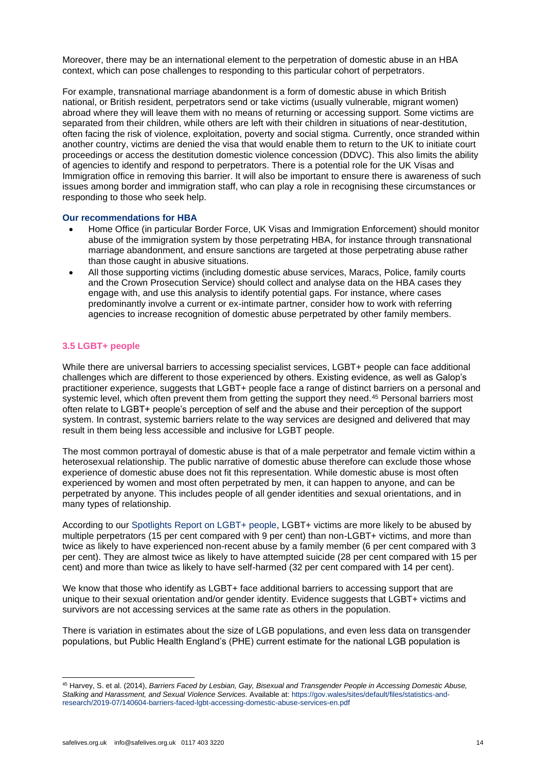Moreover, there may be an international element to the perpetration of domestic abuse in an HBA context, which can pose challenges to responding to this particular cohort of perpetrators.

For example, transnational marriage abandonment is a form of domestic abuse in which British national, or British resident, perpetrators send or take victims (usually vulnerable, migrant women) abroad where they will leave them with no means of returning or accessing support. Some victims are separated from their children, while others are left with their children in situations of near-destitution, often facing the risk of violence, exploitation, poverty and social stigma. Currently, once stranded within another country, victims are denied the visa that would enable them to return to the UK to initiate court proceedings or access the destitution domestic violence concession (DDVC). This also limits the ability of agencies to identify and respond to perpetrators. There is a potential role for the UK Visas and Immigration office in removing this barrier. It will also be important to ensure there is awareness of such issues among border and immigration staff, who can play a role in recognising these circumstances or responding to those who seek help.

#### **Our recommendations for HBA**

- Home Office (in particular Border Force, UK Visas and Immigration Enforcement) should monitor abuse of the immigration system by those perpetrating HBA, for instance through transnational marriage abandonment, and ensure sanctions are targeted at those perpetrating abuse rather than those caught in abusive situations.
- All those supporting victims (including domestic abuse services, Maracs, Police, family courts and the Crown Prosecution Service) should collect and analyse data on the HBA cases they engage with, and use this analysis to identify potential gaps. For instance, where cases predominantly involve a current or ex-intimate partner, consider how to work with referring agencies to increase recognition of domestic abuse perpetrated by other family members.

# **3.5 LGBT+ people**

While there are universal barriers to accessing specialist services, LGBT+ people can face additional challenges which are different to those experienced by others. Existing evidence, as well as Galop's practitioner experience, suggests that LGBT+ people face a range of distinct barriers on a personal and systemic level, which often prevent them from getting the support they need.<sup>45</sup> Personal barriers most often relate to LGBT+ people's perception of self and the abuse and their perception of the support system. In contrast, systemic barriers relate to the way services are designed and delivered that may result in them being less accessible and inclusive for LGBT people.

The most common portrayal of domestic abuse is that of a male perpetrator and female victim within a heterosexual relationship. The public narrative of domestic abuse therefore can exclude those whose experience of domestic abuse does not fit this representation. While domestic abuse is most often experienced by women and most often perpetrated by men, it can happen to anyone, and can be perpetrated by anyone. This includes people of all gender identities and sexual orientations, and in many types of relationship.

According to our [Spotlights Report on LGBT+ people,](https://safelives.org.uk/knowledge-hub/spotlights/spotlight-6-lgbt-people-and-domestic-abuse) LGBT+ victims are more likely to be abused by multiple perpetrators (15 per cent compared with 9 per cent) than non-LGBT+ victims, and more than twice as likely to have experienced non-recent abuse by a family member (6 per cent compared with 3 per cent). They are almost twice as likely to have attempted suicide (28 per cent compared with 15 per cent) and more than twice as likely to have self-harmed (32 per cent compared with 14 per cent).

We know that those who identify as LGBT+ face additional barriers to accessing support that are unique to their sexual orientation and/or gender identity. Evidence suggests that LGBT+ victims and survivors are not accessing services at the same rate as others in the population.

There is variation in estimates about the size of LGB populations, and even less data on transgender populations, but Public Health England's (PHE) current estimate for the national LGB population is

<sup>45</sup> Harvey, S. et al. (2014), *Barriers Faced by Lesbian, Gay, Bisexual and Transgender People in Accessing Domestic Abuse, Stalking and Harassment, and Sexual Violence Services.* Available at: [https://gov.wales/sites/default/files/statistics-and](https://gov.wales/sites/default/files/statistics-and-research/2019-07/140604-barriers-faced-lgbt-accessing-domestic-abuse-services-en.pdf)[research/2019-07/140604-barriers-faced-lgbt-accessing-domestic-abuse-services-en.pdf](https://gov.wales/sites/default/files/statistics-and-research/2019-07/140604-barriers-faced-lgbt-accessing-domestic-abuse-services-en.pdf)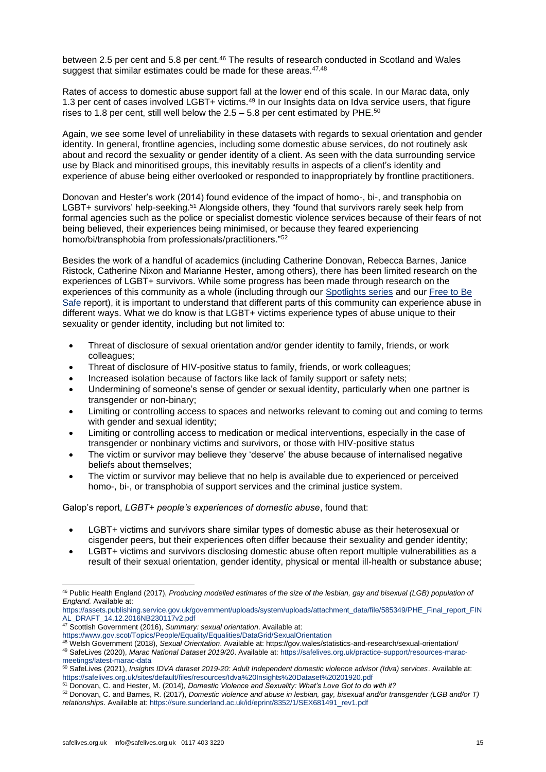between 2.5 per cent and 5.8 per cent.<sup>46</sup> The results of research conducted in Scotland and Wales suggest that similar estimates could be made for these areas. $47,48$ 

Rates of access to domestic abuse support fall at the lower end of this scale. In our Marac data, only 1.3 per cent of cases involved LGBT+ victims.<sup>49</sup> In our Insights data on Idva service users, that figure rises to 1.8 per cent, still well below the  $2.5 - 5.8$  per cent estimated by PHE.<sup>50</sup>

Again, we see some level of unreliability in these datasets with regards to sexual orientation and gender identity. In general, frontline agencies, including some domestic abuse services, do not routinely ask about and record the sexuality or gender identity of a client. As seen with the data surrounding service use by Black and minoritised groups, this inevitably results in aspects of a client's identity and experience of abuse being either overlooked or responded to inappropriately by frontline practitioners.

Donovan and Hester's work (2014) found evidence of the impact of homo-, bi-, and transphobia on LGBT+ survivors' help-seeking.<sup>51</sup> Alongside others, they "found that survivors rarely seek help from formal agencies such as the police or specialist domestic violence services because of their fears of not being believed, their experiences being minimised, or because they feared experiencing homo/bi/transphobia from professionals/practitioners."<sup>52</sup>

Besides the work of a handful of academics (including Catherine Donovan, Rebecca Barnes, Janice Ristock, Catherine Nixon and Marianne Hester, among others), there has been limited research on the experiences of LGBT+ survivors. While some progress has been made through research on the experiences of this community as a whole (including through our [Spotlights series](https://safelives.org.uk/knowledge-hub/spotlights/spotlight-6-lgbt-people-and-domestic-abuse) and our [Free to Be](https://safelives.org.uk/sites/default/files/resources/Free%20to%20be%20safe%20web.pdf)  [Safe](https://safelives.org.uk/sites/default/files/resources/Free%20to%20be%20safe%20web.pdf) report), it is important to understand that different parts of this community can experience abuse in different ways. What we do know is that LGBT+ victims experience types of abuse unique to their sexuality or gender identity, including but not limited to:

- Threat of disclosure of sexual orientation and/or gender identity to family, friends, or work colleagues;
- Threat of disclosure of HIV-positive status to family, friends, or work colleagues;
- Increased isolation because of factors like lack of family support or safety nets;
- Undermining of someone's sense of gender or sexual identity, particularly when one partner is transgender or non-binary;
- Limiting or controlling access to spaces and networks relevant to coming out and coming to terms with gender and sexual identity;
- Limiting or controlling access to medication or medical interventions, especially in the case of transgender or nonbinary victims and survivors, or those with HIV-positive status
- The victim or survivor may believe they 'deserve' the abuse because of internalised negative beliefs about themselves;
- The victim or survivor may believe that no help is available due to experienced or perceived homo-, bi-, or transphobia of support services and the criminal justice system.

Galop's report, *LGBT+ people's experiences of domestic abuse*, found that:

- LGBT+ victims and survivors share similar types of domestic abuse as their heterosexual or cisgender peers, but their experiences often differ because their sexuality and gender identity;
- LGBT+ victims and survivors disclosing domestic abuse often report multiple vulnerabilities as a result of their sexual orientation, gender identity, physical or mental ill-health or substance abuse;

[https://assets.publishing.service.gov.uk/government/uploads/system/uploads/attachment\\_data/file/585349/PHE\\_Final\\_report\\_FIN](https://assets.publishing.service.gov.uk/government/uploads/system/uploads/attachment_data/file/585349/PHE_Final_report_FINAL_DRAFT_14.12.2016NB230117v2.pdf) [AL\\_DRAFT\\_14.12.2016NB230117v2.pdf](https://assets.publishing.service.gov.uk/government/uploads/system/uploads/attachment_data/file/585349/PHE_Final_report_FINAL_DRAFT_14.12.2016NB230117v2.pdf)

<https://www.gov.scot/Topics/People/Equality/Equalities/DataGrid/SexualOrientation>

<sup>46</sup> Public Health England (2017), *Producing modelled estimates of the size of the lesbian, gay and bisexual (LGB) population of England.* Available at:

<sup>47</sup> Scottish Government (2016), *Summary: sexual orientation*. Available at:

<sup>48</sup> Welsh Government (2018), *Sexual Orientation*. Available at: https://gov.wales/statistics-and-research/sexual-orientation/

<sup>49</sup> SafeLives (2020), *Marac National Dataset 2019/20*. Available at[: https://safelives.org.uk/practice-support/resources-marac](https://safelives.org.uk/practice-support/resources-marac-meetings/latest-marac-data)[meetings/latest-marac-data](https://safelives.org.uk/practice-support/resources-marac-meetings/latest-marac-data)

<sup>50</sup> SafeLives (2021), *Insights IDVA dataset 2019-20: Adult Independent domestic violence advisor (Idva) services*. Available at: <https://safelives.org.uk/sites/default/files/resources/Idva%20Insights%20Dataset%20201920.pdf>

<sup>51</sup> Donovan, C. and Hester, M. (2014), *Domestic Violence and Sexuality: What's Love Got to do with it?*

<sup>52</sup> Donovan, C. and Barnes, R. (2017), *Domestic violence and abuse in lesbian, gay, bisexual and/or transgender (LGB and/or T) relationships*. Available at: [https://sure.sunderland.ac.uk/id/eprint/8352/1/SEX681491\\_rev1.pdf](https://sure.sunderland.ac.uk/id/eprint/8352/1/SEX681491_rev1.pdf)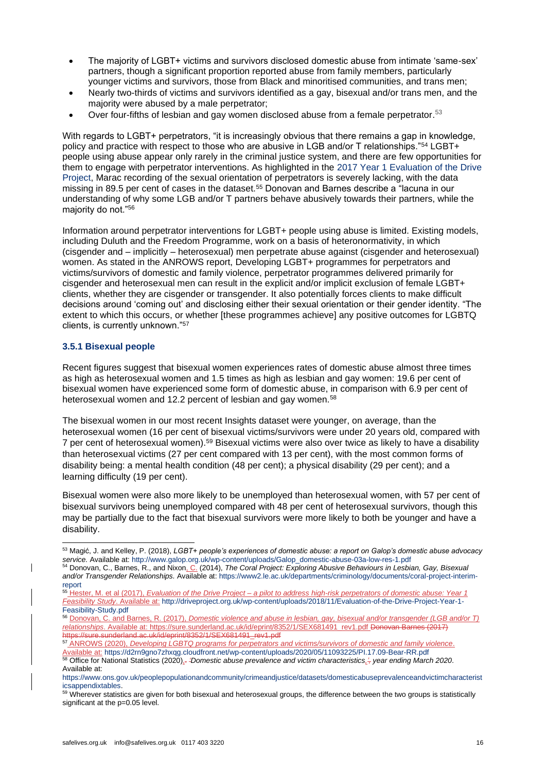- The majority of LGBT+ victims and survivors disclosed domestic abuse from intimate 'same-sex' partners, though a significant proportion reported abuse from family members, particularly younger victims and survivors, those from Black and minoritised communities, and trans men;
- Nearly two-thirds of victims and survivors identified as a gay, bisexual and/or trans men, and the majority were abused by a male perpetrator;
- Over four-fifths of lesbian and gay women disclosed abuse from a female perpetrator.<sup>53</sup>

With regards to LGBT+ perpetrators, "it is increasingly obvious that there remains a gap in knowledge, policy and practice with respect to those who are abusive in LGB and/or T relationships."<sup>54</sup> LGBT+ people using abuse appear only rarely in the criminal justice system, and there are few opportunities for them to engage with perpetrator interventions. As highlighted in the [2017 Year 1 Evaluation of the Drive](http://driveproject.org.uk/wp-content/uploads/2018/11/Evaluation-of-the-Drive-Project-Year-1-Feasibility-Study.pdf)  [Project,](http://driveproject.org.uk/wp-content/uploads/2018/11/Evaluation-of-the-Drive-Project-Year-1-Feasibility-Study.pdf) Marac recording of the sexual orientation of perpetrators is severely lacking, with the data missing in 89.5 per cent of cases in the dataset.<sup>55</sup> Donovan and Barnes describe a "lacuna in our understanding of why some LGB and/or T partners behave abusively towards their partners, while the majority do not."<sup>56</sup>

Information around perpetrator interventions for LGBT+ people using abuse is limited. Existing models, including Duluth and the Freedom Programme, work on a basis of heteronormativity, in which (cisgender and – implicitly – heterosexual) men perpetrate abuse against (cisgender and heterosexual) women. As stated in the ANROWS report, Developing LGBT+ programmes for perpetrators and victims/survivors of domestic and family violence, perpetrator programmes delivered primarily for cisgender and heterosexual men can result in the explicit and/or implicit exclusion of female LGBT+ clients, whether they are cisgender or transgender. It also potentially forces clients to make difficult decisions around 'coming out' and disclosing either their sexual orientation or their gender identity. "The extent to which this occurs, or whether [these programmes achieve] any positive outcomes for LGBTQ clients, is currently unknown."<sup>57</sup>

# **3.5.1 Bisexual people**

Recent figures suggest that bisexual women experiences rates of domestic abuse almost three times as high as heterosexual women and 1.5 times as high as lesbian and gay women: 19.6 per cent of bisexual women have experienced some form of domestic abuse, in comparison with 6.9 per cent of heterosexual women and 12.2 percent of lesbian and gay women.<sup>58</sup>

The bisexual women in our most recent Insights dataset were younger, on average, than the heterosexual women (16 per cent of bisexual victims/survivors were under 20 years old, compared with 7 per cent of heterosexual women).<sup>59</sup> Bisexual victims were also over twice as likely to have a disability than heterosexual victims (27 per cent compared with 13 per cent), with the most common forms of disability being: a mental health condition (48 per cent); a physical disability (29 per cent); and a learning difficulty (19 per cent).

Bisexual women were also more likely to be unemployed than heterosexual women, with 57 per cent of bisexual survivors being unemployed compared with 48 per cent of heterosexual survivors, though this may be partially due to the fact that bisexual survivors were more likely to both be younger and have a disability.

<sup>53</sup> Magić, J. and Kelley, P. (2018), *LGBT+ people's experiences of domestic abuse: a report on Galop's domestic abuse advocacy service.* Available at: [http://www.galop.org.uk/wp-content/uploads/Galop\\_domestic-abuse-03a-low-res-1.pdf](http://www.galop.org.uk/wp-content/uploads/Galop_domestic-abuse-03a-low-res-1.pdf) <sup>54</sup> Donovan, C., Barnes, R., and Nixon, C. (2014), *The Coral Project: Exploring Abusive Behaviours in Lesbian, Gay, Bisexual* 

*and/or Transgender Relationships.* Available at: [https://www2.le.ac.uk/departments/criminology/documents/coral-project-interim](https://www2.le.ac.uk/departments/criminology/documents/coral-project-interim-report)[report](https://www2.le.ac.uk/departments/criminology/documents/coral-project-interim-report)

<sup>55</sup> Hester, M. et al (2017), *Evaluation of the Drive Project – a pilot to address high-risk perpetrators of domestic abuse: Year 1 Feasibility Study*. Available at: [http://driveproject.org.uk/wp-content/uploads/2018/11/Evaluation-of-the-Drive-Project-Year-1-](http://driveproject.org.uk/wp-content/uploads/2018/11/Evaluation-of-the-Drive-Project-Year-1-Feasibility-Study.pdf) [Feasibility-Study.pdf](http://driveproject.org.uk/wp-content/uploads/2018/11/Evaluation-of-the-Drive-Project-Year-1-Feasibility-Study.pdf)

<sup>56</sup> Donovan, C. and Barnes, R. (2017), *Domestic violence and abuse in lesbian, gay, bisexual and/or transgender (LGB and/or T) relationships*. Available at: [https://sure.sunderland.ac.uk/id/eprint/8352/1/SEX681491\\_rev1.pdf](https://sure.sunderland.ac.uk/id/eprint/8352/1/SEX681491_rev1.pdf) Donovan Barnes (2017) https://sure.sunderland.ac.uk/id/eprint/8352/1/SEX681491\_rev1.pdf

<sup>57</sup> ANROWS (2020), *Developing LGBTQ programs for perpetrators and victims/survivors of domestic and family violence*. Available at: <https://d2rn9gno7zhxqg.cloudfront.net/wp-content/uploads/2020/05/11093225/PI.17.09-Bear-RR.pdf>

<sup>58</sup> Office for National Statistics (2020),. *'Domestic abuse prevalence and victim characteristics,', year ending March 2020*. Available at:

[https://www.ons.gov.uk/peoplepopulationandcommunity/crimeandjustice/datasets/domesticabuseprevalenceandvictimcharacterist](https://www.ons.gov.uk/peoplepopulationandcommunity/crimeandjustice/datasets/domesticabuseprevalenceandvictimcharacteristicsappendixtables) [icsappendixtables.](https://www.ons.gov.uk/peoplepopulationandcommunity/crimeandjustice/datasets/domesticabuseprevalenceandvictimcharacteristicsappendixtables)

<sup>&</sup>lt;sup>59</sup> Wherever statistics are given for both bisexual and heterosexual groups, the difference between the two groups is statistically significant at the p=0.05 level.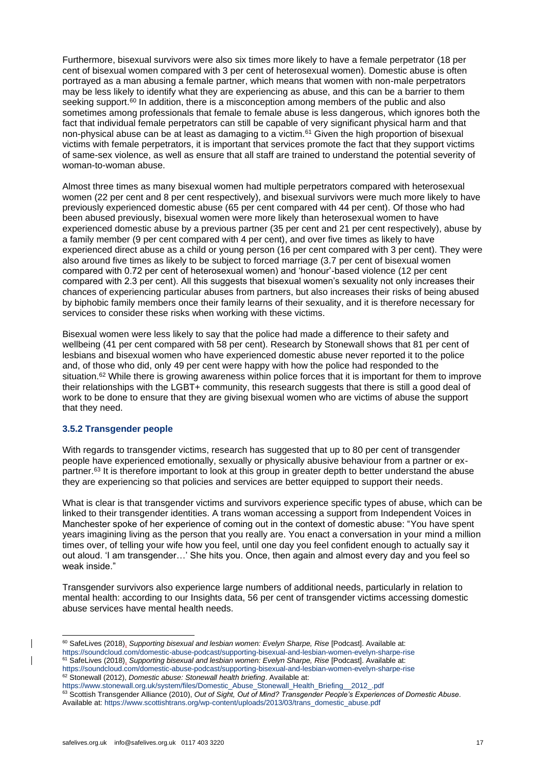Furthermore, bisexual survivors were also six times more likely to have a female perpetrator (18 per cent of bisexual women compared with 3 per cent of heterosexual women). Domestic abuse is often portrayed as a man abusing a female partner, which means that women with non-male perpetrators may be less likely to identify what they are experiencing as abuse, and this can be a barrier to them seeking support.<sup>60</sup> In addition, there is a misconception among members of the public and also sometimes among professionals that female to female abuse is less dangerous, which ignores both the fact that individual female perpetrators can still be capable of very significant physical harm and that non-physical abuse can be at least as damaging to a victim.<sup>61</sup> Given the high proportion of bisexual victims with female perpetrators, it is important that services promote the fact that they support victims of same-sex violence, as well as ensure that all staff are trained to understand the potential severity of woman-to-woman abuse.

Almost three times as many bisexual women had multiple perpetrators compared with heterosexual women (22 per cent and 8 per cent respectively), and bisexual survivors were much more likely to have previously experienced domestic abuse (65 per cent compared with 44 per cent). Of those who had been abused previously, bisexual women were more likely than heterosexual women to have experienced domestic abuse by a previous partner (35 per cent and 21 per cent respectively), abuse by a family member (9 per cent compared with 4 per cent), and over five times as likely to have experienced direct abuse as a child or young person (16 per cent compared with 3 per cent). They were also around five times as likely to be subject to forced marriage (3.7 per cent of bisexual women compared with 0.72 per cent of heterosexual women) and 'honour'-based violence (12 per cent compared with 2.3 per cent). All this suggests that bisexual women's sexuality not only increases their chances of experiencing particular abuses from partners, but also increases their risks of being abused by biphobic family members once their family learns of their sexuality, and it is therefore necessary for services to consider these risks when working with these victims.

Bisexual women were less likely to say that the police had made a difference to their safety and wellbeing (41 per cent compared with 58 per cent). Research by Stonewall shows that 81 per cent of lesbians and bisexual women who have experienced domestic abuse never reported it to the police and, of those who did, only 49 per cent were happy with how the police had responded to the situation.<sup>62</sup> While there is growing awareness within police forces that it is important for them to improve their relationships with the LGBT+ community, this research suggests that there is still a good deal of work to be done to ensure that they are giving bisexual women who are victims of abuse the support that they need.

# **3.5.2 Transgender people**

With regards to transgender victims, research has suggested that up to 80 per cent of transgender people have experienced emotionally, sexually or physically abusive behaviour from a partner or expartner.<sup>63</sup> It is therefore important to look at this group in greater depth to better understand the abuse they are experiencing so that policies and services are better equipped to support their needs.

What is clear is that transgender victims and survivors experience specific types of abuse, which can be linked to their transgender identities. A trans woman accessing a support from Independent Voices in Manchester spoke of her experience of coming out in the context of domestic abuse: "You have spent years imagining living as the person that you really are. You enact a conversation in your mind a million times over, of telling your wife how you feel, until one day you feel confident enough to actually say it out aloud. 'I am transgender…' She hits you. Once, then again and almost every day and you feel so weak inside."

Transgender survivors also experience large numbers of additional needs, particularly in relation to mental health: according to our Insights data, 56 per cent of transgender victims accessing domestic abuse services have mental health needs.

<sup>60</sup> SafeLives (2018), *Supporting bisexual and lesbian women: Evelyn Sharpe, Rise* [Podcast]. Available at: <https://soundcloud.com/domestic-abuse-podcast/supporting-bisexual-and-lesbian-women-evelyn-sharpe-rise> <sup>61</sup> SafeLives (2018), *Supporting bisexual and lesbian women: Evelyn Sharpe, Rise* [Podcast]. Available at:

<https://soundcloud.com/domestic-abuse-podcast/supporting-bisexual-and-lesbian-women-evelyn-sharpe-rise> <sup>62</sup> Stonewall (2012), *Domestic abuse: Stonewall health briefing*. Available at:

[https://www.stonewall.org.uk/system/files/Domestic\\_Abuse\\_Stonewall\\_Health\\_Briefing\\_\\_2012\\_.pdf](https://www.stonewall.org.uk/system/files/Domestic_Abuse_Stonewall_Health_Briefing__2012_.pdf)

<sup>63</sup> Scottish Transgender Alliance (2010), *Out of Sight, Out of Mind? Transgender People's Experiences of Domestic Abuse*. Available at: [https://www.scottishtrans.org/wp-content/uploads/2013/03/trans\\_domestic\\_abuse.pdf](https://www.scottishtrans.org/wp-content/uploads/2013/03/trans_domestic_abuse.pdf)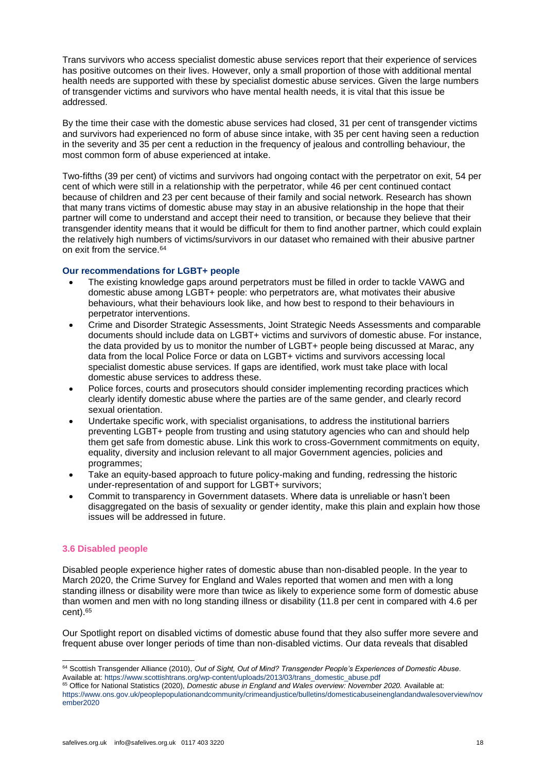Trans survivors who access specialist domestic abuse services report that their experience of services has positive outcomes on their lives. However, only a small proportion of those with additional mental health needs are supported with these by specialist domestic abuse services. Given the large numbers of transgender victims and survivors who have mental health needs, it is vital that this issue be addressed.

By the time their case with the domestic abuse services had closed, 31 per cent of transgender victims and survivors had experienced no form of abuse since intake, with 35 per cent having seen a reduction in the severity and 35 per cent a reduction in the frequency of jealous and controlling behaviour, the most common form of abuse experienced at intake.

Two-fifths (39 per cent) of victims and survivors had ongoing contact with the perpetrator on exit, 54 per cent of which were still in a relationship with the perpetrator, while 46 per cent continued contact because of children and 23 per cent because of their family and social network. Research has shown that many trans victims of domestic abuse may stay in an abusive relationship in the hope that their partner will come to understand and accept their need to transition, or because they believe that their transgender identity means that it would be difficult for them to find another partner, which could explain the relatively high numbers of victims/survivors in our dataset who remained with their abusive partner on exit from the service.<sup>64</sup>

#### **Our recommendations for LGBT+ people**

- The existing knowledge gaps around perpetrators must be filled in order to tackle VAWG and domestic abuse among LGBT+ people: who perpetrators are, what motivates their abusive behaviours, what their behaviours look like, and how best to respond to their behaviours in perpetrator interventions.
- Crime and Disorder Strategic Assessments, Joint Strategic Needs Assessments and comparable documents should include data on LGBT+ victims and survivors of domestic abuse. For instance, the data provided by us to monitor the number of LGBT+ people being discussed at Marac, any data from the local Police Force or data on LGBT+ victims and survivors accessing local specialist domestic abuse services. If gaps are identified, work must take place with local domestic abuse services to address these.
- Police forces, courts and prosecutors should consider implementing recording practices which clearly identify domestic abuse where the parties are of the same gender, and clearly record sexual orientation.
- Undertake specific work, with specialist organisations, to address the institutional barriers preventing LGBT+ people from trusting and using statutory agencies who can and should help them get safe from domestic abuse. Link this work to cross-Government commitments on equity, equality, diversity and inclusion relevant to all major Government agencies, policies and programmes;
- Take an equity-based approach to future policy-making and funding, redressing the historic under-representation of and support for LGBT+ survivors;
- Commit to transparency in Government datasets. Where data is unreliable or hasn't been disaggregated on the basis of sexuality or gender identity, make this plain and explain how those issues will be addressed in future.

# **3.6 Disabled people**

Disabled people experience higher rates of domestic abuse than non-disabled people. In the year to March 2020, the Crime Survey for England and Wales reported that women and men with a long standing illness or disability were more than twice as likely to experience some form of domestic abuse than women and men with no long standing illness or disability (11.8 per cent in compared with 4.6 per cent).<sup>65</sup>

Our Spotlight report on disabled victims of domestic abuse found that they also suffer more severe and frequent abuse over longer periods of time than non-disabled victims. Our data reveals that disabled

<sup>64</sup> Scottish Transgender Alliance (2010), *Out of Sight, Out of Mind? Transgender People's Experiences of Domestic Abuse*. Available at: [https://www.scottishtrans.org/wp-content/uploads/2013/03/trans\\_domestic\\_abuse.pdf](https://www.scottishtrans.org/wp-content/uploads/2013/03/trans_domestic_abuse.pdf)

<sup>65</sup> Office for National Statistics (2020), *Domestic abuse in England and Wales overview: November 2020.* Available at: [https://www.ons.gov.uk/peoplepopulationandcommunity/crimeandjustice/bulletins/domesticabuseinenglandandwalesoverview/nov](https://www.ons.gov.uk/peoplepopulationandcommunity/crimeandjustice/bulletins/domesticabuseinenglandandwalesoverview/november2020) [ember2020](https://www.ons.gov.uk/peoplepopulationandcommunity/crimeandjustice/bulletins/domesticabuseinenglandandwalesoverview/november2020)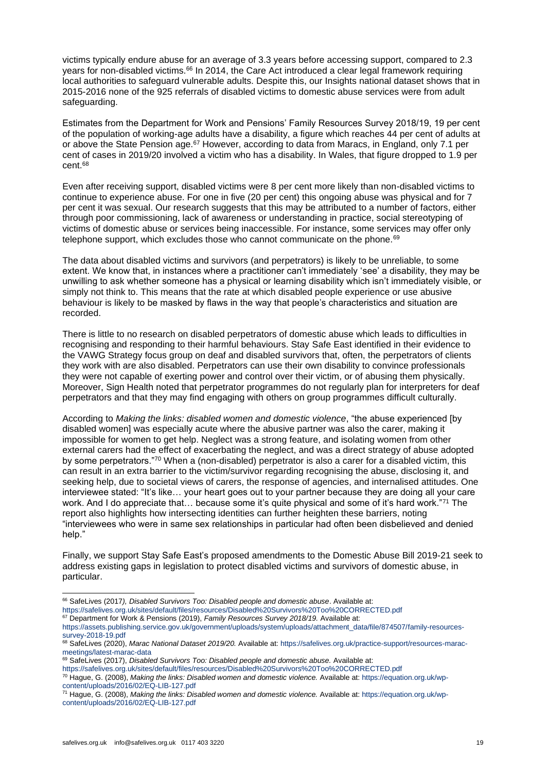victims typically endure abuse for an average of 3.3 years before accessing support, compared to 2.3 vears for non-disabled victims.<sup>66</sup> In 2014, the Care Act introduced a clear legal framework requiring local authorities to safeguard vulnerable adults. Despite this, our Insights national dataset shows that in 2015-2016 none of the 925 referrals of disabled victims to domestic abuse services were from adult safeguarding.

Estimates from the Department for Work and Pensions' Family Resources Survey 2018/19, 19 per cent of the population of working-age adults have a disability, a figure which reaches 44 per cent of adults at or above the State Pension age.<sup>67</sup> However, according to data from Maracs, in England, only 7.1 per cent of cases in 2019/20 involved a victim who has a disability. In Wales, that figure dropped to 1.9 per cent.<sup>68</sup>

Even after receiving support, disabled victims were 8 per cent more likely than non-disabled victims to continue to experience abuse. For one in five (20 per cent) this ongoing abuse was physical and for 7 per cent it was sexual. Our research suggests that this may be attributed to a number of factors, either through poor commissioning, lack of awareness or understanding in practice, social stereotyping of victims of domestic abuse or services being inaccessible. For instance, some services may offer only telephone support, which excludes those who cannot communicate on the phone.<sup>69</sup>

The data about disabled victims and survivors (and perpetrators) is likely to be unreliable, to some extent. We know that, in instances where a practitioner can't immediately 'see' a disability, they may be unwilling to ask whether someone has a physical or learning disability which isn't immediately visible, or simply not think to. This means that the rate at which disabled people experience or use abusive behaviour is likely to be masked by flaws in the way that people's characteristics and situation are recorded.

There is little to no research on disabled perpetrators of domestic abuse which leads to difficulties in recognising and responding to their harmful behaviours. Stay Safe East identified in their evidence to the VAWG Strategy focus group on deaf and disabled survivors that, often, the perpetrators of clients they work with are also disabled. Perpetrators can use their own disability to convince professionals they were not capable of exerting power and control over their victim, or of abusing them physically. Moreover, Sign Health noted that perpetrator programmes do not regularly plan for interpreters for deaf perpetrators and that they may find engaging with others on group programmes difficult culturally.

According to *Making the links: disabled women and domestic violence*, "the abuse experienced [by disabled women] was especially acute where the abusive partner was also the carer, making it impossible for women to get help. Neglect was a strong feature, and isolating women from other external carers had the effect of exacerbating the neglect, and was a direct strategy of abuse adopted by some perpetrators."<sup>70</sup> When a (non-disabled) perpetrator is also a carer for a disabled victim, this can result in an extra barrier to the victim/survivor regarding recognising the abuse, disclosing it, and seeking help, due to societal views of carers, the response of agencies, and internalised attitudes. One interviewee stated: "It's like… your heart goes out to your partner because they are doing all your care work. And I do appreciate that… because some it's quite physical and some of it's hard work."<sup>71</sup> The report also highlights how intersecting identities can further heighten these barriers, noting "interviewees who were in same sex relationships in particular had often been disbelieved and denied help."

Finally, we support Stay Safe East's proposed amendments to the Domestic Abuse Bill 2019-21 seek to address existing gaps in legislation to protect disabled victims and survivors of domestic abuse, in particular.

<sup>66</sup> SafeLives (2017*), Disabled Survivors Too: Disabled people and domestic abuse*. Available at:

<https://safelives.org.uk/sites/default/files/resources/Disabled%20Survivors%20Too%20CORRECTED.pdf>

<sup>67</sup> Department for Work & Pensions (2019), *Family Resources Survey 2018/19.* Available at:

[https://assets.publishing.service.gov.uk/government/uploads/system/uploads/attachment\\_data/file/874507/family-resources](https://assets.publishing.service.gov.uk/government/uploads/system/uploads/attachment_data/file/874507/family-resources-survey-2018-19.pdf)[survey-2018-19.pdf](https://assets.publishing.service.gov.uk/government/uploads/system/uploads/attachment_data/file/874507/family-resources-survey-2018-19.pdf)

<sup>68</sup> SafeLives (2020), *Marac National Dataset 2019/20.* Available at: [https://safelives.org.uk/practice-support/resources-marac](https://safelives.org.uk/practice-support/resources-marac-meetings/latest-marac-data)[meetings/latest-marac-data](https://safelives.org.uk/practice-support/resources-marac-meetings/latest-marac-data)

<sup>69</sup> SafeLives (2017), *Disabled Survivors Too: Disabled people and domestic abuse.* Available at:

<https://safelives.org.uk/sites/default/files/resources/Disabled%20Survivors%20Too%20CORRECTED.pdf>

<sup>70</sup> Hague, G. (2008), *Making the links: Disabled women and domestic violence.* Available at: [https://equation.org.uk/wp](https://equation.org.uk/wp-content/uploads/2016/02/EQ-LIB-127.pdf)[content/uploads/2016/02/EQ-LIB-127.pdf](https://equation.org.uk/wp-content/uploads/2016/02/EQ-LIB-127.pdf)

<sup>71</sup> Hague, G. (2008), *Making the links: Disabled women and domestic violence.* Available at: [https://equation.org.uk/wp](https://equation.org.uk/wp-content/uploads/2016/02/EQ-LIB-127.pdf)[content/uploads/2016/02/EQ-LIB-127.pdf](https://equation.org.uk/wp-content/uploads/2016/02/EQ-LIB-127.pdf)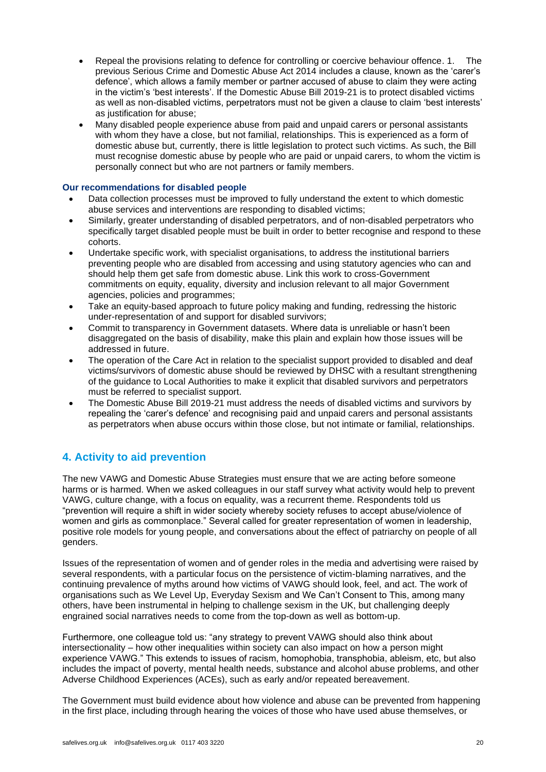- Repeal the provisions relating to defence for controlling or coercive behaviour offence. 1. The previous Serious Crime and Domestic Abuse Act 2014 includes a clause, known as the 'carer's defence', which allows a family member or partner accused of abuse to claim they were acting in the victim's 'best interests'. If the Domestic Abuse Bill 2019-21 is to protect disabled victims as well as non-disabled victims, perpetrators must not be given a clause to claim 'best interests' as justification for abuse;
- Many disabled people experience abuse from paid and unpaid carers or personal assistants with whom they have a close, but not familial, relationships. This is experienced as a form of domestic abuse but, currently, there is little legislation to protect such victims. As such, the Bill must recognise domestic abuse by people who are paid or unpaid carers, to whom the victim is personally connect but who are not partners or family members.

# **Our recommendations for disabled people**

- Data collection processes must be improved to fully understand the extent to which domestic abuse services and interventions are responding to disabled victims;
- Similarly, greater understanding of disabled perpetrators, and of non-disabled perpetrators who specifically target disabled people must be built in order to better recognise and respond to these cohorts.
- Undertake specific work, with specialist organisations, to address the institutional barriers preventing people who are disabled from accessing and using statutory agencies who can and should help them get safe from domestic abuse. Link this work to cross-Government commitments on equity, equality, diversity and inclusion relevant to all major Government agencies, policies and programmes;
- Take an equity-based approach to future policy making and funding, redressing the historic under-representation of and support for disabled survivors;
- Commit to transparency in Government datasets. Where data is unreliable or hasn't been disaggregated on the basis of disability, make this plain and explain how those issues will be addressed in future.
- The operation of the Care Act in relation to the specialist support provided to disabled and deaf victims/survivors of domestic abuse should be reviewed by DHSC with a resultant strengthening of the guidance to Local Authorities to make it explicit that disabled survivors and perpetrators must be referred to specialist support.
- The Domestic Abuse Bill 2019-21 must address the needs of disabled victims and survivors by repealing the 'carer's defence' and recognising paid and unpaid carers and personal assistants as perpetrators when abuse occurs within those close, but not intimate or familial, relationships.

# **4. Activity to aid prevention**

The new VAWG and Domestic Abuse Strategies must ensure that we are acting before someone harms or is harmed. When we asked colleagues in our staff survey what activity would help to prevent VAWG, culture change, with a focus on equality, was a recurrent theme. Respondents told us "prevention will require a shift in wider society whereby society refuses to accept abuse/violence of women and girls as commonplace." Several called for greater representation of women in leadership, positive role models for young people, and conversations about the effect of patriarchy on people of all genders.

Issues of the representation of women and of gender roles in the media and advertising were raised by several respondents, with a particular focus on the persistence of victim-blaming narratives, and the continuing prevalence of myths around how victims of VAWG should look, feel, and act. The work of organisations such as We Level Up, Everyday Sexism and We Can't Consent to This, among many others, have been instrumental in helping to challenge sexism in the UK, but challenging deeply engrained social narratives needs to come from the top-down as well as bottom-up.

Furthermore, one colleague told us: "any strategy to prevent VAWG should also think about intersectionality – how other inequalities within society can also impact on how a person might experience VAWG." This extends to issues of racism, homophobia, transphobia, ableism, etc, but also includes the impact of poverty, mental health needs, substance and alcohol abuse problems, and other Adverse Childhood Experiences (ACEs), such as early and/or repeated bereavement.

The Government must build evidence about how violence and abuse can be prevented from happening in the first place, including through hearing the voices of those who have used abuse themselves, or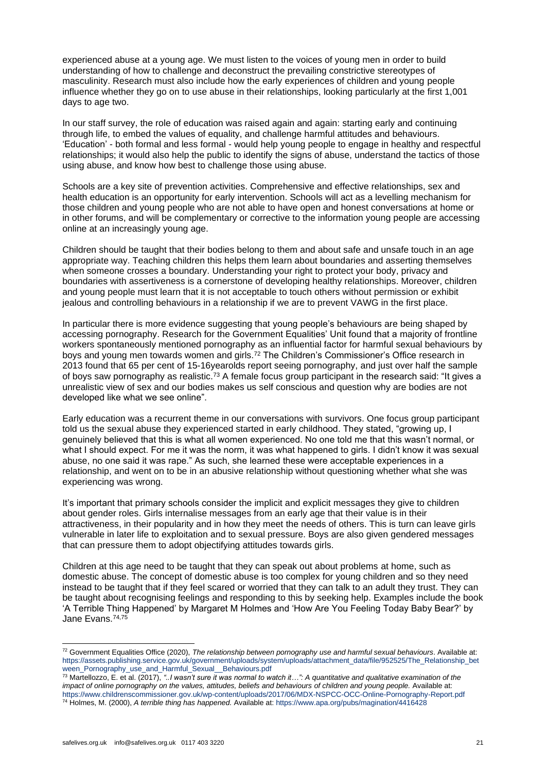experienced abuse at a young age. We must listen to the voices of young men in order to build understanding of how to challenge and deconstruct the prevailing constrictive stereotypes of masculinity. Research must also include how the early experiences of children and young people influence whether they go on to use abuse in their relationships, looking particularly at the first 1,001 days to age two.

In our staff survey, the role of education was raised again and again: starting early and continuing through life, to embed the values of equality, and challenge harmful attitudes and behaviours. 'Education' - both formal and less formal - would help young people to engage in healthy and respectful relationships; it would also help the public to identify the signs of abuse, understand the tactics of those using abuse, and know how best to challenge those using abuse.

Schools are a key site of prevention activities. Comprehensive and effective relationships, sex and health education is an opportunity for early intervention. Schools will act as a levelling mechanism for those children and young people who are not able to have open and honest conversations at home or in other forums, and will be complementary or corrective to the information young people are accessing online at an increasingly young age.

Children should be taught that their bodies belong to them and about safe and unsafe touch in an age appropriate way. Teaching children this helps them learn about boundaries and asserting themselves when someone crosses a boundary. Understanding your right to protect your body, privacy and boundaries with assertiveness is a cornerstone of developing healthy relationships. Moreover, children and young people must learn that it is not acceptable to touch others without permission or exhibit jealous and controlling behaviours in a relationship if we are to prevent VAWG in the first place.

In particular there is more evidence suggesting that young people's behaviours are being shaped by accessing pornography. Research for the Government Equalities' Unit found that a majority of frontline workers spontaneously mentioned pornography as an influential factor for harmful sexual behaviours by boys and young men towards women and girls.<sup>72</sup> The Children's Commissioner's Office research in 2013 found that 65 per cent of 15-16yearolds report seeing pornography, and just over half the sample of boys saw pornography as realistic.<sup>73</sup> A female focus group participant in the research said: "It gives a unrealistic view of sex and our bodies makes us self conscious and question why are bodies are not developed like what we see online".

Early education was a recurrent theme in our conversations with survivors. One focus group participant told us the sexual abuse they experienced started in early childhood. They stated, "growing up, I genuinely believed that this is what all women experienced. No one told me that this wasn't normal, or what I should expect. For me it was the norm, it was what happened to girls. I didn't know it was sexual abuse, no one said it was rape." As such, she learned these were acceptable experiences in a relationship, and went on to be in an abusive relationship without questioning whether what she was experiencing was wrong.

It's important that primary schools consider the implicit and explicit messages they give to children about gender roles. Girls internalise messages from an early age that their value is in their attractiveness, in their popularity and in how they meet the needs of others. This is turn can leave girls vulnerable in later life to exploitation and to sexual pressure. Boys are also given gendered messages that can pressure them to adopt objectifying attitudes towards girls.

Children at this age need to be taught that they can speak out about problems at home, such as domestic abuse. The concept of domestic abuse is too complex for young children and so they need instead to be taught that if they feel scared or worried that they can talk to an adult they trust. They can be taught about recognising feelings and responding to this by seeking help. Examples include the book 'A Terrible Thing Happened' by Margaret M Holmes and 'How Are You Feeling Today Baby Bear?' by Jane Evans.74,75

<sup>72</sup> Government Equalities Office (2020), *The relationship between pornography use and harmful sexual behaviours*. Available at: [https://assets.publishing.service.gov.uk/government/uploads/system/uploads/attachment\\_data/file/952525/The\\_Relationship\\_bet](https://assets.publishing.service.gov.uk/government/uploads/system/uploads/attachment_data/file/952525/The_Relationship_between_Pornography_use_and_Harmful_Sexual__Behaviours.pdf) [ween\\_Pornography\\_use\\_and\\_Harmful\\_Sexual\\_\\_Behaviours.pdf](https://assets.publishing.service.gov.uk/government/uploads/system/uploads/attachment_data/file/952525/The_Relationship_between_Pornography_use_and_Harmful_Sexual__Behaviours.pdf)

<sup>73</sup> Martellozzo, E. et al. (2017), *"..I wasn't sure it was normal to watch it…": A quantitative and qualitative examination of the impact of online pornography on the values, attitudes, beliefs and behaviours of children and young people.* Available at: <https://www.childrenscommissioner.gov.uk/wp-content/uploads/2017/06/MDX-NSPCC-OCC-Online-Pornography-Report.pdf> <sup>74</sup> Holmes, M. (2000), *A terrible thing has happened.* Available at: <https://www.apa.org/pubs/magination/4416428>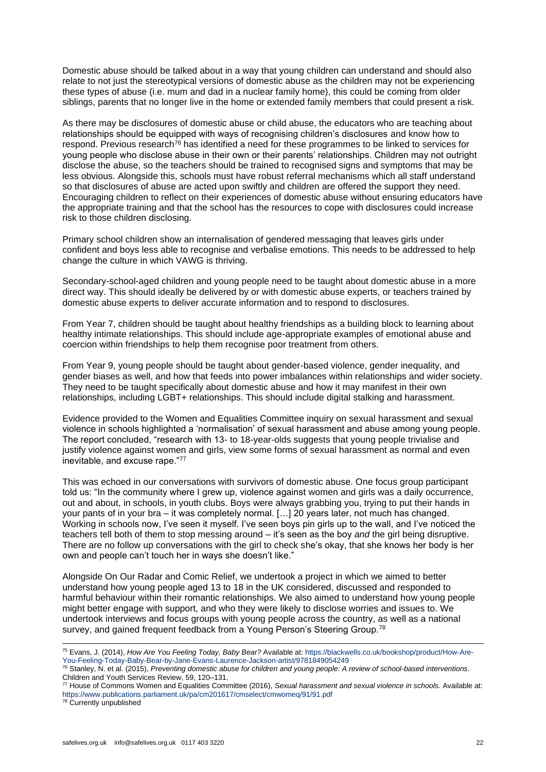Domestic abuse should be talked about in a way that young children can understand and should also relate to not just the stereotypical versions of domestic abuse as the children may not be experiencing these types of abuse (i.e. mum and dad in a nuclear family home), this could be coming from older siblings, parents that no longer live in the home or extended family members that could present a risk.

As there may be disclosures of domestic abuse or child abuse, the educators who are teaching about relationships should be equipped with ways of recognising children's disclosures and know how to respond. Previous research<sup>76</sup> has identified a need for these programmes to be linked to services for young people who disclose abuse in their own or their parents' relationships. Children may not outright disclose the abuse, so the teachers should be trained to recognised signs and symptoms that may be less obvious. Alongside this, schools must have robust referral mechanisms which all staff understand so that disclosures of abuse are acted upon swiftly and children are offered the support they need. Encouraging children to reflect on their experiences of domestic abuse without ensuring educators have the appropriate training and that the school has the resources to cope with disclosures could increase risk to those children disclosing.

Primary school children show an internalisation of gendered messaging that leaves girls under confident and boys less able to recognise and verbalise emotions. This needs to be addressed to help change the culture in which VAWG is thriving.

Secondary-school-aged children and young people need to be taught about domestic abuse in a more direct way. This should ideally be delivered by or with domestic abuse experts, or teachers trained by domestic abuse experts to deliver accurate information and to respond to disclosures.

From Year 7, children should be taught about healthy friendships as a building block to learning about healthy intimate relationships. This should include age-appropriate examples of emotional abuse and coercion within friendships to help them recognise poor treatment from others.

From Year 9, young people should be taught about gender-based violence, gender inequality, and gender biases as well, and how that feeds into power imbalances within relationships and wider society. They need to be taught specifically about domestic abuse and how it may manifest in their own relationships, including LGBT+ relationships. This should include digital stalking and harassment.

Evidence provided to the Women and Equalities Committee inquiry on sexual harassment and sexual violence in schools highlighted a 'normalisation' of sexual harassment and abuse among young people. The report concluded, "research with 13- to 18-year-olds suggests that young people trivialise and justify violence against women and girls, view some forms of sexual harassment as normal and even inevitable, and excuse rape."<sup>77</sup>

This was echoed in our conversations with survivors of domestic abuse. One focus group participant told us: "In the community where I grew up, violence against women and girls was a daily occurrence, out and about, in schools, in youth clubs. Boys were always grabbing you, trying to put their hands in your pants of in your bra – it was completely normal. […] 20 years later, not much has changed. Working in schools now, I've seen it myself. I've seen boys pin girls up to the wall, and I've noticed the teachers tell both of them to stop messing around – it's seen as the boy *and* the girl being disruptive. There are no follow up conversations with the girl to check she's okay, that she knows her body is her own and people can't touch her in ways she doesn't like."

Alongside On Our Radar and Comic Relief, we undertook a project in which we aimed to better understand how young people aged 13 to 18 in the UK considered, discussed and responded to harmful behaviour within their romantic relationships. We also aimed to understand how young people might better engage with support, and who they were likely to disclose worries and issues to. We undertook interviews and focus groups with young people across the country, as well as a national survey, and gained frequent feedback from a Young Person's Steering Group.<sup>78</sup>

<sup>78</sup> Currently unpublished

<sup>75</sup> Evans, J. (2014), *How Are You Feeling Today, Baby Bear?* Available at: [https://blackwells.co.uk/bookshop/product/How-Are-](https://blackwells.co.uk/bookshop/product/How-Are-You-Feeling-Today-Baby-Bear-by-Jane-Evans-Laurence-Jackson-artist/9781849054249)[You-Feeling-Today-Baby-Bear-by-Jane-Evans-Laurence-Jackson-artist/9781849054249](https://blackwells.co.uk/bookshop/product/How-Are-You-Feeling-Today-Baby-Bear-by-Jane-Evans-Laurence-Jackson-artist/9781849054249)

<sup>76</sup> Stanley, N. et al. (2015), *Preventing domestic abuse for children and young people: A review of school-based interventions*. Children and Youth Services Review, 59, 120–131.

<sup>77</sup> House of Commons Women and Equalities Committee (2016), *Sexual harassment and sexual violence in schools.* Available at: <https://www.publications.parliament.uk/pa/cm201617/cmselect/cmwomeq/91/91.pdf>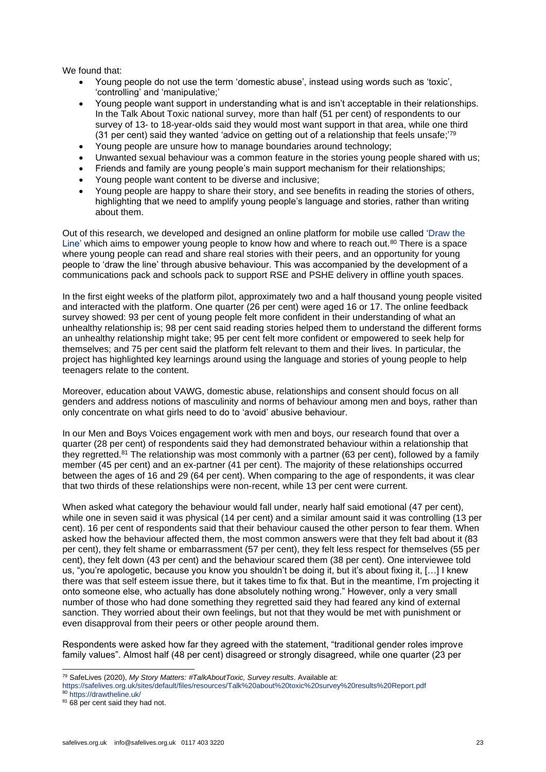We found that:

- Young people do not use the term 'domestic abuse', instead using words such as 'toxic', 'controlling' and 'manipulative;'
- Young people want support in understanding what is and isn't acceptable in their relationships. In the Talk About Toxic national survey, more than half (51 per cent) of respondents to our survey of 13- to 18-year-olds said they would most want support in that area, while one third (31 per cent) said they wanted 'advice on getting out of a relationship that feels unsafe;'<sup>79</sup>
- Young people are unsure how to manage boundaries around technology;
- Unwanted sexual behaviour was a common feature in the stories young people shared with us;
- Friends and family are young people's main support mechanism for their relationships;
- Young people want content to be diverse and inclusive;
- Young people are happy to share their story, and see benefits in reading the stories of others, highlighting that we need to amplify young people's language and stories, rather than writing about them.

Out of this research, we developed and designed an online platform for mobile use called ['Draw the](https://drawtheline.uk/)  [Line'](https://drawtheline.uk/) which aims to empower young people to know how and where to reach out.<sup>80</sup> There is a space where young people can read and share real stories with their peers, and an opportunity for young people to 'draw the line' through abusive behaviour. This was accompanied by the development of a communications pack and schools pack to support RSE and PSHE delivery in offline youth spaces.

In the first eight weeks of the platform pilot, approximately two and a half thousand young people visited and interacted with the platform. One quarter (26 per cent) were aged 16 or 17. The online feedback survey showed: 93 per cent of young people felt more confident in their understanding of what an unhealthy relationship is; 98 per cent said reading stories helped them to understand the different forms an unhealthy relationship might take; 95 per cent felt more confident or empowered to seek help for themselves; and 75 per cent said the platform felt relevant to them and their lives. In particular, the project has highlighted key learnings around using the language and stories of young people to help teenagers relate to the content.

Moreover, education about VAWG, domestic abuse, relationships and consent should focus on all genders and address notions of masculinity and norms of behaviour among men and boys, rather than only concentrate on what girls need to do to 'avoid' abusive behaviour.

In our Men and Boys Voices engagement work with men and boys, our research found that over a quarter (28 per cent) of respondents said they had demonstrated behaviour within a relationship that they regretted.<sup>81</sup> The relationship was most commonly with a partner (63 per cent), followed by a family member (45 per cent) and an ex-partner (41 per cent). The majority of these relationships occurred between the ages of 16 and 29 (64 per cent). When comparing to the age of respondents, it was clear that two thirds of these relationships were non-recent, while 13 per cent were current.

When asked what category the behaviour would fall under, nearly half said emotional (47 per cent), while one in seven said it was physical (14 per cent) and a similar amount said it was controlling (13 per cent). 16 per cent of respondents said that their behaviour caused the other person to fear them. When asked how the behaviour affected them, the most common answers were that they felt bad about it (83 per cent), they felt shame or embarrassment (57 per cent), they felt less respect for themselves (55 per cent), they felt down (43 per cent) and the behaviour scared them (38 per cent). One interviewee told us, "you're apologetic, because you know you shouldn't be doing it, but it's about fixing it, […] I knew there was that self esteem issue there, but it takes time to fix that. But in the meantime, I'm projecting it onto someone else, who actually has done absolutely nothing wrong." However, only a very small number of those who had done something they regretted said they had feared any kind of external sanction. They worried about their own feelings, but not that they would be met with punishment or even disapproval from their peers or other people around them.

Respondents were asked how far they agreed with the statement, "traditional gender roles improve family values". Almost half (48 per cent) disagreed or strongly disagreed, while one quarter (23 per

<sup>79</sup> SafeLives (2020), *My Story Matters: #TalkAboutToxic, Survey results*. Available at:

<https://safelives.org.uk/sites/default/files/resources/Talk%20about%20toxic%20survey%20results%20Report.pdf>

<sup>80</sup> <https://drawtheline.uk/>

<sup>&</sup>lt;sup>81</sup> 68 per cent said they had not.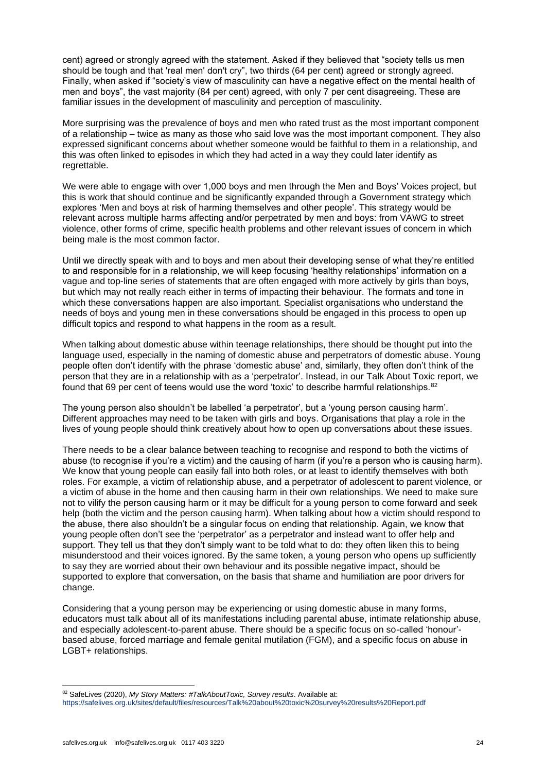cent) agreed or strongly agreed with the statement. Asked if they believed that "society tells us men should be tough and that 'real men' don't cry", two thirds (64 per cent) agreed or strongly agreed. Finally, when asked if "society's view of masculinity can have a negative effect on the mental health of men and boys", the vast majority (84 per cent) agreed, with only 7 per cent disagreeing. These are familiar issues in the development of masculinity and perception of masculinity.

More surprising was the prevalence of boys and men who rated trust as the most important component of a relationship – twice as many as those who said love was the most important component. They also expressed significant concerns about whether someone would be faithful to them in a relationship, and this was often linked to episodes in which they had acted in a way they could later identify as regrettable.

We were able to engage with over 1,000 boys and men through the Men and Boys' Voices project, but this is work that should continue and be significantly expanded through a Government strategy which explores 'Men and boys at risk of harming themselves and other people'. This strategy would be relevant across multiple harms affecting and/or perpetrated by men and boys: from VAWG to street violence, other forms of crime, specific health problems and other relevant issues of concern in which being male is the most common factor.

Until we directly speak with and to boys and men about their developing sense of what they're entitled to and responsible for in a relationship, we will keep focusing 'healthy relationships' information on a vague and top-line series of statements that are often engaged with more actively by girls than boys, but which may not really reach either in terms of impacting their behaviour. The formats and tone in which these conversations happen are also important. Specialist organisations who understand the needs of boys and young men in these conversations should be engaged in this process to open up difficult topics and respond to what happens in the room as a result.

When talking about domestic abuse within teenage relationships, there should be thought put into the language used, especially in the naming of domestic abuse and perpetrators of domestic abuse. Young people often don't identify with the phrase 'domestic abuse' and, similarly, they often don't think of the person that they are in a relationship with as a 'perpetrator'. Instead, in our Talk About Toxic report, we found that 69 per cent of teens would use the word 'toxic' to describe harmful relationships. 82

The young person also shouldn't be labelled 'a perpetrator', but a 'young person causing harm'. Different approaches may need to be taken with girls and boys. Organisations that play a role in the lives of young people should think creatively about how to open up conversations about these issues.

There needs to be a clear balance between teaching to recognise and respond to both the victims of abuse (to recognise if you're a victim) and the causing of harm (if you're a person who is causing harm). We know that young people can easily fall into both roles, or at least to identify themselves with both roles. For example, a victim of relationship abuse, and a perpetrator of adolescent to parent violence, or a victim of abuse in the home and then causing harm in their own relationships. We need to make sure not to vilify the person causing harm or it may be difficult for a young person to come forward and seek help (both the victim and the person causing harm). When talking about how a victim should respond to the abuse, there also shouldn't be a singular focus on ending that relationship. Again, we know that young people often don't see the 'perpetrator' as a perpetrator and instead want to offer help and support. They tell us that they don't simply want to be told what to do: they often liken this to being misunderstood and their voices ignored. By the same token, a young person who opens up sufficiently to say they are worried about their own behaviour and its possible negative impact, should be supported to explore that conversation, on the basis that shame and humiliation are poor drivers for change.

Considering that a young person may be experiencing or using domestic abuse in many forms, educators must talk about all of its manifestations including parental abuse, intimate relationship abuse, and especially adolescent-to-parent abuse. There should be a specific focus on so-called 'honour' based abuse, forced marriage and female genital mutilation (FGM), and a specific focus on abuse in LGBT+ relationships.

<sup>82</sup> SafeLives (2020), My Story Matters: #TalkAboutToxic, Survey results. Available at:

<https://safelives.org.uk/sites/default/files/resources/Talk%20about%20toxic%20survey%20results%20Report.pdf>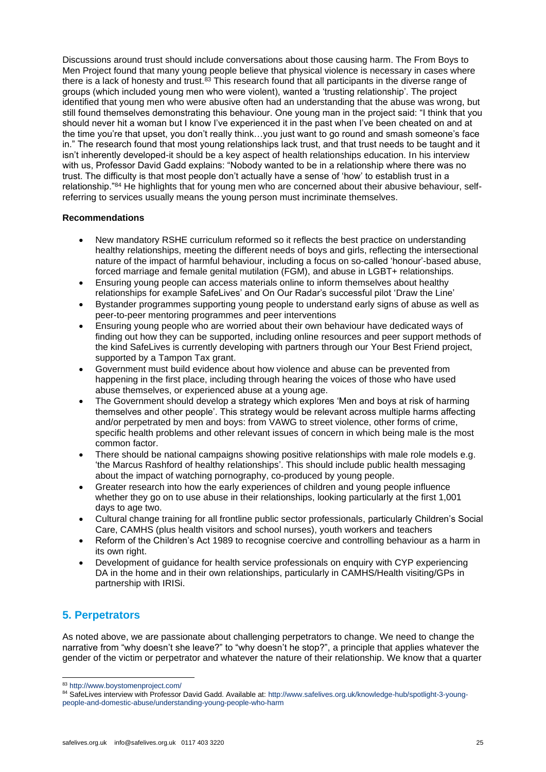Discussions around trust should include conversations about those causing harm. The From Boys to Men Project found that many young people believe that physical violence is necessary in cases where there is a lack of honesty and trust.<sup>83</sup> This research found that all participants in the diverse range of groups (which included young men who were violent), wanted a 'trusting relationship'. The project identified that young men who were abusive often had an understanding that the abuse was wrong, but still found themselves demonstrating this behaviour. One young man in the project said: "I think that you should never hit a woman but I know I've experienced it in the past when I've been cheated on and at the time you're that upset, you don't really think…you just want to go round and smash someone's face in." The research found that most young relationships lack trust, and that trust needs to be taught and it isn't inherently developed-it should be a key aspect of health relationships education. In his interview with us, Professor David Gadd explains: "Nobody wanted to be in a relationship where there was no trust. The difficulty is that most people don't actually have a sense of 'how' to establish trust in a relationship."<sup>84</sup> He highlights that for young men who are concerned about their abusive behaviour, selfreferring to services usually means the young person must incriminate themselves.

# **Recommendations**

- New mandatory RSHE curriculum reformed so it reflects the best practice on understanding healthy relationships, meeting the different needs of boys and girls, reflecting the intersectional nature of the impact of harmful behaviour, including a focus on so-called 'honour'-based abuse, forced marriage and female genital mutilation (FGM), and abuse in LGBT+ relationships.
- Ensuring young people can access materials online to inform themselves about healthy relationships for example SafeLives' and On Our Radar's successful pilot 'Draw the Line'
- Bystander programmes supporting young people to understand early signs of abuse as well as peer-to-peer mentoring programmes and peer interventions
- Ensuring young people who are worried about their own behaviour have dedicated ways of finding out how they can be supported, including online resources and peer support methods of the kind SafeLives is currently developing with partners through our Your Best Friend project, supported by a Tampon Tax grant.
- Government must build evidence about how violence and abuse can be prevented from happening in the first place, including through hearing the voices of those who have used abuse themselves, or experienced abuse at a young age.
- The Government should develop a strategy which explores 'Men and boys at risk of harming themselves and other people'. This strategy would be relevant across multiple harms affecting and/or perpetrated by men and boys: from VAWG to street violence, other forms of crime, specific health problems and other relevant issues of concern in which being male is the most common factor.
- There should be national campaigns showing positive relationships with male role models e.g. 'the Marcus Rashford of healthy relationships'. This should include public health messaging about the impact of watching pornography, co-produced by young people.
- Greater research into how the early experiences of children and young people influence whether they go on to use abuse in their relationships, looking particularly at the first 1,001 days to age two.
- Cultural change training for all frontline public sector professionals, particularly Children's Social Care, CAMHS (plus health visitors and school nurses), youth workers and teachers
- Reform of the Children's Act 1989 to recognise coercive and controlling behaviour as a harm in its own right.
- Development of guidance for health service professionals on enquiry with CYP experiencing DA in the home and in their own relationships, particularly in CAMHS/Health visiting/GPs in partnership with IRISi.

# **5. Perpetrators**

As noted above, we are passionate about challenging perpetrators to change. We need to change the narrative from "why doesn't she leave?" to "why doesn't he stop?", a principle that applies whatever the gender of the victim or perpetrator and whatever the nature of their relationship. We know that a quarter

<sup>83</sup> <http://www.boystomenproject.com/>

<sup>84</sup> SafeLives interview with Professor David Gadd. Available at: [http://www.safelives.org.uk/knowledge-hub/spotlight-3-young](http://www.safelives.org.uk/knowledge-hub/spotlight-3-young-people-and-domestic-abuse/understanding-young-people-who-harm)[people-and-domestic-abuse/understanding-young-people-who-harm](http://www.safelives.org.uk/knowledge-hub/spotlight-3-young-people-and-domestic-abuse/understanding-young-people-who-harm)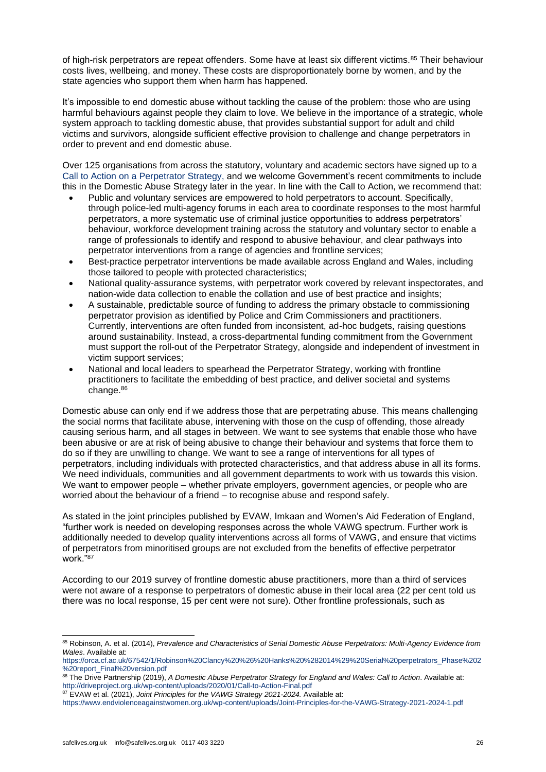of high-risk perpetrators are repeat offenders. Some have at least six different victims.<sup>85</sup> Their behaviour costs lives, wellbeing, and money. These costs are disproportionately borne by women, and by the state agencies who support them when harm has happened.

It's impossible to end domestic abuse without tackling the cause of the problem: those who are using harmful behaviours against people they claim to love. We believe in the importance of a strategic, whole system approach to tackling domestic abuse, that provides substantial support for adult and child victims and survivors, alongside sufficient effective provision to challenge and change perpetrators in order to prevent and end domestic abuse.

Over 125 organisations from across the statutory, voluntary and academic sectors have signed up to a [Call to Action on a Perpetrator Strategy,](http://driveproject.org.uk/wp-content/uploads/2020/01/Call-to-Action-Final.pdf) and we welcome Government's recent commitments to include this in the Domestic Abuse Strategy later in the year. In line with the Call to Action, we recommend that:

- Public and voluntary services are empowered to hold perpetrators to account. Specifically, through police-led multi-agency forums in each area to coordinate responses to the most harmful perpetrators, a more systematic use of criminal justice opportunities to address perpetrators' behaviour, workforce development training across the statutory and voluntary sector to enable a range of professionals to identify and respond to abusive behaviour, and clear pathways into perpetrator interventions from a range of agencies and frontline services;
- Best-practice perpetrator interventions be made available across England and Wales, including those tailored to people with protected characteristics;
- National quality-assurance systems, with perpetrator work covered by relevant inspectorates, and nation-wide data collection to enable the collation and use of best practice and insights;
- A sustainable, predictable source of funding to address the primary obstacle to commissioning perpetrator provision as identified by Police and Crim Commissioners and practitioners. Currently, interventions are often funded from inconsistent, ad-hoc budgets, raising questions around sustainability. Instead, a cross-departmental funding commitment from the Government must support the roll-out of the Perpetrator Strategy, alongside and independent of investment in victim support services;
- National and local leaders to spearhead the Perpetrator Strategy, working with frontline practitioners to facilitate the embedding of best practice, and deliver societal and systems change.<sup>86</sup>

Domestic abuse can only end if we address those that are perpetrating abuse. This means challenging the social norms that facilitate abuse, intervening with those on the cusp of offending, those already causing serious harm, and all stages in between. We want to see systems that enable those who have been abusive or are at risk of being abusive to change their behaviour and systems that force them to do so if they are unwilling to change. We want to see a range of interventions for all types of perpetrators, including individuals with protected characteristics, and that address abuse in all its forms. We need individuals, communities and all government departments to work with us towards this vision. We want to empower people – whether private employers, government agencies, or people who are worried about the behaviour of a friend – to recognise abuse and respond safely.

As stated in the joint principles published by EVAW, Imkaan and Women's Aid Federation of England, "further work is needed on developing responses across the whole VAWG spectrum. Further work is additionally needed to develop quality interventions across all forms of VAWG, and ensure that victims of perpetrators from minoritised groups are not excluded from the benefits of effective perpetrator work."<sup>87</sup>

According to our 2019 survey of frontline domestic abuse practitioners, more than a third of services were not aware of a response to perpetrators of domestic abuse in their local area (22 per cent told us there was no local response, 15 per cent were not sure). Other frontline professionals, such as

<sup>85</sup> Robinson, A. et al. (2014), *Prevalence and Characteristics of Serial Domestic Abuse Perpetrators: Multi-Agency Evidence from Wales*. Available at:

[https://orca.cf.ac.uk/67542/1/Robinson%20Clancy%20%26%20Hanks%20%282014%29%20Serial%20perpetrators\\_Phase%202](https://orca.cf.ac.uk/67542/1/Robinson%20Clancy%20%26%20Hanks%20%282014%29%20Serial%20perpetrators_Phase%202%20report_Final%20version.pdf) [%20report\\_Final%20version.pdf](https://orca.cf.ac.uk/67542/1/Robinson%20Clancy%20%26%20Hanks%20%282014%29%20Serial%20perpetrators_Phase%202%20report_Final%20version.pdf)

<sup>86</sup> The Drive Partnership (2019), *A Domestic Abuse Perpetrator Strategy for England and Wales: Call to Action*. Available at: <http://driveproject.org.uk/wp-content/uploads/2020/01/Call-to-Action-Final.pdf>

<sup>87</sup> EVAW et al. (2021), *Joint Principles for the VAWG Strategy 2021-2024.* Available at:

<https://www.endviolenceagainstwomen.org.uk/wp-content/uploads/Joint-Principles-for-the-VAWG-Strategy-2021-2024-1.pdf>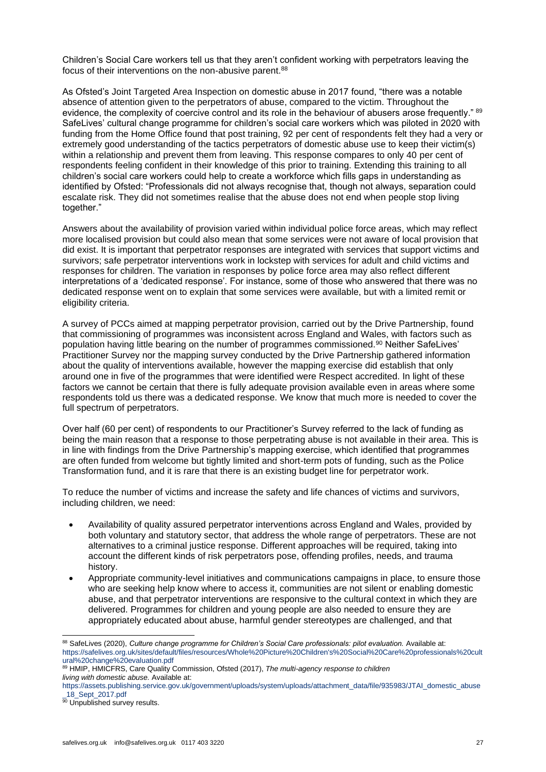Children's Social Care workers tell us that they aren't confident working with perpetrators leaving the focus of their interventions on the non-abusive parent.<sup>88</sup>

As Ofsted's Joint Targeted Area Inspection on domestic abuse in 2017 found, "there was a notable absence of attention given to the perpetrators of abuse, compared to the victim. Throughout the evidence, the complexity of coercive control and its role in the behaviour of abusers arose frequently." 89 SafeLives' cultural change programme for children's social care workers which was piloted in 2020 with funding from the Home Office found that post training, 92 per cent of respondents felt they had a very or extremely good understanding of the tactics perpetrators of domestic abuse use to keep their victim(s) within a relationship and prevent them from leaving. This response compares to only 40 per cent of respondents feeling confident in their knowledge of this prior to training. Extending this training to all children's social care workers could help to create a workforce which fills gaps in understanding as identified by Ofsted: "Professionals did not always recognise that, though not always, separation could escalate risk. They did not sometimes realise that the abuse does not end when people stop living together."

Answers about the availability of provision varied within individual police force areas, which may reflect more localised provision but could also mean that some services were not aware of local provision that did exist. It is important that perpetrator responses are integrated with services that support victims and survivors; safe perpetrator interventions work in lockstep with services for adult and child victims and responses for children. The variation in responses by police force area may also reflect different interpretations of a 'dedicated response'. For instance, some of those who answered that there was no dedicated response went on to explain that some services were available, but with a limited remit or eligibility criteria.

A survey of PCCs aimed at mapping perpetrator provision, carried out by the Drive Partnership, found that commissioning of programmes was inconsistent across England and Wales, with factors such as population having little bearing on the number of programmes commissioned.<sup>90</sup> Neither SafeLives' Practitioner Survey nor the mapping survey conducted by the Drive Partnership gathered information about the quality of interventions available, however the mapping exercise did establish that only around one in five of the programmes that were identified were Respect accredited. In light of these factors we cannot be certain that there is fully adequate provision available even in areas where some respondents told us there was a dedicated response. We know that much more is needed to cover the full spectrum of perpetrators.

Over half (60 per cent) of respondents to our Practitioner's Survey referred to the lack of funding as being the main reason that a response to those perpetrating abuse is not available in their area. This is in line with findings from the Drive Partnership's mapping exercise, which identified that programmes are often funded from welcome but tightly limited and short-term pots of funding, such as the Police Transformation fund, and it is rare that there is an existing budget line for perpetrator work.

To reduce the number of victims and increase the safety and life chances of victims and survivors, including children, we need:

- Availability of quality assured perpetrator interventions across England and Wales, provided by both voluntary and statutory sector, that address the whole range of perpetrators. These are not alternatives to a criminal justice response. Different approaches will be required, taking into account the different kinds of risk perpetrators pose, offending profiles, needs, and trauma history.
- Appropriate community-level initiatives and communications campaigns in place, to ensure those who are seeking help know where to access it, communities are not silent or enabling domestic abuse, and that perpetrator interventions are responsive to the cultural context in which they are delivered. Programmes for children and young people are also needed to ensure they are appropriately educated about abuse, harmful gender stereotypes are challenged, and that

<sup>88</sup> SafeLives (2020), *Culture change programme for Children's Social Care professionals: pilot evaluation*. Available at: [https://safelives.org.uk/sites/default/files/resources/Whole%20Picture%20Children's%20Social%20Care%20professionals%20cult](https://safelives.org.uk/sites/default/files/resources/Whole%20Picture%20Children) [ural%20change%20evaluation.pdf](https://safelives.org.uk/sites/default/files/resources/Whole%20Picture%20Children)

<sup>89</sup> HMIP, HMICFRS, Care Quality Commission, Ofsted (2017), *The multi-agency response to children living with domestic abuse.* Available at:

[https://assets.publishing.service.gov.uk/government/uploads/system/uploads/attachment\\_data/file/935983/JTAI\\_domestic\\_abuse](https://assets.publishing.service.gov.uk/government/uploads/system/uploads/attachment_data/file/935983/JTAI_domestic_abuse_18_Sept_2017.pdf) [\\_18\\_Sept\\_2017.pdf](https://assets.publishing.service.gov.uk/government/uploads/system/uploads/attachment_data/file/935983/JTAI_domestic_abuse_18_Sept_2017.pdf)

<sup>&</sup>lt;sup>90</sup> Unpublished survey results.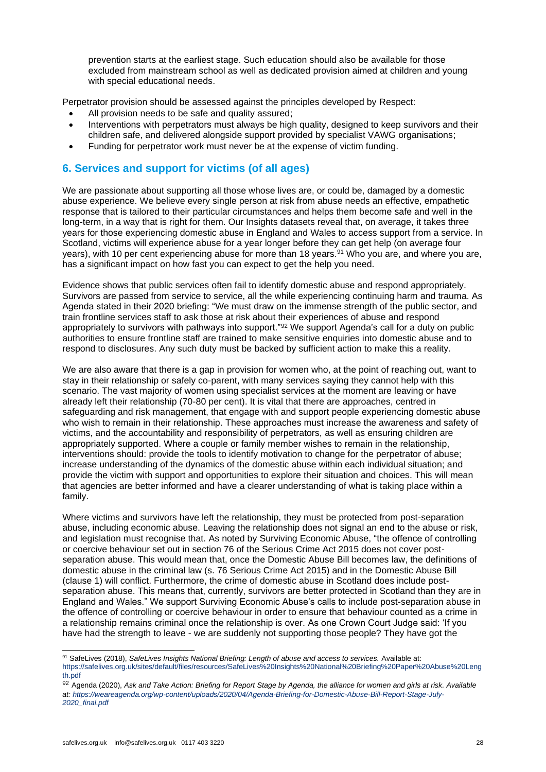prevention starts at the earliest stage. Such education should also be available for those excluded from mainstream school as well as dedicated provision aimed at children and young with special educational needs.

Perpetrator provision should be assessed against the principles developed by Respect:

- All provision needs to be safe and quality assured;
- Interventions with perpetrators must always be high quality, designed to keep survivors and their children safe, and delivered alongside support provided by specialist VAWG organisations;
- Funding for perpetrator work must never be at the expense of victim funding.

# **6. Services and support for victims (of all ages)**

We are passionate about supporting all those whose lives are, or could be, damaged by a domestic abuse experience. We believe every single person at risk from abuse needs an effective, empathetic response that is tailored to their particular circumstances and helps them become safe and well in the long-term, in a way that is right for them. Our Insights datasets reveal that, on average, it takes three years for those experiencing domestic abuse in England and Wales to access support from a service. In Scotland, victims will experience abuse for a year longer before they can get help (on average four years), with 10 per cent experiencing abuse for more than 18 years.<sup>91</sup> Who you are, and where you are, has a significant impact on how fast you can expect to get the help you need.

Evidence shows that public services often fail to identify domestic abuse and respond appropriately. Survivors are passed from service to service, all the while experiencing continuing harm and trauma. As Agenda stated in their 2020 briefing: "We must draw on the immense strength of the public sector, and train frontline services staff to ask those at risk about their experiences of abuse and respond appropriately to survivors with pathways into support."<sup>92</sup> We support Agenda's call for a duty on public authorities to ensure frontline staff are trained to make sensitive enquiries into domestic abuse and to respond to disclosures. Any such duty must be backed by sufficient action to make this a reality.

We are also aware that there is a gap in provision for women who, at the point of reaching out, want to stay in their relationship or safely co-parent, with many services saying they cannot help with this scenario. The vast majority of women using specialist services at the moment are leaving or have already left their relationship (70-80 per cent). It is vital that there are approaches, centred in safeguarding and risk management, that engage with and support people experiencing domestic abuse who wish to remain in their relationship. These approaches must increase the awareness and safety of victims, and the accountability and responsibility of perpetrators, as well as ensuring children are appropriately supported. Where a couple or family member wishes to remain in the relationship, interventions should: provide the tools to identify motivation to change for the perpetrator of abuse; increase understanding of the dynamics of the domestic abuse within each individual situation; and provide the victim with support and opportunities to explore their situation and choices. This will mean that agencies are better informed and have a clearer understanding of what is taking place within a family.

Where victims and survivors have left the relationship, they must be protected from post-separation abuse, including economic abuse. Leaving the relationship does not signal an end to the abuse or risk, and legislation must recognise that. As noted by Surviving Economic Abuse, "the offence of controlling or coercive behaviour set out in section 76 of the Serious Crime Act 2015 does not cover postseparation abuse. This would mean that, once the Domestic Abuse Bill becomes law, the definitions of domestic abuse in the criminal law (s. 76 Serious Crime Act 2015) and in the Domestic Abuse Bill (clause 1) will conflict. Furthermore, the crime of domestic abuse in Scotland does include postseparation abuse. This means that, currently, survivors are better protected in Scotland than they are in England and Wales." We support Surviving Economic Abuse's calls to include post-separation abuse in the offence of controlling or coercive behaviour in order to ensure that behaviour counted as a crime in a relationship remains criminal once the relationship is over. As one Crown Court Judge said: 'If you have had the strength to leave - we are suddenly not supporting those people? They have got the

<sup>91</sup> SafeLives (2018), *SafeLives Insights National Briefing: Length of abuse and access to services.* Available at: [https://safelives.org.uk/sites/default/files/resources/SafeLives%20Insights%20National%20Briefing%20Paper%20Abuse%20Leng](https://safelives.org.uk/sites/default/files/resources/SafeLives%20Insights%20National%20Briefing%20Paper%20Abuse%20Length.pdf) [th.pdf](https://safelives.org.uk/sites/default/files/resources/SafeLives%20Insights%20National%20Briefing%20Paper%20Abuse%20Length.pdf)

<sup>92</sup> Agenda (2020), *Ask and Take Action: Briefing for Report Stage by Agenda, the alliance for women and girls at risk. Available at[: https://weareagenda.org/wp-content/uploads/2020/04/Agenda-Briefing-for-Domestic-Abuse-Bill-Report-Stage-July-](https://weareagenda.org/wp-content/uploads/2020/04/Agenda-Briefing-for-Domestic-Abuse-Bill-Report-Stage-July-2020_final.pdf)[2020\\_final.pdf](https://weareagenda.org/wp-content/uploads/2020/04/Agenda-Briefing-for-Domestic-Abuse-Bill-Report-Stage-July-2020_final.pdf)*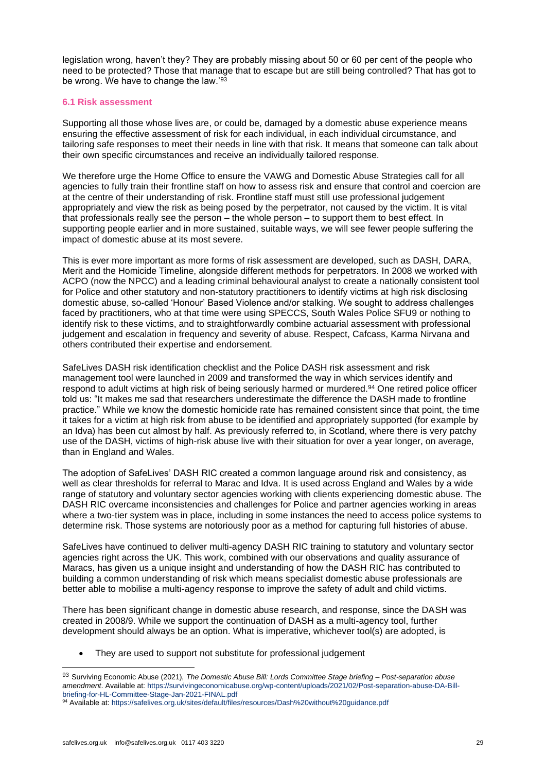legislation wrong, haven't they? They are probably missing about 50 or 60 per cent of the people who need to be protected? Those that manage that to escape but are still being controlled? That has got to be wrong. We have to change the law.'93

#### **6.1 Risk assessment**

Supporting all those whose lives are, or could be, damaged by a domestic abuse experience means ensuring the effective assessment of risk for each individual, in each individual circumstance, and tailoring safe responses to meet their needs in line with that risk. It means that someone can talk about their own specific circumstances and receive an individually tailored response.

We therefore urge the Home Office to ensure the VAWG and Domestic Abuse Strategies call for all agencies to fully train their frontline staff on how to assess risk and ensure that control and coercion are at the centre of their understanding of risk. Frontline staff must still use professional judgement appropriately and view the risk as being posed by the perpetrator, not caused by the victim. It is vital that professionals really see the person – the whole person – to support them to best effect. In supporting people earlier and in more sustained, suitable ways, we will see fewer people suffering the impact of domestic abuse at its most severe.

This is ever more important as more forms of risk assessment are developed, such as DASH, DARA, Merit and the Homicide Timeline, alongside different methods for perpetrators. In 2008 we worked with ACPO (now the NPCC) and a leading criminal behavioural analyst to create a nationally consistent tool for Police and other statutory and non-statutory practitioners to identify victims at high risk disclosing domestic abuse, so-called 'Honour' Based Violence and/or stalking. We sought to address challenges faced by practitioners, who at that time were using SPECCS, South Wales Police SFU9 or nothing to identify risk to these victims, and to straightforwardly combine actuarial assessment with professional judgement and escalation in frequency and severity of abuse. Respect, Cafcass, Karma Nirvana and others contributed their expertise and endorsement.

SafeLives DASH risk identification checklist and the Police DASH risk assessment and risk management tool were launched in 2009 and transformed the way in which services identify and respond to adult victims at high risk of being seriously harmed or murdered.<sup>94</sup> One retired police officer told us: "It makes me sad that researchers underestimate the difference the DASH made to frontline practice." While we know the domestic homicide rate has remained consistent since that point, the time it takes for a victim at high risk from abuse to be identified and appropriately supported (for example by an Idva) has been cut almost by half. As previously referred to, in Scotland, where there is very patchy use of the DASH, victims of high-risk abuse live with their situation for over a year longer, on average, than in England and Wales.

The adoption of SafeLives' DASH RIC created a common language around risk and consistency, as well as clear thresholds for referral to Marac and Idva. It is used across England and Wales by a wide range of statutory and voluntary sector agencies working with clients experiencing domestic abuse. The DASH RIC overcame inconsistencies and challenges for Police and partner agencies working in areas where a two-tier system was in place, including in some instances the need to access police systems to determine risk. Those systems are notoriously poor as a method for capturing full histories of abuse.

SafeLives have continued to deliver multi-agency DASH RIC training to statutory and voluntary sector agencies right across the UK. This work, combined with our observations and quality assurance of Maracs, has given us a unique insight and understanding of how the DASH RIC has contributed to building a common understanding of risk which means specialist domestic abuse professionals are better able to mobilise a multi-agency response to improve the safety of adult and child victims.

There has been significant change in domestic abuse research, and response, since the DASH was created in 2008/9. While we support the continuation of DASH as a multi-agency tool, further development should always be an option. What is imperative, whichever tool(s) are adopted, is

They are used to support not substitute for professional judgement

<sup>93</sup> Surviving Economic Abuse (2021), *The Domestic Abuse Bill: Lords Committee Stage briefing – Post-separation abuse amendment*. Available at: [https://survivingeconomicabuse.org/wp-content/uploads/2021/02/Post-separation-abuse-DA-Bill](https://survivingeconomicabuse.org/wp-content/uploads/2021/02/Post-separation-abuse-DA-Bill-briefing-for-HL-Committee-Stage-Jan-2021-FINAL.pdf)[briefing-for-HL-Committee-Stage-Jan-2021-FINAL.pdf](https://survivingeconomicabuse.org/wp-content/uploads/2021/02/Post-separation-abuse-DA-Bill-briefing-for-HL-Committee-Stage-Jan-2021-FINAL.pdf)

<sup>94</sup> Available at: <https://safelives.org.uk/sites/default/files/resources/Dash%20without%20guidance.pdf>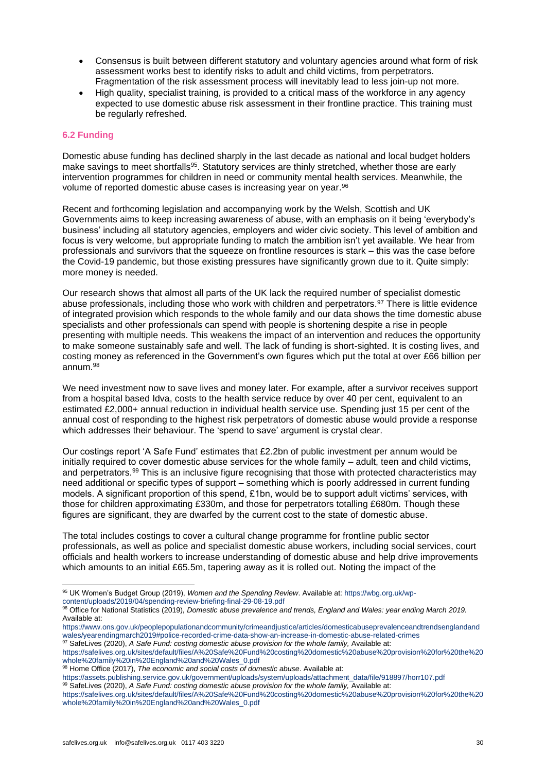- Consensus is built between different statutory and voluntary agencies around what form of risk assessment works best to identify risks to adult and child victims, from perpetrators. Fragmentation of the risk assessment process will inevitably lead to less join-up not more.
- High quality, specialist training, is provided to a critical mass of the workforce in any agency expected to use domestic abuse risk assessment in their frontline practice. This training must be regularly refreshed.

# **6.2 Funding**

Domestic abuse funding has declined sharply in the last decade as national and local budget holders make savings to meet shortfalls<sup>95</sup>. Statutory services are thinly stretched, whether those are early intervention programmes for children in need or community mental health services. Meanwhile, the volume of reported domestic abuse cases is increasing year on year. 96

Recent and forthcoming legislation and accompanying work by the Welsh, Scottish and UK Governments aims to keep increasing awareness of abuse, with an emphasis on it being 'everybody's business' including all statutory agencies, employers and wider civic society. This level of ambition and focus is very welcome, but appropriate funding to match the ambition isn't yet available. We hear from professionals and survivors that the squeeze on frontline resources is stark – this was the case before the Covid-19 pandemic, but those existing pressures have significantly grown due to it. Quite simply: more money is needed.

Our research shows that almost all parts of the UK lack the required number of specialist domestic abuse professionals, including those who work with children and perpetrators.<sup>97</sup> There is little evidence of integrated provision which responds to the whole family and our data shows the time domestic abuse specialists and other professionals can spend with people is shortening despite a rise in people presenting with multiple needs. This weakens the impact of an intervention and reduces the opportunity to make someone sustainably safe and well. The lack of funding is short-sighted. It is costing lives, and costing money as referenced in the Government's own figures which put the total at over £66 billion per annum. 98

We need investment now to save lives and money later. For example, after a survivor receives support from a hospital based Idva, costs to the health service reduce by over 40 per cent, equivalent to an estimated £2,000+ annual reduction in individual health service use. Spending just 15 per cent of the annual cost of responding to the highest risk perpetrators of domestic abuse would provide a response which addresses their behaviour. The 'spend to save' argument is crystal clear.

Our costings report 'A Safe Fund' estimates that £2.2bn of public investment per annum would be initially required to cover domestic abuse services for the whole family – adult, teen and child victims, and perpetrators.<sup>99</sup> This is an inclusive figure recognising that those with protected characteristics may need additional or specific types of support – something which is poorly addressed in current funding models. A significant proportion of this spend, £1bn, would be to support adult victims' services, with those for children approximating £330m, and those for perpetrators totalling £680m. Though these figures are significant, they are dwarfed by the current cost to the state of domestic abuse.

The total includes costings to cover a cultural change programme for frontline public sector professionals, as well as police and specialist domestic abuse workers, including social services, court officials and health workers to increase understanding of domestic abuse and help drive improvements which amounts to an initial £65.5m, tapering away as it is rolled out. Noting the impact of the

[https://assets.publishing.service.gov.uk/government/uploads/system/uploads/attachment\\_data/file/918897/horr107.pdf](https://assets.publishing.service.gov.uk/government/uploads/system/uploads/attachment_data/file/918897/horr107.pdf)

<sup>95</sup> UK Women's Budget Group (2019), *Women and the Spending Review*. Available at[: https://wbg.org.uk/wp](https://wbg.org.uk/wp-content/uploads/2019/04/spending-review-briefing-final-29-08-19.pdf)[content/uploads/2019/04/spending-review-briefing-final-29-08-19.pdf](https://wbg.org.uk/wp-content/uploads/2019/04/spending-review-briefing-final-29-08-19.pdf)

<sup>96</sup> Office for National Statistics (2019), *Domestic abuse prevalence and trends, England and Wales: year ending March 2019.*  Available at:

[https://www.ons.gov.uk/peoplepopulationandcommunity/crimeandjustice/articles/domesticabuseprevalenceandtrendsenglandand](https://www.ons.gov.uk/peoplepopulationandcommunity/crimeandjustice/articles/domesticabuseprevalenceandtrendsenglandandwales/yearendingmarch2019#police-recorded-crime-data-show-an-increase-in-domestic-abuse-related-crimes) [wales/yearendingmarch2019#police-recorded-crime-data-show-an-increase-in-domestic-abuse-related-crimes](https://www.ons.gov.uk/peoplepopulationandcommunity/crimeandjustice/articles/domesticabuseprevalenceandtrendsenglandandwales/yearendingmarch2019#police-recorded-crime-data-show-an-increase-in-domestic-abuse-related-crimes)

<sup>&</sup>lt;sup>97</sup> SafeLives (2020), *A Safe Fund: costing domestic abuse provision for the whole family, Available at:* 

[https://safelives.org.uk/sites/default/files/A%20Safe%20Fund%20costing%20domestic%20abuse%20provision%20for%20the%20](https://safelives.org.uk/sites/default/files/A%20Safe%20Fund%20costing%20domestic%20abuse%20provision%20for%20the%20whole%20family%20in%20England%20and%20Wales_0.pdf) [whole%20family%20in%20England%20and%20Wales\\_0.pdf](https://safelives.org.uk/sites/default/files/A%20Safe%20Fund%20costing%20domestic%20abuse%20provision%20for%20the%20whole%20family%20in%20England%20and%20Wales_0.pdf)

<sup>98</sup> Home Office (2017), *The economic and social costs of domestic abuse*. Available at:

<sup>99</sup> SafeLives (2020), A Safe Fund: costing domestic abuse provision for the whole family, Available at:

[https://safelives.org.uk/sites/default/files/A%20Safe%20Fund%20costing%20domestic%20abuse%20provision%20for%20the%20](https://safelives.org.uk/sites/default/files/A%20Safe%20Fund%20costing%20domestic%20abuse%20provision%20for%20the%20whole%20family%20in%20England%20and%20Wales_0.pdf) [whole%20family%20in%20England%20and%20Wales\\_0.pdf](https://safelives.org.uk/sites/default/files/A%20Safe%20Fund%20costing%20domestic%20abuse%20provision%20for%20the%20whole%20family%20in%20England%20and%20Wales_0.pdf)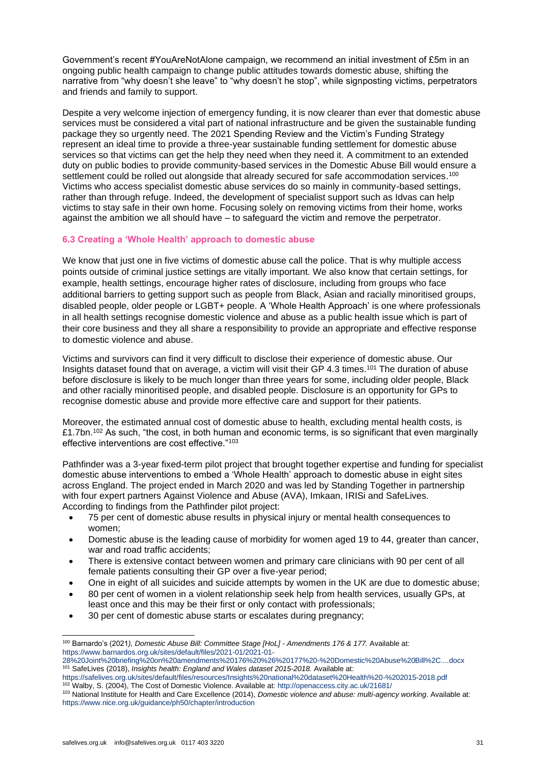Government's recent #YouAreNotAlone campaign, we recommend an initial investment of £5m in an ongoing public health campaign to change public attitudes towards domestic abuse, shifting the narrative from "why doesn't she leave" to "why doesn't he stop", while signposting victims, perpetrators and friends and family to support.

Despite a very welcome injection of emergency funding, it is now clearer than ever that domestic abuse services must be considered a vital part of national infrastructure and be given the sustainable funding package they so urgently need. The 2021 Spending Review and the Victim's Funding Strategy represent an ideal time to provide a three-year sustainable funding settlement for domestic abuse services so that victims can get the help they need when they need it. A commitment to an extended duty on public bodies to provide community-based services in the Domestic Abuse Bill would ensure a settlement could be rolled out alongside that already secured for safe accommodation services.<sup>100</sup> Victims who access specialist domestic abuse services do so mainly in community-based settings, rather than through refuge. Indeed, the development of specialist support such as Idvas can help victims to stay safe in their own home. Focusing solely on removing victims from their home, works against the ambition we all should have – to safeguard the victim and remove the perpetrator.

# **6.3 Creating a 'Whole Health' approach to domestic abuse**

We know that just one in five victims of domestic abuse call the police. That is why multiple access points outside of criminal justice settings are vitally important. We also know that certain settings, for example, health settings, encourage higher rates of disclosure, including from groups who face additional barriers to getting support such as people from Black, Asian and racially minoritised groups, disabled people, older people or LGBT+ people. A 'Whole Health Approach' is one where professionals in all health settings recognise domestic violence and abuse as a public health issue which is part of their core business and they all share a responsibility to provide an appropriate and effective response to domestic violence and abuse.

Victims and survivors can find it very difficult to disclose their experience of domestic abuse. Our Insights dataset found that on average, a victim will visit their GP 4.3 times.<sup>101</sup> The duration of abuse before disclosure is likely to be much longer than three years for some, including older people, Black and other racially minoritised people, and disabled people. Disclosure is an opportunity for GPs to recognise domestic abuse and provide more effective care and support for their patients.

Moreover, the estimated annual cost of domestic abuse to health, excluding mental health costs, is £1.7bn.<sup>102</sup> As such, "the cost, in both human and economic terms, is so significant that even marginally effective interventions are cost effective."<sup>103</sup>

Pathfinder was a 3-year fixed-term pilot project that brought together expertise and funding for specialist domestic abuse interventions to embed a 'Whole Health' approach to domestic abuse in eight sites across England. The project ended in March 2020 and was led by Standing Together in partnership with four expert partners Against Violence and Abuse (AVA), Imkaan, IRISi and SafeLives. According to findings from the Pathfinder pilot project:

- 75 per cent of domestic abuse results in physical injury or mental health consequences to women;
- Domestic abuse is the leading cause of morbidity for women aged 19 to 44, greater than cancer, war and road traffic accidents;
- There is extensive contact between women and primary care clinicians with 90 per cent of all female patients consulting their GP over a five-year period;
- One in eight of all suicides and suicide attempts by women in the UK are due to domestic abuse;
- 80 per cent of women in a violent relationship seek help from health services, usually GPs, at least once and this may be their first or only contact with professionals;
- 30 per cent of domestic abuse starts or escalates during pregnancy;

<sup>100</sup> Barnardo's (2021*), Domestic Abuse Bill: Committee Stage [HoL] - Amendments 176 & 177.* Available at: [https://www.barnardos.org.uk/sites/default/files/2021-01/2021-01-](https://www.barnardos.org.uk/sites/default/files/2021-01/2021-01-28%20Joint%20briefing%20on%20amendments%20176%20%26%20177%20-%20Domestic%20Abuse%20Bill%2C....docx)

[<sup>28%20</sup>Joint%20briefing%20on%20amendments%20176%20%26%20177%20-%20Domestic%20Abuse%20Bill%2C....docx](https://www.barnardos.org.uk/sites/default/files/2021-01/2021-01-28%20Joint%20briefing%20on%20amendments%20176%20%26%20177%20-%20Domestic%20Abuse%20Bill%2C....docx) <sup>101</sup> SafeLives (2018), *Insights health: England and Wales dataset 2015-2018.* Available at:

<https://safelives.org.uk/sites/default/files/resources/Insights%20national%20dataset%20Health%20-%202015-2018.pdf> <sup>102</sup> Walby, S. (2004), The Cost of Domestic Violence. Available at[: http://openaccess.city.ac.uk/21681/](http://openaccess.city.ac.uk/21681/)

<sup>103</sup> National Institute for Health and Care Excellence (2014), *Domestic violence and abuse: multi-agency working*. Available at: <https://www.nice.org.uk/guidance/ph50/chapter/introduction>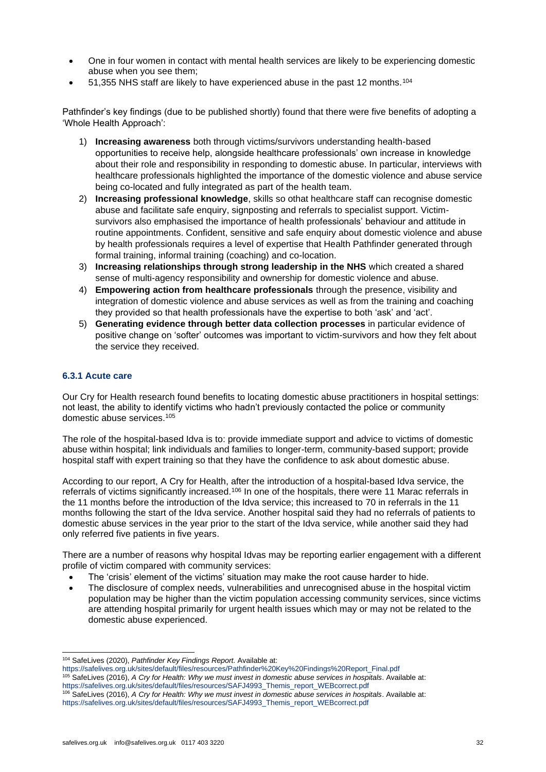- One in four women in contact with mental health services are likely to be experiencing domestic abuse when you see them;
- 51,355 NHS staff are likely to have experienced abuse in the past 12 months.<sup>104</sup>

Pathfinder's key findings (due to be published shortly) found that there were five benefits of adopting a 'Whole Health Approach':

- 1) **Increasing awareness** both through victims/survivors understanding health-based opportunities to receive help, alongside healthcare professionals' own increase in knowledge about their role and responsibility in responding to domestic abuse. In particular, interviews with healthcare professionals highlighted the importance of the domestic violence and abuse service being co-located and fully integrated as part of the health team.
- 2) **Increasing professional knowledge**, skills so othat healthcare staff can recognise domestic abuse and facilitate safe enquiry, signposting and referrals to specialist support. Victimsurvivors also emphasised the importance of health professionals' behaviour and attitude in routine appointments. Confident, sensitive and safe enquiry about domestic violence and abuse by health professionals requires a level of expertise that Health Pathfinder generated through formal training, informal training (coaching) and co-location.
- 3) **Increasing relationships through strong leadership in the NHS** which created a shared sense of multi-agency responsibility and ownership for domestic violence and abuse.
- 4) **Empowering action from healthcare professionals** through the presence, visibility and integration of domestic violence and abuse services as well as from the training and coaching they provided so that health professionals have the expertise to both 'ask' and 'act'.
- 5) **Generating evidence through better data collection processes** in particular evidence of positive change on 'softer' outcomes was important to victim-survivors and how they felt about the service they received.

# **6.3.1 Acute care**

Our Cry for Health research found benefits to locating domestic abuse practitioners in hospital settings: not least, the ability to identify victims who hadn't previously contacted the police or community domestic abuse services.<sup>105</sup>

The role of the hospital-based Idva is to: provide immediate support and advice to victims of domestic abuse within hospital; link individuals and families to longer-term, community-based support; provide hospital staff with expert training so that they have the confidence to ask about domestic abuse.

According to our report, A Cry for Health, after the introduction of a hospital-based Idva service, the referrals of victims significantly increased.<sup>106</sup> In one of the hospitals, there were 11 Marac referrals in the 11 months before the introduction of the Idva service; this increased to 70 in referrals in the 11 months following the start of the Idva service. Another hospital said they had no referrals of patients to domestic abuse services in the year prior to the start of the Idva service, while another said they had only referred five patients in five years.

There are a number of reasons why hospital Idvas may be reporting earlier engagement with a different profile of victim compared with community services:

- The 'crisis' element of the victims' situation may make the root cause harder to hide.
- The disclosure of complex needs, vulnerabilities and unrecognised abuse in the hospital victim population may be higher than the victim population accessing community services, since victims are attending hospital primarily for urgent health issues which may or may not be related to the domestic abuse experienced.

<sup>104</sup> SafeLives (2020), *Pathfinder Key Findings Report.* Available at:

[https://safelives.org.uk/sites/default/files/resources/Pathfinder%20Key%20Findings%20Report\\_Final.pdf](https://safelives.org.uk/sites/default/files/resources/Pathfinder%20Key%20Findings%20Report_Final.pdf) <sup>105</sup> SafeLives (2016), *A Cry for Health: Why we must invest in domestic abuse services in hospitals*. Available at: [https://safelives.org.uk/sites/default/files/resources/SAFJ4993\\_Themis\\_report\\_WEBcorrect.pdf](https://safelives.org.uk/sites/default/files/resources/SAFJ4993_Themis_report_WEBcorrect.pdf) <sup>106</sup> SafeLives (2016), *A Cry for Health: Why we must invest in domestic abuse services in hospitals*. Available at: [https://safelives.org.uk/sites/default/files/resources/SAFJ4993\\_Themis\\_report\\_WEBcorrect.pdf](https://safelives.org.uk/sites/default/files/resources/SAFJ4993_Themis_report_WEBcorrect.pdf)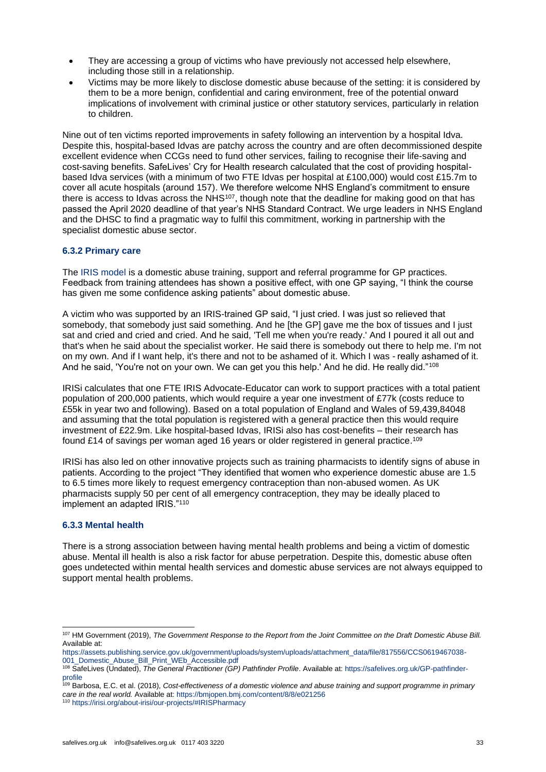- They are accessing a group of victims who have previously not accessed help elsewhere, including those still in a relationship.
- Victims may be more likely to disclose domestic abuse because of the setting: it is considered by them to be a more benign, confidential and caring environment, free of the potential onward implications of involvement with criminal justice or other statutory services, particularly in relation to children.

Nine out of ten victims reported improvements in safety following an intervention by a hospital Idva. Despite this, hospital-based Idvas are patchy across the country and are often decommissioned despite excellent evidence when CCGs need to fund other services, failing to recognise their life-saving and cost-saving benefits. SafeLives' Cry for Health research calculated that the cost of providing hospitalbased Idva services (with a minimum of two FTE Idvas per hospital at £100,000) would cost £15.7m to cover all acute hospitals (around 157). We therefore welcome NHS England's commitment to ensure there is access to Idvas across the NHS<sup>107</sup>, though note that the deadline for making good on that has passed the April 2020 deadline of that year's NHS Standard Contract. We urge leaders in NHS England and the DHSC to find a pragmatic way to fulfil this commitment, working in partnership with the specialist domestic abuse sector.

# **6.3.2 Primary care**

The [IRIS model](https://irisi.org/) is a domestic abuse training, support and referral programme for GP practices. Feedback from training attendees has shown a positive effect, with one GP saying, "I think the course has given me some confidence asking patients" about domestic abuse.

A victim who was supported by an IRIS-trained GP said, "I just cried. I was just so relieved that somebody, that somebody just said something. And he [the GP] gave me the box of tissues and I just sat and cried and cried and cried. And he said, 'Tell me when you're ready.' And I poured it all out and that's when he said about the specialist worker. He said there is somebody out there to help me. I'm not on my own. And if I want help, it's there and not to be ashamed of it. Which I was - really ashamed of it. And he said, 'You're not on your own. We can get you this help.' And he did. He really did."<sup>108</sup>

IRISi calculates that one FTE IRIS Advocate-Educator can work to support practices with a total patient population of 200,000 patients, which would require a year one investment of £77k (costs reduce to £55k in year two and following). Based on a total population of England and Wales of 59,439,84048 and assuming that the total population is registered with a general practice then this would require investment of £22.9m. Like hospital-based Idvas, IRISi also has cost-benefits – their research has found £14 of savings per woman aged 16 years or older registered in general practice.<sup>109</sup>

IRISi has also led on other innovative projects such as training pharmacists to identify signs of abuse in patients. According to the project "They identified that women who experience domestic abuse are 1.5 to 6.5 times more likely to request emergency contraception than non-abused women. As UK pharmacists supply 50 per cent of all emergency contraception, they may be ideally placed to implement an adapted IRIS."<sup>110</sup>

# **6.3.3 Mental health**

There is a strong association between having mental health problems and being a victim of domestic abuse. Mental ill health is also a risk factor for abuse perpetration. Despite this, domestic abuse often goes undetected within mental health services and domestic abuse services are not always equipped to support mental health problems.

<sup>107</sup> HM Government (2019), *The Government Response to the Report from the Joint Committee on the Draft Domestic Abuse Bill.* Available at:

[https://assets.publishing.service.gov.uk/government/uploads/system/uploads/attachment\\_data/file/817556/CCS0619467038-](https://assets.publishing.service.gov.uk/government/uploads/system/uploads/attachment_data/file/817556/CCS0619467038-001_Domestic_Abuse_Bill_Print_WEb_Accessible.pdf) [001\\_Domestic\\_Abuse\\_Bill\\_Print\\_WEb\\_Accessible.pdf](https://assets.publishing.service.gov.uk/government/uploads/system/uploads/attachment_data/file/817556/CCS0619467038-001_Domestic_Abuse_Bill_Print_WEb_Accessible.pdf)

<sup>108</sup> SafeLives (Undated), *The General Practitioner (GP) Pathfinder Profile*. Available at: [https://safelives.org.uk/GP-pathfinder](https://safelives.org.uk/GP-pathfinder-profile)[profile](https://safelives.org.uk/GP-pathfinder-profile)

<sup>109</sup> Barbosa, E.C. et al. (2018), *Cost-effectiveness of a domestic violence and abuse training and support programme in primary care in the real world.* Available at: <https://bmjopen.bmj.com/content/8/8/e021256> <sup>110</sup> <https://irisi.org/about-irisi/our-projects/#IRISPharmacy>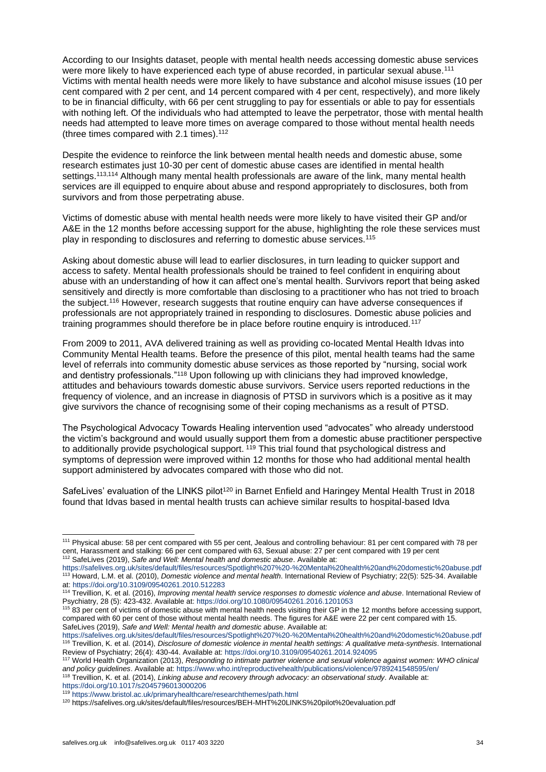According to our Insights dataset, people with mental health needs accessing domestic abuse services were more likely to have experienced each type of abuse recorded, in particular sexual abuse.<sup>111</sup> Victims with mental health needs were more likely to have substance and alcohol misuse issues (10 per cent compared with 2 per cent, and 14 percent compared with 4 per cent, respectively), and more likely to be in financial difficulty, with 66 per cent struggling to pay for essentials or able to pay for essentials with nothing left. Of the individuals who had attempted to leave the perpetrator, those with mental health needs had attempted to leave more times on average compared to those without mental health needs (three times compared with 2.1 times).<sup>112</sup>

Despite the evidence to reinforce the link between mental health needs and domestic abuse, some research estimates just 10-30 per cent of domestic abuse cases are identified in mental health settings.<sup>113,114</sup> Although many mental health professionals are aware of the link, many mental health services are ill equipped to enquire about abuse and respond appropriately to disclosures, both from survivors and from those perpetrating abuse.

Victims of domestic abuse with mental health needs were more likely to have visited their GP and/or A&E in the 12 months before accessing support for the abuse, highlighting the role these services must play in responding to disclosures and referring to domestic abuse services.<sup>115</sup>

Asking about domestic abuse will lead to earlier disclosures, in turn leading to quicker support and access to safety. Mental health professionals should be trained to feel confident in enquiring about abuse with an understanding of how it can affect one's mental health. Survivors report that being asked sensitively and directly is more comfortable than disclosing to a practitioner who has not tried to broach the subject.<sup>116</sup> However, research suggests that routine enquiry can have adverse consequences if professionals are not appropriately trained in responding to disclosures. Domestic abuse policies and training programmes should therefore be in place before routine enquiry is introduced.<sup>117</sup>

From 2009 to 2011, AVA delivered training as well as providing co-located Mental Health Idvas into Community Mental Health teams. Before the presence of this pilot, mental health teams had the same level of referrals into community domestic abuse services as those reported by "nursing, social work and dentistry professionals."<sup>118</sup> Upon following up with clinicians they had improved knowledge, attitudes and behaviours towards domestic abuse survivors. Service users reported reductions in the frequency of violence, and an increase in diagnosis of PTSD in survivors which is a positive as it may give survivors the chance of recognising some of their coping mechanisms as a result of PTSD.

The Psychological Advocacy Towards Healing intervention used "advocates" who already understood the victim's background and would usually support them from a domestic abuse practitioner perspective to additionally provide psychological support. <sup>119</sup> This trial found that psychological distress and symptoms of depression were improved within 12 months for those who had additional mental health support administered by advocates compared with those who did not.

SafeLives' evaluation of the LINKS pilot<sup>120</sup> in Barnet Enfield and Haringey Mental Health Trust in 2018 found that Idvas based in mental health trusts can achieve similar results to hospital-based Idva

<sup>111</sup> Physical abuse: 58 per cent compared with 55 per cent, Jealous and controlling behaviour: 81 per cent compared with 78 per cent, Harassment and stalking: 66 per cent compared with 63, Sexual abuse: 27 per cent compared with 19 per cent <sup>112</sup> SafeLives (2019), *Safe and Well: Mental health and domestic abuse*. Available at:

<https://safelives.org.uk/sites/default/files/resources/Spotlight%207%20-%20Mental%20health%20and%20domestic%20abuse.pdf> <sup>113</sup> Howard, L.M. et al. (2010), *Domestic violence and mental health*. International Review of Psychiatry; 22(5): 525-34. Available at[: https://doi.org/10.3109/09540261.2010.512283](https://doi.org/10.3109/09540261.2010.512283)

<sup>114</sup> Trevillion, K. et al. (2016), *Improving mental health service responses to domestic violence and abuse*. International Review of Psychiatry, 28 (5): 423-432. Available at[: https://doi.org/10.1080/09540261.2016.1201053](https://doi.org/10.1080/09540261.2016.1201053)

<sup>&</sup>lt;sup>115</sup> 83 per cent of victims of domestic abuse with mental health needs visiting their GP in the 12 months before accessing support, compared with 60 per cent of those without mental health needs. The figures for A&E were 22 per cent compared with 15. SafeLives (2019), *Safe and Well: Mental health and domestic abuse*. Available at:

<https://safelives.org.uk/sites/default/files/resources/Spotlight%207%20-%20Mental%20health%20and%20domestic%20abuse.pdf> <sup>116</sup> Trevillion, K. et al. (2014), *Disclosure of domestic violence in mental health settings: A qualitative meta-synthesis*. International Review of Psychiatry; 26(4): 430-44. Available at:<https://doi.org/10.3109/09540261.2014.924095>

<sup>117</sup> World Health Organization (2013), *Responding to intimate partner violence and sexual violence against women: WHO clinical and policy guidelines*. Available at: <https://www.who.int/reproductivehealth/publications/violence/9789241548595/en/>

<sup>118</sup> Trevillion, K. et al. (2014), *Linking abuse and recovery through advocacy: an observational study.* Available at: <https://doi.org/10.1017/s2045796013000206>

<sup>119</sup> <https://www.bristol.ac.uk/primaryhealthcare/researchthemes/path.html>

<sup>120</sup> https://safelives.org.uk/sites/default/files/resources/BEH-MHT%20LINKS%20pilot%20evaluation.pdf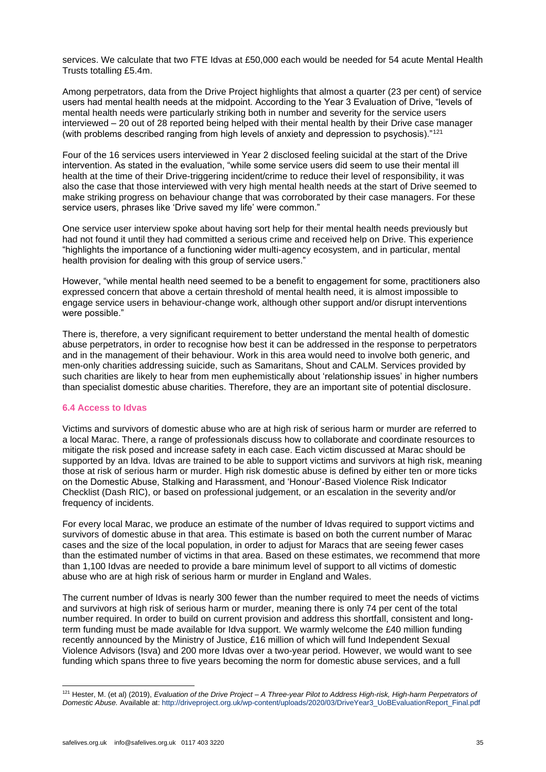services. We calculate that two FTE Idvas at £50,000 each would be needed for 54 acute Mental Health Trusts totalling £5.4m.

Among perpetrators, data from the Drive Project highlights that almost a quarter (23 per cent) of service users had mental health needs at the midpoint. According to the Year 3 Evaluation of Drive, "levels of mental health needs were particularly striking both in number and severity for the service users interviewed – 20 out of 28 reported being helped with their mental health by their Drive case manager (with problems described ranging from high levels of anxiety and depression to psychosis). $"121$ 

Four of the 16 services users interviewed in Year 2 disclosed feeling suicidal at the start of the Drive intervention. As stated in the evaluation, "while some service users did seem to use their mental ill health at the time of their Drive-triggering incident/crime to reduce their level of responsibility, it was also the case that those interviewed with very high mental health needs at the start of Drive seemed to make striking progress on behaviour change that was corroborated by their case managers. For these service users, phrases like 'Drive saved my life' were common."

One service user interview spoke about having sort help for their mental health needs previously but had not found it until they had committed a serious crime and received help on Drive. This experience "highlights the importance of a functioning wider multi-agency ecosystem, and in particular, mental health provision for dealing with this group of service users."

However, "while mental health need seemed to be a benefit to engagement for some, practitioners also expressed concern that above a certain threshold of mental health need, it is almost impossible to engage service users in behaviour-change work, although other support and/or disrupt interventions were possible."

There is, therefore, a very significant requirement to better understand the mental health of domestic abuse perpetrators, in order to recognise how best it can be addressed in the response to perpetrators and in the management of their behaviour. Work in this area would need to involve both generic, and men-only charities addressing suicide, such as Samaritans, Shout and CALM. Services provided by such charities are likely to hear from men euphemistically about 'relationship issues' in higher numbers than specialist domestic abuse charities. Therefore, they are an important site of potential disclosure.

#### **6.4 Access to Idvas**

Victims and survivors of domestic abuse who are at high risk of serious harm or murder are referred to a local Marac. There, a range of professionals discuss how to collaborate and coordinate resources to mitigate the risk posed and increase safety in each case. Each victim discussed at Marac should be supported by an Idva. Idvas are trained to be able to support victims and survivors at high risk, meaning those at risk of serious harm or murder. High risk domestic abuse is defined by either ten or more ticks on the Domestic Abuse, Stalking and Harassment, and 'Honour'-Based Violence Risk Indicator Checklist (Dash RIC), or based on professional judgement, or an escalation in the severity and/or frequency of incidents.

For every local Marac, we produce an estimate of the number of Idvas required to support victims and survivors of domestic abuse in that area. This estimate is based on both the current number of Marac cases and the size of the local population, in order to adjust for Maracs that are seeing fewer cases than the estimated number of victims in that area. Based on these estimates, we recommend that more than 1,100 Idvas are needed to provide a bare minimum level of support to all victims of domestic abuse who are at high risk of serious harm or murder in England and Wales.

The current number of Idvas is nearly 300 fewer than the number required to meet the needs of victims and survivors at high risk of serious harm or murder, meaning there is only 74 per cent of the total number required. In order to build on current provision and address this shortfall, consistent and longterm funding must be made available for Idva support. We warmly welcome the £40 million funding recently announced by the Ministry of Justice, £16 million of which will fund Independent Sexual Violence Advisors (Isva) and 200 more Idvas over a two-year period. However, we would want to see funding which spans three to five years becoming the norm for domestic abuse services, and a full

<sup>121</sup> Hester, M. (et al) (2019), *Evaluation of the Drive Project – A Three-year Pilot to Address High-risk, High-harm Perpetrators of Domestic Abuse.* Available at: [http://driveproject.org.uk/wp-content/uploads/2020/03/DriveYear3\\_UoBEvaluationReport\\_Final.pdf](http://driveproject.org.uk/wp-content/uploads/2020/03/DriveYear3_UoBEvaluationReport_Final.pdf)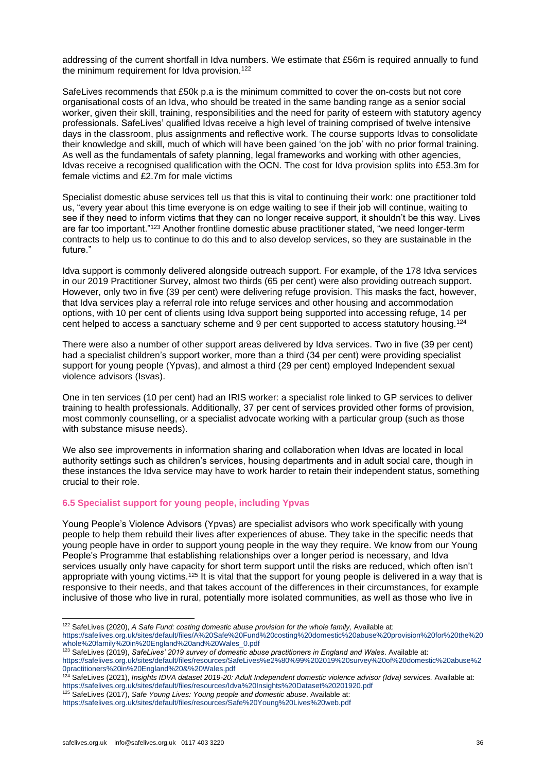addressing of the current shortfall in Idva numbers. We estimate that £56m is required annually to fund the minimum requirement for Idva provision.<sup>122</sup>

SafeLives recommends that £50k p.a is the minimum committed to cover the on-costs but not core organisational costs of an Idva, who should be treated in the same banding range as a senior social worker, given their skill, training, responsibilities and the need for parity of esteem with statutory agency professionals. SafeLives' qualified Idvas receive a high level of training comprised of twelve intensive days in the classroom, plus assignments and reflective work. The course supports Idvas to consolidate their knowledge and skill, much of which will have been gained 'on the job' with no prior formal training. As well as the fundamentals of safety planning, legal frameworks and working with other agencies, Idvas receive a recognised qualification with the OCN. The cost for Idva provision splits into £53.3m for female victims and £2.7m for male victims

Specialist domestic abuse services tell us that this is vital to continuing their work: one practitioner told us, "every year about this time everyone is on edge waiting to see if their job will continue, waiting to see if they need to inform victims that they can no longer receive support, it shouldn't be this way. Lives are far too important."<sup>123</sup> Another frontline domestic abuse practitioner stated, "we need longer-term contracts to help us to continue to do this and to also develop services, so they are sustainable in the future."

Idva support is commonly delivered alongside outreach support. For example, of the 178 Idva services in our 2019 Practitioner Survey, almost two thirds (65 per cent) were also providing outreach support. However, only two in five (39 per cent) were delivering refuge provision. This masks the fact, however, that Idva services play a referral role into refuge services and other housing and accommodation options, with 10 per cent of clients using Idva support being supported into accessing refuge, 14 per cent helped to access a sanctuary scheme and 9 per cent supported to access statutory housing.<sup>124</sup>

There were also a number of other support areas delivered by Idva services. Two in five (39 per cent) had a specialist children's support worker, more than a third (34 per cent) were providing specialist support for young people (Ypvas), and almost a third (29 per cent) employed Independent sexual violence advisors (Isvas).

One in ten services (10 per cent) had an IRIS worker: a specialist role linked to GP services to deliver training to health professionals. Additionally, 37 per cent of services provided other forms of provision, most commonly counselling, or a specialist advocate working with a particular group (such as those with substance misuse needs).

We also see improvements in information sharing and collaboration when Idvas are located in local authority settings such as children's services, housing departments and in adult social care, though in these instances the Idva service may have to work harder to retain their independent status, something crucial to their role.

# **6.5 Specialist support for young people, including Ypvas**

Young People's Violence Advisors (Ypvas) are specialist advisors who work specifically with young people to help them rebuild their lives after experiences of abuse. They take in the specific needs that young people have in order to support young people in the way they require. We know from our Young People's Programme that establishing relationships over a longer period is necessary, and Idva services usually only have capacity for short term support until the risks are reduced, which often isn't appropriate with young victims.<sup>125</sup> It is vital that the support for young people is delivered in a way that is responsive to their needs, and that takes account of the differences in their circumstances, for example inclusive of those who live in rural, potentially more isolated communities, as well as those who live in

<sup>122</sup> SafeLives (2020), A Safe Fund: costing domestic abuse provision for the whole family, Available at: [https://safelives.org.uk/sites/default/files/A%20Safe%20Fund%20costing%20domestic%20abuse%20provision%20for%20the%20](https://safelives.org.uk/sites/default/files/A%20Safe%20Fund%20costing%20domestic%20abuse%20provision%20for%20the%20whole%20family%20in%20England%20and%20Wales_0.pdf) [whole%20family%20in%20England%20and%20Wales\\_0.pdf](https://safelives.org.uk/sites/default/files/A%20Safe%20Fund%20costing%20domestic%20abuse%20provision%20for%20the%20whole%20family%20in%20England%20and%20Wales_0.pdf)

<sup>123</sup> SafeLives (2019), *SafeLives' 2019 survey of domestic abuse practitioners in England and Wales*. Available at:

[https://safelives.org.uk/sites/default/files/resources/SafeLives%e2%80%99%202019%20survey%20of%20domestic%20abuse%2](https://safelives.org.uk/sites/default/files/resources/SafeLives%e2%80%99%202019%20survey%20of%20domestic%20abuse%20practitioners%20in%20England%20&%20Wales.pdf) [0practitioners%20in%20England%20&%20Wales.pdf](https://safelives.org.uk/sites/default/files/resources/SafeLives%e2%80%99%202019%20survey%20of%20domestic%20abuse%20practitioners%20in%20England%20&%20Wales.pdf)

<sup>124</sup> SafeLives (2021), *Insights IDVA dataset 2019-20: Adult Independent domestic violence advisor (Idva) services.* Available at: <https://safelives.org.uk/sites/default/files/resources/Idva%20Insights%20Dataset%20201920.pdf>

<sup>125</sup> SafeLives (2017), *Safe Young Lives: Young people and domestic abuse*. Available at: <https://safelives.org.uk/sites/default/files/resources/Safe%20Young%20Lives%20web.pdf>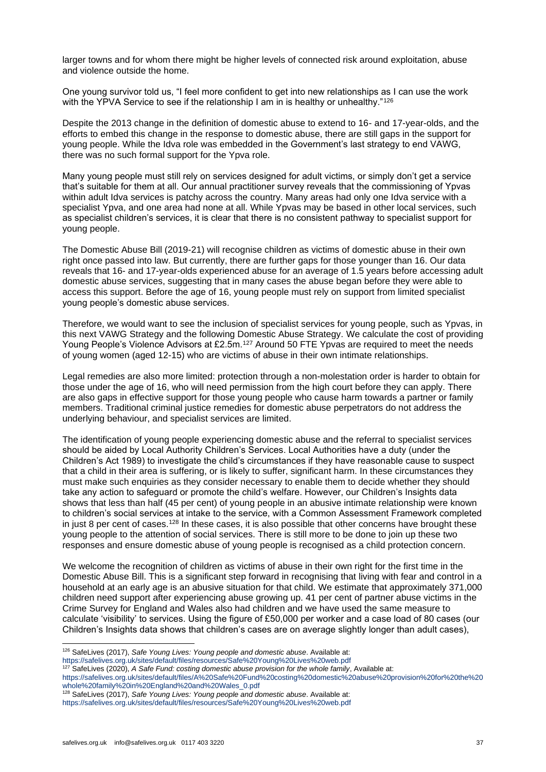larger towns and for whom there might be higher levels of connected risk around exploitation, abuse and violence outside the home.

One young survivor told us, "I feel more confident to get into new relationships as I can use the work with the YPVA Service to see if the relationship I am in is healthy or unhealthy."<sup>126</sup>

Despite the 2013 change in the definition of domestic abuse to extend to 16- and 17-year-olds, and the efforts to embed this change in the response to domestic abuse, there are still gaps in the support for young people. While the Idva role was embedded in the Government's last strategy to end VAWG, there was no such formal support for the Ypva role.

Many young people must still rely on services designed for adult victims, or simply don't get a service that's suitable for them at all. Our annual practitioner survey reveals that the commissioning of Ypvas within adult Idva services is patchy across the country. Many areas had only one Idva service with a specialist Ypva, and one area had none at all. While Ypvas may be based in other local services, such as specialist children's services, it is clear that there is no consistent pathway to specialist support for young people.

The Domestic Abuse Bill (2019-21) will recognise children as victims of domestic abuse in their own right once passed into law. But currently, there are further gaps for those younger than 16. Our data reveals that 16- and 17-year-olds experienced abuse for an average of 1.5 years before accessing adult domestic abuse services, suggesting that in many cases the abuse began before they were able to access this support. Before the age of 16, young people must rely on support from limited specialist young people's domestic abuse services.

Therefore, we would want to see the inclusion of specialist services for young people, such as Ypvas, in this next VAWG Strategy and the following Domestic Abuse Strategy. We calculate the cost of providing Young People's Violence Advisors at £2.5m.<sup>127</sup> Around 50 FTE Ypvas are required to meet the needs of young women (aged 12-15) who are victims of abuse in their own intimate relationships.

Legal remedies are also more limited: protection through a non-molestation order is harder to obtain for those under the age of 16, who will need permission from the high court before they can apply. There are also gaps in effective support for those young people who cause harm towards a partner or family members. Traditional criminal justice remedies for domestic abuse perpetrators do not address the underlying behaviour, and specialist services are limited.

The identification of young people experiencing domestic abuse and the referral to specialist services should be aided by Local Authority Children's Services. Local Authorities have a duty (under the Children's Act 1989) to investigate the child's circumstances if they have reasonable cause to suspect that a child in their area is suffering, or is likely to suffer, significant harm. In these circumstances they must make such enquiries as they consider necessary to enable them to decide whether they should take any action to safeguard or promote the child's welfare. However, our Children's Insights data shows that less than half (45 per cent) of young people in an abusive intimate relationship were known to children's social services at intake to the service, with a Common Assessment Framework completed in just 8 per cent of cases.<sup>128</sup> In these cases, it is also possible that other concerns have brought these young people to the attention of social services. There is still more to be done to join up these two responses and ensure domestic abuse of young people is recognised as a child protection concern.

We welcome the recognition of children as victims of abuse in their own right for the first time in the Domestic Abuse Bill. This is a significant step forward in recognising that living with fear and control in a household at an early age is an abusive situation for that child. We estimate that approximately 371,000 children need support after experiencing abuse growing up. 41 per cent of partner abuse victims in the Crime Survey for England and Wales also had children and we have used the same measure to calculate 'visibility' to services. Using the figure of £50,000 per worker and a case load of 80 cases (our Children's Insights data shows that children's cases are on average slightly longer than adult cases),

[https://safelives.org.uk/sites/default/files/A%20Safe%20Fund%20costing%20domestic%20abuse%20provision%20for%20the%20](https://safelives.org.uk/sites/default/files/A%20Safe%20Fund%20costing%20domestic%20abuse%20provision%20for%20the%20whole%20family%20in%20England%20and%20Wales_0.pdf) [whole%20family%20in%20England%20and%20Wales\\_0.pdf](https://safelives.org.uk/sites/default/files/A%20Safe%20Fund%20costing%20domestic%20abuse%20provision%20for%20the%20whole%20family%20in%20England%20and%20Wales_0.pdf)

<sup>128</sup> SafeLives (2017), *Safe Young Lives: Young people and domestic abuse*. Available at:

<sup>126</sup> SafeLives (2017), *Safe Young Lives: Young people and domestic abuse*. Available at:

<https://safelives.org.uk/sites/default/files/resources/Safe%20Young%20Lives%20web.pdf>

<sup>127</sup> SafeLives (2020), *A Safe Fund: costing domestic abuse provision for the whole family*, Available at:

<https://safelives.org.uk/sites/default/files/resources/Safe%20Young%20Lives%20web.pdf>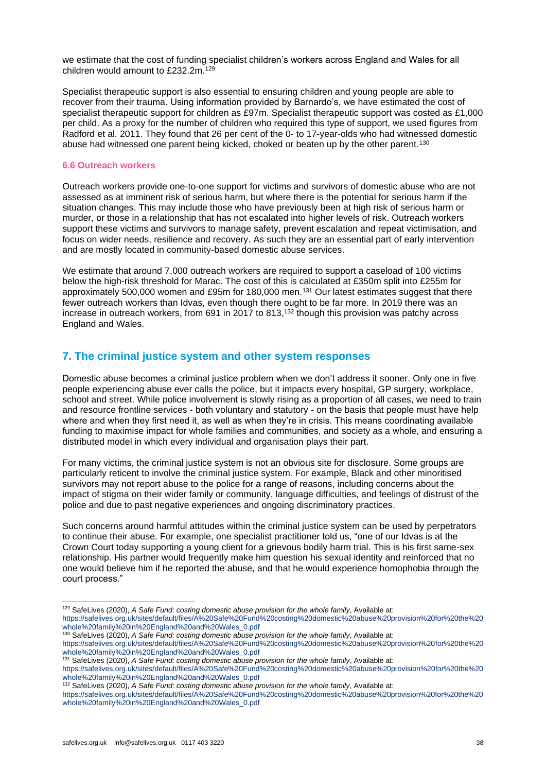we estimate that the cost of funding specialist children's workers across England and Wales for all children would amount to £232.2m.<sup>129</sup>

Specialist therapeutic support is also essential to ensuring children and young people are able to recover from their trauma. Using information provided by Barnardo's, we have estimated the cost of specialist therapeutic support for children as £97m. Specialist therapeutic support was costed as £1,000 per child. As a proxy for the number of children who required this type of support, we used figures from Radford et al. 2011. They found that 26 per cent of the 0- to 17-year-olds who had witnessed domestic abuse had witnessed one parent being kicked, choked or beaten up by the other parent.<sup>130</sup>

#### **6.6 Outreach workers**

Outreach workers provide one-to-one support for victims and survivors of domestic abuse who are not assessed as at imminent risk of serious harm, but where there is the potential for serious harm if the situation changes. This may include those who have previously been at high risk of serious harm or murder, or those in a relationship that has not escalated into higher levels of risk. Outreach workers support these victims and survivors to manage safety, prevent escalation and repeat victimisation, and focus on wider needs, resilience and recovery. As such they are an essential part of early intervention and are mostly located in community-based domestic abuse services.

We estimate that around 7,000 outreach workers are required to support a caseload of 100 victims below the high-risk threshold for Marac. The cost of this is calculated at £350m split into £255m for approximately 500,000 women and £95m for 180,000 men.<sup>131</sup> Our latest estimates suggest that there fewer outreach workers than Idvas, even though there ought to be far more. In 2019 there was an increase in outreach workers, from 691 in 2017 to 813, <sup>132</sup> though this provision was patchy across England and Wales.

# **7. The criminal justice system and other system responses**

Domestic abuse becomes a criminal justice problem when we don't address it sooner. Only one in five people experiencing abuse ever calls the police, but it impacts every hospital, GP surgery, workplace, school and street. While police involvement is slowly rising as a proportion of all cases, we need to train and resource frontline services - both voluntary and statutory - on the basis that people must have help where and when they first need it, as well as when they're in crisis. This means coordinating available funding to maximise impact for whole families and communities, and society as a whole, and ensuring a distributed model in which every individual and organisation plays their part.

For many victims, the criminal justice system is not an obvious site for disclosure. Some groups are particularly reticent to involve the criminal justice system. For example, Black and other minoritised survivors may not report abuse to the police for a range of reasons, including concerns about the impact of stigma on their wider family or community, language difficulties, and feelings of distrust of the police and due to past negative experiences and ongoing discriminatory practices.

Such concerns around harmful attitudes within the criminal justice system can be used by perpetrators to continue their abuse. For example, one specialist practitioner told us, "one of our Idvas is at the Crown Court today supporting a young client for a grievous bodily harm trial. This is his first same-sex relationship. His partner would frequently make him question his sexual identity and reinforced that no one would believe him if he reported the abuse, and that he would experience homophobia through the court process."

<sup>132</sup> SafeLives (2020), *A Safe Fund: costing domestic abuse provision for the whole family*, Available at:

[https://safelives.org.uk/sites/default/files/A%20Safe%20Fund%20costing%20domestic%20abuse%20provision%20for%20the%20](https://safelives.org.uk/sites/default/files/A%20Safe%20Fund%20costing%20domestic%20abuse%20provision%20for%20the%20whole%20family%20in%20England%20and%20Wales_0.pdf) [whole%20family%20in%20England%20and%20Wales\\_0.pdf](https://safelives.org.uk/sites/default/files/A%20Safe%20Fund%20costing%20domestic%20abuse%20provision%20for%20the%20whole%20family%20in%20England%20and%20Wales_0.pdf)

<sup>129</sup> SafeLives (2020), *A Safe Fund: costing domestic abuse provision for the whole family*, Available at:

[https://safelives.org.uk/sites/default/files/A%20Safe%20Fund%20costing%20domestic%20abuse%20provision%20for%20the%20](https://safelives.org.uk/sites/default/files/A%20Safe%20Fund%20costing%20domestic%20abuse%20provision%20for%20the%20whole%20family%20in%20England%20and%20Wales_0.pdf) [whole%20family%20in%20England%20and%20Wales\\_0.pdf](https://safelives.org.uk/sites/default/files/A%20Safe%20Fund%20costing%20domestic%20abuse%20provision%20for%20the%20whole%20family%20in%20England%20and%20Wales_0.pdf)

<sup>130</sup> SafeLives (2020), *A Safe Fund: costing domestic abuse provision for the whole family*, Available at: [https://safelives.org.uk/sites/default/files/A%20Safe%20Fund%20costing%20domestic%20abuse%20provision%20for%20the%20](https://safelives.org.uk/sites/default/files/A%20Safe%20Fund%20costing%20domestic%20abuse%20provision%20for%20the%20whole%20family%20in%20England%20and%20Wales_0.pdf) [whole%20family%20in%20England%20and%20Wales\\_0.pdf](https://safelives.org.uk/sites/default/files/A%20Safe%20Fund%20costing%20domestic%20abuse%20provision%20for%20the%20whole%20family%20in%20England%20and%20Wales_0.pdf)

<sup>131</sup> SafeLives (2020), *A Safe Fund: costing domestic abuse provision for the whole family*, Available at: [https://safelives.org.uk/sites/default/files/A%20Safe%20Fund%20costing%20domestic%20abuse%20provision%20for%20the%20](https://safelives.org.uk/sites/default/files/A%20Safe%20Fund%20costing%20domestic%20abuse%20provision%20for%20the%20whole%20family%20in%20England%20and%20Wales_0.pdf) [whole%20family%20in%20England%20and%20Wales\\_0.pdf](https://safelives.org.uk/sites/default/files/A%20Safe%20Fund%20costing%20domestic%20abuse%20provision%20for%20the%20whole%20family%20in%20England%20and%20Wales_0.pdf)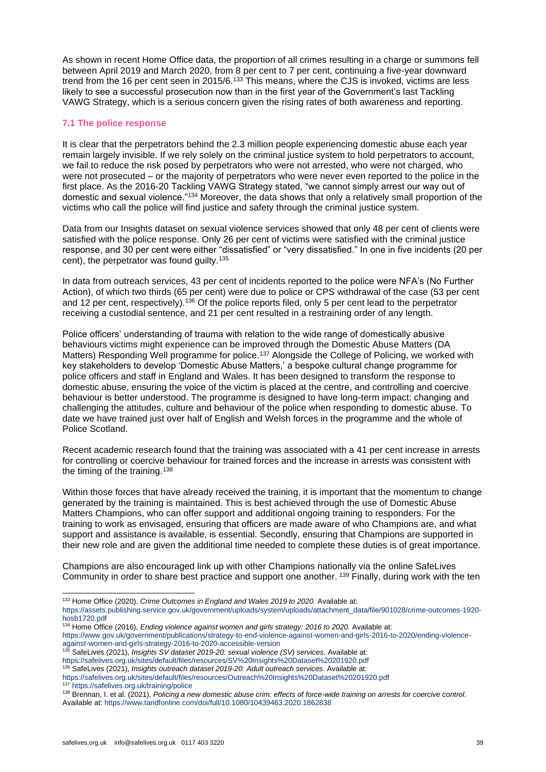As shown in recent Home Office data, the proportion of all crimes resulting in a charge or summons fell between April 2019 and March 2020, from 8 per cent to 7 per cent, continuing a five-year downward trend from the 16 per cent seen in 2015/6.<sup>133</sup> This means, where the CJS is invoked, victims are less likely to see a successful prosecution now than in the first year of the Government's last Tackling VAWG Strategy, which is a serious concern given the rising rates of both awareness and reporting.

# **7.1 The police response**

It is clear that the perpetrators behind the 2.3 million people experiencing domestic abuse each year remain largely invisible. If we rely solely on the criminal justice system to hold perpetrators to account, we fail to reduce the risk posed by perpetrators who were not arrested, who were not charged, who were not prosecuted – or the majority of perpetrators who were never even reported to the police in the first place. As the 2016-20 Tackling VAWG Strategy stated, "we cannot simply arrest our way out of domestic and sexual violence."<sup>134</sup> Moreover, the data shows that only a relatively small proportion of the victims who call the police will find justice and safety through the criminal justice system.

Data from our Insights dataset on sexual violence services showed that only 48 per cent of clients were satisfied with the police response. Only 26 per cent of victims were satisfied with the criminal justice response, and 30 per cent were either "dissatisfied" or "very dissatisfied." In one in five incidents (20 per cent), the perpetrator was found guilty.<sup>135</sup>

In data from outreach services, 43 per cent of incidents reported to the police were NFA's (No Further Action), of which two thirds (65 per cent) were due to police or CPS withdrawal of the case (53 per cent and 12 per cent, respectively).<sup>136</sup> Of the police reports filed, only 5 per cent lead to the perpetrator receiving a custodial sentence, and 21 per cent resulted in a restraining order of any length.

Police officers' understanding of trauma with relation to the wide range of domestically abusive behaviours victims might experience can be improved through the Domestic Abuse Matters (DA Matters) Responding Well programme for police.<sup>137</sup> Alongside the College of Policing, we worked with key stakeholders to develop 'Domestic Abuse Matters,' a bespoke cultural change programme for police officers and staff in England and Wales. It has been designed to transform the response to domestic abuse, ensuring the voice of the victim is placed at the centre, and controlling and coercive behaviour is better understood. The programme is designed to have long-term impact: changing and challenging the attitudes, culture and behaviour of the police when responding to domestic abuse. To date we have trained just over half of English and Welsh forces in the programme and the whole of Police Scotland.

Recent academic research found that the training was associated with a 41 per cent increase in arrests for controlling or coercive behaviour for trained forces and the increase in arrests was consistent with the timing of the training.<sup>138</sup>

Within those forces that have already received the training, it is important that the momentum to change generated by the training is maintained. This is best achieved through the use of Domestic Abuse Matters Champions, who can offer support and additional ongoing training to responders. For the training to work as envisaged, ensuring that officers are made aware of who Champions are, and what support and assistance is available, is essential. Secondly, ensuring that Champions are supported in their new role and are given the additional time needed to complete these duties is of great importance.

Champions are also encouraged link up with other Champions nationally via the online SafeLives Community in order to share best practice and support one another. <sup>139</sup> Finally, during work with the ten

<sup>133</sup> Home Office (2020), *Crime Outcomes in England and Wales 2019 to 2020.* Available at:

<sup>135</sup> SafeLives (2021), *Insights SV dataset 2019-20: sexual violence (SV) services*. Available at: <https://safelives.org.uk/sites/default/files/resources/SV%20Insights%20Dataset%20201920.pdf> <sup>136</sup> SafeLives (2021), *Insights outreach dataset 2019-20: Adult outreach services.* Available at:

[https://assets.publishing.service.gov.uk/government/uploads/system/uploads/attachment\\_data/file/901028/crime-outcomes-1920](https://assets.publishing.service.gov.uk/government/uploads/system/uploads/attachment_data/file/901028/crime-outcomes-1920-hosb1720.pdf) [hosb1720.pdf](https://assets.publishing.service.gov.uk/government/uploads/system/uploads/attachment_data/file/901028/crime-outcomes-1920-hosb1720.pdf)

<sup>134</sup> Home Office (2016), *Ending violence against women and girls strategy: 2016 to 2020.* Available at: [https://www.gov.uk/government/publications/strategy-to-end-violence-against-women-and-girls-2016-to-2020/ending-violence](https://www.gov.uk/government/publications/strategy-to-end-violence-against-women-and-girls-2016-to-2020/ending-violence-against-women-and-girls-strategy-2016-to-2020-accessible-version)[against-women-and-girls-strategy-2016-to-2020-accessible-version](https://www.gov.uk/government/publications/strategy-to-end-violence-against-women-and-girls-2016-to-2020/ending-violence-against-women-and-girls-strategy-2016-to-2020-accessible-version)

<https://safelives.org.uk/sites/default/files/resources/Outreach%20Insights%20Dataset%20201920.pdf> <sup>137</sup> <https://safelives.org.uk/training/police>

<sup>138</sup> Brennan, I. et al. (2021), *Policing a new domestic abuse crim: effects of force-wide training on arrests for coercive control*. Available at: <https://www.tandfonline.com/doi/full/10.1080/10439463.2020.1862838>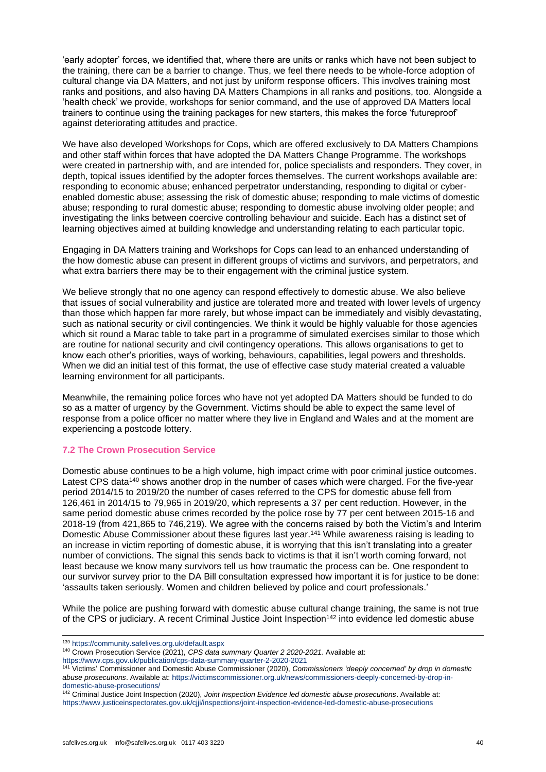'early adopter' forces, we identified that, where there are units or ranks which have not been subject to the training, there can be a barrier to change. Thus, we feel there needs to be whole-force adoption of cultural change via DA Matters, and not just by uniform response officers. This involves training most ranks and positions, and also having DA Matters Champions in all ranks and positions, too. Alongside a 'health check' we provide, workshops for senior command, and the use of approved DA Matters local trainers to continue using the training packages for new starters, this makes the force 'futureproof' against deteriorating attitudes and practice.

We have also developed Workshops for Cops, which are offered exclusively to DA Matters Champions and other staff within forces that have adopted the DA Matters Change Programme. The workshops were created in partnership with, and are intended for, police specialists and responders. They cover, in depth, topical issues identified by the adopter forces themselves. The current workshops available are: responding to economic abuse; enhanced perpetrator understanding, responding to digital or cyberenabled domestic abuse; assessing the risk of domestic abuse; responding to male victims of domestic abuse; responding to rural domestic abuse; responding to domestic abuse involving older people; and investigating the links between coercive controlling behaviour and suicide. Each has a distinct set of learning objectives aimed at building knowledge and understanding relating to each particular topic.

Engaging in DA Matters training and Workshops for Cops can lead to an enhanced understanding of the how domestic abuse can present in different groups of victims and survivors, and perpetrators, and what extra barriers there may be to their engagement with the criminal justice system.

We believe strongly that no one agency can respond effectively to domestic abuse. We also believe that issues of social vulnerability and justice are tolerated more and treated with lower levels of urgency than those which happen far more rarely, but whose impact can be immediately and visibly devastating, such as national security or civil contingencies. We think it would be highly valuable for those agencies which sit round a Marac table to take part in a programme of simulated exercises similar to those which are routine for national security and civil contingency operations. This allows organisations to get to know each other's priorities, ways of working, behaviours, capabilities, legal powers and thresholds. When we did an initial test of this format, the use of effective case study material created a valuable learning environment for all participants.

Meanwhile, the remaining police forces who have not yet adopted DA Matters should be funded to do so as a matter of urgency by the Government. Victims should be able to expect the same level of response from a police officer no matter where they live in England and Wales and at the moment are experiencing a postcode lottery.

# **7.2 The Crown Prosecution Service**

Domestic abuse continues to be a high volume, high impact crime with poor criminal justice outcomes. Latest CPS data<sup>140</sup> shows another drop in the number of cases which were charged. For the five-year period 2014/15 to 2019/20 the number of cases referred to the CPS for domestic abuse fell from 126,461 in 2014/15 to 79,965 in 2019/20, which represents a 37 per cent reduction. However, in the same period domestic abuse crimes recorded by the police rose by 77 per cent between 2015-16 and 2018-19 (from 421,865 to 746,219). We agree with the concerns raised by both the Victim's and Interim Domestic Abuse Commissioner about these figures last year.<sup>141</sup> While awareness raising is leading to an increase in victim reporting of domestic abuse, it is worrying that this isn't translating into a greater number of convictions. The signal this sends back to victims is that it isn't worth coming forward, not least because we know many survivors tell us how traumatic the process can be. One respondent to our survivor survey prior to the DA Bill consultation expressed how important it is for justice to be done: 'assaults taken seriously. Women and children believed by police and court professionals.'

While the police are pushing forward with domestic abuse cultural change training, the same is not true of the CPS or judiciary. A recent Criminal Justice Joint Inspection<sup>142</sup> into evidence led domestic abuse

<sup>139</sup> <https://community.safelives.org.uk/default.aspx>

<sup>140</sup> Crown Prosecution Service (2021), *CPS data summary Quarter 2 2020-2021.* Available at:

<https://www.cps.gov.uk/publication/cps-data-summary-quarter-2-2020-2021>

<sup>141</sup> Victims' Commissioner and Domestic Abuse Commissioner (2020), *Commissioners 'deeply concerned' by drop in domestic abuse prosecutions*. Available at[: https://victimscommissioner.org.uk/news/commissioners-deeply-concerned-by-drop-in](https://victimscommissioner.org.uk/news/commissioners-deeply-concerned-by-drop-in-domestic-abuse-prosecutions/)[domestic-abuse-prosecutions/](https://victimscommissioner.org.uk/news/commissioners-deeply-concerned-by-drop-in-domestic-abuse-prosecutions/)

<sup>142</sup> Criminal Justice Joint Inspection (2020), *Joint Inspection Evidence led domestic abuse prosecutions*. Available at: <https://www.justiceinspectorates.gov.uk/cjji/inspections/joint-inspection-evidence-led-domestic-abuse-prosecutions>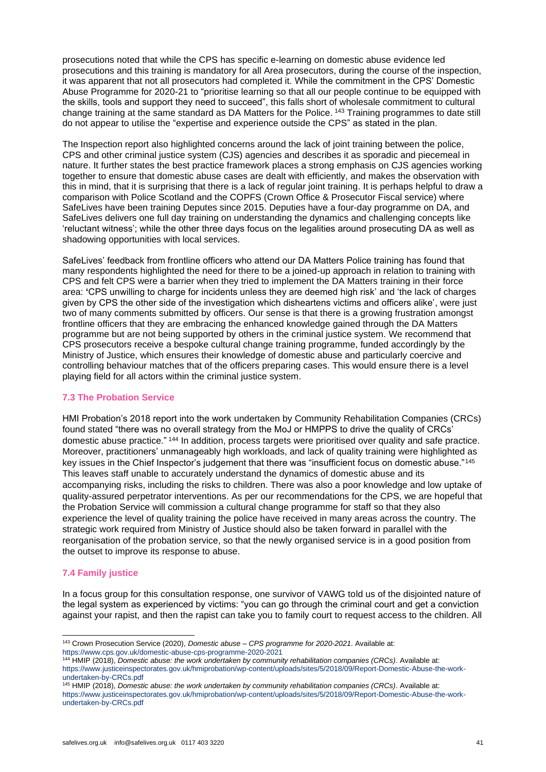prosecutions noted that while the CPS has specific e-learning on domestic abuse evidence led prosecutions and this training is mandatory for all Area prosecutors, during the course of the inspection, it was apparent that not all prosecutors had completed it. While the commitment in the CPS' Domestic Abuse Programme for 2020-21 to "prioritise learning so that all our people continue to be equipped with the skills, tools and support they need to succeed", this falls short of wholesale commitment to cultural change training at the same standard as DA Matters for the Police. <sup>143</sup> Training programmes to date still do not appear to utilise the "expertise and experience outside the CPS" as stated in the plan.

The Inspection report also highlighted concerns around the lack of joint training between the police, CPS and other criminal justice system (CJS) agencies and describes it as sporadic and piecemeal in nature. It further states the best practice framework places a strong emphasis on CJS agencies working together to ensure that domestic abuse cases are dealt with efficiently, and makes the observation with this in mind, that it is surprising that there is a lack of regular joint training. It is perhaps helpful to draw a comparison with Police Scotland and the COPFS (Crown Office & Prosecutor Fiscal service) where SafeLives have been training Deputes since 2015. Deputies have a four-day programme on DA, and SafeLives delivers one full day training on understanding the dynamics and challenging concepts like 'reluctant witness'; while the other three days focus on the legalities around prosecuting DA as well as shadowing opportunities with local services.

SafeLives' feedback from frontline officers who attend our DA Matters Police training has found that many respondents highlighted the need for there to be a joined-up approach in relation to training with CPS and felt CPS were a barrier when they tried to implement the DA Matters training in their force area: **'**CPS unwilling to charge for incidents unless they are deemed high risk' and 'the lack of charges given by CPS the other side of the investigation which disheartens victims and officers alike', were just two of many comments submitted by officers. Our sense is that there is a growing frustration amongst frontline officers that they are embracing the enhanced knowledge gained through the DA Matters programme but are not being supported by others in the criminal justice system. We recommend that CPS prosecutors receive a bespoke cultural change training programme, funded accordingly by the Ministry of Justice, which ensures their knowledge of domestic abuse and particularly coercive and controlling behaviour matches that of the officers preparing cases. This would ensure there is a level playing field for all actors within the criminal justice system.

# **7.3 The Probation Service**

HMI Probation's 2018 report into the work undertaken by Community Rehabilitation Companies (CRCs) found stated "there was no overall strategy from the MoJ or HMPPS to drive the quality of CRCs' domestic abuse practice." <sup>144</sup> In addition, process targets were prioritised over quality and safe practice. Moreover, practitioners' unmanageably high workloads, and lack of quality training were highlighted as key issues in the Chief Inspector's judgement that there was "insufficient focus on domestic abuse."<sup>145</sup> This leaves staff unable to accurately understand the dynamics of domestic abuse and its accompanying risks, including the risks to children. There was also a poor knowledge and low uptake of quality-assured perpetrator interventions. As per our recommendations for the CPS, we are hopeful that the Probation Service will commission a cultural change programme for staff so that they also experience the level of quality training the police have received in many areas across the country. The strategic work required from Ministry of Justice should also be taken forward in parallel with the reorganisation of the probation service, so that the newly organised service is in a good position from the outset to improve its response to abuse.

# **7.4 Family justice**

In a focus group for this consultation response, one survivor of VAWG told us of the disjointed nature of the legal system as experienced by victims: "you can go through the criminal court and get a conviction against your rapist, and then the rapist can take you to family court to request access to the children. All

<sup>143</sup> Crown Prosecution Service (2020), *Domestic abuse – CPS programme for 2020-2021*. Available at: <https://www.cps.gov.uk/domestic-abuse-cps-programme-2020-2021>

<sup>144</sup> HMIP (2018), *Domestic abuse: the work undertaken by community rehabilitation companies (CRCs)*. Available at: [https://www.justiceinspectorates.gov.uk/hmiprobation/wp-content/uploads/sites/5/2018/09/Report-Domestic-Abuse-the-work](https://www.justiceinspectorates.gov.uk/hmiprobation/wp-content/uploads/sites/5/2018/09/Report-Domestic-Abuse-the-work-undertaken-by-CRCs.pdf)[undertaken-by-CRCs.pdf](https://www.justiceinspectorates.gov.uk/hmiprobation/wp-content/uploads/sites/5/2018/09/Report-Domestic-Abuse-the-work-undertaken-by-CRCs.pdf)

<sup>145</sup> HMIP (2018), *Domestic abuse: the work undertaken by community rehabilitation companies (CRCs)*. Available at: [https://www.justiceinspectorates.gov.uk/hmiprobation/wp-content/uploads/sites/5/2018/09/Report-Domestic-Abuse-the-work](https://www.justiceinspectorates.gov.uk/hmiprobation/wp-content/uploads/sites/5/2018/09/Report-Domestic-Abuse-the-work-undertaken-by-CRCs.pdf)[undertaken-by-CRCs.pdf](https://www.justiceinspectorates.gov.uk/hmiprobation/wp-content/uploads/sites/5/2018/09/Report-Domestic-Abuse-the-work-undertaken-by-CRCs.pdf)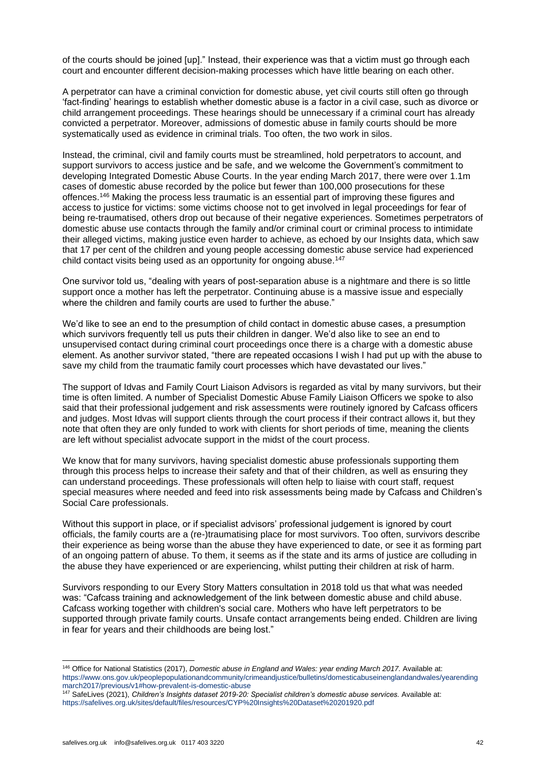of the courts should be joined [up]." Instead, their experience was that a victim must go through each court and encounter different decision-making processes which have little bearing on each other.

A perpetrator can have a criminal conviction for domestic abuse, yet civil courts still often go through 'fact-finding' hearings to establish whether domestic abuse is a factor in a civil case, such as divorce or child arrangement proceedings. These hearings should be unnecessary if a criminal court has already convicted a perpetrator. Moreover, admissions of domestic abuse in family courts should be more systematically used as evidence in criminal trials. Too often, the two work in silos.

Instead, the criminal, civil and family courts must be streamlined, hold perpetrators to account, and support survivors to access justice and be safe, and we welcome the Government's commitment to developing Integrated Domestic Abuse Courts. In the year ending March 2017, there were over 1.1m cases of domestic abuse recorded by the police but fewer than 100,000 prosecutions for these offences.<sup>146</sup> Making the process less traumatic is an essential part of improving these figures and access to justice for victims: some victims choose not to get involved in legal proceedings for fear of being re-traumatised, others drop out because of their negative experiences. Sometimes perpetrators of domestic abuse use contacts through the family and/or criminal court or criminal process to intimidate their alleged victims, making justice even harder to achieve, as echoed by our Insights data, which saw that 17 per cent of the children and young people accessing domestic abuse service had experienced child contact visits being used as an opportunity for ongoing abuse.<sup>147</sup>

One survivor told us, "dealing with years of post-separation abuse is a nightmare and there is so little support once a mother has left the perpetrator. Continuing abuse is a massive issue and especially where the children and family courts are used to further the abuse."

We'd like to see an end to the presumption of child contact in domestic abuse cases, a presumption which survivors frequently tell us puts their children in danger. We'd also like to see an end to unsupervised contact during criminal court proceedings once there is a charge with a domestic abuse element. As another survivor stated, "there are repeated occasions I wish I had put up with the abuse to save my child from the traumatic family court processes which have devastated our lives."

The support of Idvas and Family Court Liaison Advisors is regarded as vital by many survivors, but their time is often limited. A number of Specialist Domestic Abuse Family Liaison Officers we spoke to also said that their professional judgement and risk assessments were routinely ignored by Cafcass officers and judges. Most Idvas will support clients through the court process if their contract allows it, but they note that often they are only funded to work with clients for short periods of time, meaning the clients are left without specialist advocate support in the midst of the court process.

We know that for many survivors, having specialist domestic abuse professionals supporting them through this process helps to increase their safety and that of their children, as well as ensuring they can understand proceedings. These professionals will often help to liaise with court staff, request special measures where needed and feed into risk assessments being made by Cafcass and Children's Social Care professionals.

Without this support in place, or if specialist advisors' professional judgement is ignored by court officials, the family courts are a (re-)traumatising place for most survivors. Too often, survivors describe their experience as being worse than the abuse they have experienced to date, or see it as forming part of an ongoing pattern of abuse. To them, it seems as if the state and its arms of justice are colluding in the abuse they have experienced or are experiencing, whilst putting their children at risk of harm.

Survivors responding to our Every Story Matters consultation in 2018 told us that what was needed was: "Cafcass training and acknowledgement of the link between domestic abuse and child abuse. Cafcass working together with children's social care. Mothers who have left perpetrators to be supported through private family courts. Unsafe contact arrangements being ended. Children are living in fear for years and their childhoods are being lost."

<sup>146</sup> Office for National Statistics (2017), *Domestic abuse in England and Wales: year ending March 2017.* Available at: [https://www.ons.gov.uk/peoplepopulationandcommunity/crimeandjustice/bulletins/domesticabuseinenglandandwales/yearending](https://www.ons.gov.uk/peoplepopulationandcommunity/crimeandjustice/bulletins/domesticabuseinenglandandwales/yearendingmarch2017/previous/v1#how-prevalent-is-domestic-abuse) [march2017/previous/v1#how-prevalent-is-domestic-abuse](https://www.ons.gov.uk/peoplepopulationandcommunity/crimeandjustice/bulletins/domesticabuseinenglandandwales/yearendingmarch2017/previous/v1#how-prevalent-is-domestic-abuse)

<sup>&</sup>lt;sup>147</sup> SafeLives (2021), *Children's Insights dataset 2019-20: Specialist children's domestic abuse services. Available at:* <https://safelives.org.uk/sites/default/files/resources/CYP%20Insights%20Dataset%20201920.pdf>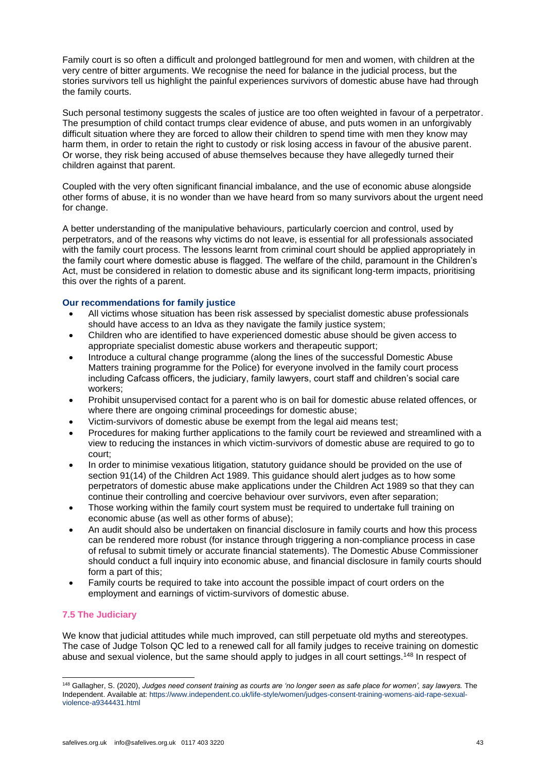Family court is so often a difficult and prolonged battleground for men and women, with children at the very centre of bitter arguments. We recognise the need for balance in the judicial process, but the stories survivors tell us highlight the painful experiences survivors of domestic abuse have had through the family courts.

Such personal testimony suggests the scales of justice are too often weighted in favour of a perpetrator. The presumption of child contact trumps clear evidence of abuse, and puts women in an unforgivably difficult situation where they are forced to allow their children to spend time with men they know may harm them, in order to retain the right to custody or risk losing access in favour of the abusive parent. Or worse, they risk being accused of abuse themselves because they have allegedly turned their children against that parent.

Coupled with the very often significant financial imbalance, and the use of economic abuse alongside other forms of abuse, it is no wonder than we have heard from so many survivors about the urgent need for change.

A better understanding of the manipulative behaviours, particularly coercion and control, used by perpetrators, and of the reasons why victims do not leave, is essential for all professionals associated with the family court process. The lessons learnt from criminal court should be applied appropriately in the family court where domestic abuse is flagged. The welfare of the child, paramount in the Children's Act, must be considered in relation to domestic abuse and its significant long-term impacts, prioritising this over the rights of a parent.

# **Our recommendations for family justice**

- All victims whose situation has been risk assessed by specialist domestic abuse professionals should have access to an Idva as they navigate the family justice system;
- Children who are identified to have experienced domestic abuse should be given access to appropriate specialist domestic abuse workers and therapeutic support;
- Introduce a cultural change programme (along the lines of the successful Domestic Abuse Matters training programme for the Police) for everyone involved in the family court process including Cafcass officers, the judiciary, family lawyers, court staff and children's social care workers;
- Prohibit unsupervised contact for a parent who is on bail for domestic abuse related offences, or where there are ongoing criminal proceedings for domestic abuse;
- Victim-survivors of domestic abuse be exempt from the legal aid means test;
- Procedures for making further applications to the family court be reviewed and streamlined with a view to reducing the instances in which victim-survivors of domestic abuse are required to go to court;
- In order to minimise vexatious litigation, statutory guidance should be provided on the use of section 91(14) of the Children Act 1989. This guidance should alert judges as to how some perpetrators of domestic abuse make applications under the Children Act 1989 so that they can continue their controlling and coercive behaviour over survivors, even after separation;
- Those working within the family court system must be required to undertake full training on economic abuse (as well as other forms of abuse);
- An audit should also be undertaken on financial disclosure in family courts and how this process can be rendered more robust (for instance through triggering a non-compliance process in case of refusal to submit timely or accurate financial statements). The Domestic Abuse Commissioner should conduct a full inquiry into economic abuse, and financial disclosure in family courts should form a part of this;
- Family courts be required to take into account the possible impact of court orders on the employment and earnings of victim-survivors of domestic abuse.

# **7.5 The Judiciary**

We know that judicial attitudes while much improved, can still perpetuate old myths and stereotypes. The case of Judge Tolson QC led to a renewed call for all family judges to receive training on domestic abuse and sexual violence, but the same should apply to judges in all court settings.<sup>148</sup> In respect of

<sup>148</sup> Gallagher, S. (2020), *Judges need consent training as courts are 'no longer seen as safe place for women', say lawyers.* The Independent. Available at: [https://www.independent.co.uk/life-style/women/judges-consent-training-womens-aid-rape-sexual](https://www.independent.co.uk/life-style/women/judges-consent-training-womens-aid-rape-sexual-violence-a9344431.html)[violence-a9344431.html](https://www.independent.co.uk/life-style/women/judges-consent-training-womens-aid-rape-sexual-violence-a9344431.html)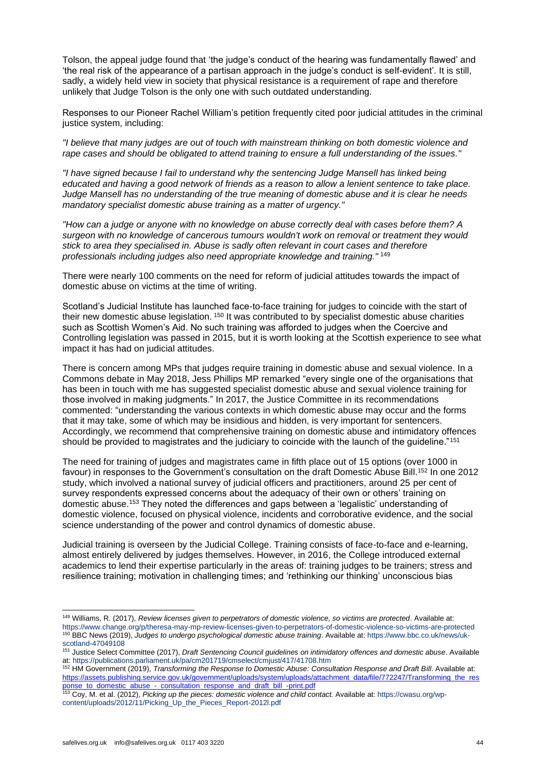Tolson, the appeal judge found that 'the judge's conduct of the hearing was fundamentally flawed' and 'the real risk of the appearance of a partisan approach in the judge's conduct is self-evident'. It is still, sadly, a widely held view in society that physical resistance is a requirement of rape and therefore unlikely that Judge Tolson is the only one with such outdated understanding.

Responses to our Pioneer Rachel William's petition frequently cited poor judicial attitudes in the criminal justice system, including:

*"I believe that many judges are out of touch with mainstream thinking on both domestic violence and rape cases and should be obligated to attend training to ensure a full understanding of the issues."*

*"I have signed because I fail to understand why the sentencing Judge Mansell has linked being educated and having a good network of friends as a reason to allow a lenient sentence to take place. Judge Mansell has no understanding of the true meaning of domestic abuse and it is clear he needs mandatory specialist domestic abuse training as a matter of urgency."*

*"How can a judge or anyone with no knowledge on abuse correctly deal with cases before them? A surgeon with no knowledge of cancerous tumours wouldn't work on removal or treatment they would stick to area they specialised in. Abuse is sadly often relevant in court cases and therefore professionals including judges also need appropriate knowledge and training."* <sup>149</sup>

There were nearly 100 comments on the need for reform of judicial attitudes towards the impact of domestic abuse on victims at the time of writing.

Scotland's Judicial Institute has launched face-to-face training for judges to coincide with the start of their new domestic abuse legislation. <sup>150</sup> It was contributed to by specialist domestic abuse charities such as Scottish Women's Aid. No such training was afforded to judges when the Coercive and Controlling legislation was passed in 2015, but it is worth looking at the Scottish experience to see what impact it has had on judicial attitudes.

There is concern among MPs that judges require training in domestic abuse and sexual violence. In a Commons debate in May 2018, Jess Phillips MP remarked "every single one of the organisations that has been in touch with me has suggested specialist domestic abuse and sexual violence training for those involved in making judgments." In 2017, the Justice Committee in its recommendations commented: "understanding the various contexts in which domestic abuse may occur and the forms that it may take, some of which may be insidious and hidden, is very important for sentencers. Accordingly, we recommend that comprehensive training on domestic abuse and intimidatory offences should be provided to magistrates and the judiciary to coincide with the launch of the guideline."<sup>151</sup>

The need for training of judges and magistrates came in fifth place out of 15 options (over 1000 in favour) in responses to the Government's consultation on the draft Domestic Abuse Bill. <sup>152</sup> In one 2012 study, which involved a national survey of judicial officers and practitioners, around 25 per cent of survey respondents expressed concerns about the adequacy of their own or others' training on domestic abuse.<sup>153</sup> They noted the differences and gaps between a 'legalistic' understanding of domestic violence, focused on physical violence, incidents and corroborative evidence, and the social science understanding of the power and control dynamics of domestic abuse.

Judicial training is overseen by the Judicial College. Training consists of face-to-face and e-learning, almost entirely delivered by judges themselves. However, in 2016, the College introduced external academics to lend their expertise particularly in the areas of: training judges to be trainers; stress and resilience training; motivation in challenging times; and 'rethinking our thinking' unconscious bias

<sup>149</sup> Williams, R. (2017), *Review licenses given to perpetrators of domestic violence, so victims are protected*. Available at: <https://www.change.org/p/theresa-may-mp-review-licenses-given-to-perpetrators-of-domestic-violence-so-victims-are-protected> <sup>150</sup> BBC News (2019), *Judges to undergo psychological domestic abuse training*. Available at: [https://www.bbc.co.uk/news/uk](https://www.bbc.co.uk/news/uk-scotland-47049108)[scotland-47049108](https://www.bbc.co.uk/news/uk-scotland-47049108)

<sup>151</sup> Justice Select Committee (2017), *Draft Sentencing Council guidelines on intimidatory offences and domestic abuse*. Available at: <https://publications.parliament.uk/pa/cm201719/cmselect/cmjust/417/41708.htm>

<sup>&</sup>lt;sup>152</sup> HM Government (2019), *Transforming the Response to Domestic Abuse: Consultation Response and Draft Bill. Available at:* [https://assets.publishing.service.gov.uk/government/uploads/system/uploads/attachment\\_data/file/772247/Transforming\\_the\\_res](https://assets.publishing.service.gov.uk/government/uploads/system/uploads/attachment_data/file/772247/Transforming_the_response_to_domestic_abuse_-_consultation_response_and_draft_bill_-print.pdf) [ponse\\_to\\_domestic\\_abuse\\_-\\_consultation\\_response\\_and\\_draft\\_bill\\_-print.pdf](https://assets.publishing.service.gov.uk/government/uploads/system/uploads/attachment_data/file/772247/Transforming_the_response_to_domestic_abuse_-_consultation_response_and_draft_bill_-print.pdf)

<sup>153</sup> Coy, M. et al. (2012), *Picking up the pieces: domestic violence and child contact.* Available at[: https://cwasu.org/wp](https://cwasu.org/wp-content/uploads/2012/11/Picking_Up_the_Pieces_Report-2012l.pdf)[content/uploads/2012/11/Picking\\_Up\\_the\\_Pieces\\_Report-2012l.pdf](https://cwasu.org/wp-content/uploads/2012/11/Picking_Up_the_Pieces_Report-2012l.pdf)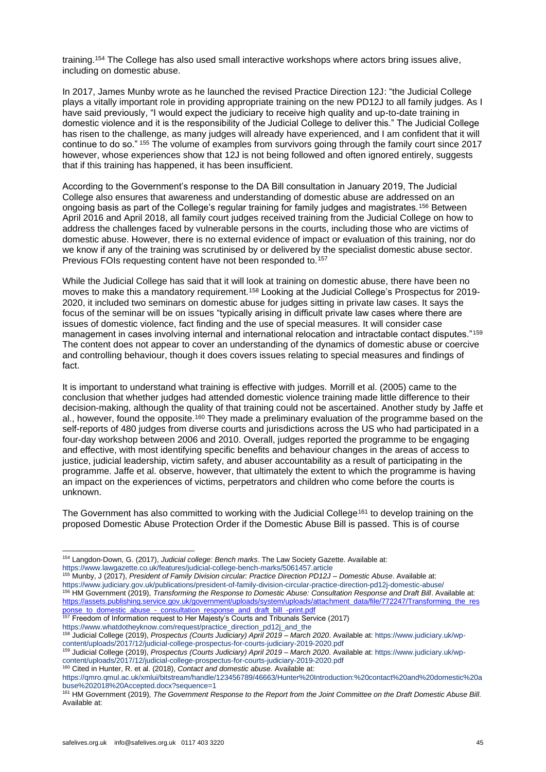training.<sup>154</sup> The College has also used small interactive workshops where actors bring issues alive, including on domestic abuse.

In 2017, James Munby wrote as he launched the revised Practice Direction 12J: "the Judicial College plays a vitally important role in providing appropriate training on the new PD12J to all family judges. As I have said previously, "I would expect the judiciary to receive high quality and up-to-date training in domestic violence and it is the responsibility of the Judicial College to deliver this." The Judicial College has risen to the challenge, as many judges will already have experienced, and I am confident that it will continue to do so." <sup>155</sup> The volume of examples from survivors going through the family court since 2017 however, whose experiences show that 12J is not being followed and often ignored entirely, suggests that if this training has happened, it has been insufficient.

According to the Government's response to the DA Bill consultation in January 2019, The Judicial College also ensures that awareness and understanding of domestic abuse are addressed on an ongoing basis as part of the College's regular training for family judges and magistrates.<sup>156</sup> Between April 2016 and April 2018, all family court judges received training from the Judicial College on how to address the challenges faced by vulnerable persons in the courts, including those who are victims of domestic abuse. However, there is no external evidence of impact or evaluation of this training, nor do we know if any of the training was scrutinised by or delivered by the specialist domestic abuse sector. Previous FOIs requesting content have not been responded to.<sup>157</sup>

While the Judicial College has said that it will look at training on domestic abuse, there have been no moves to make this a mandatory requirement.<sup>158</sup> Looking at the Judicial College's Prospectus for 2019-2020, it included two seminars on domestic abuse for judges sitting in private law cases. It says the focus of the seminar will be on issues "typically arising in difficult private law cases where there are issues of domestic violence, fact finding and the use of special measures. It will consider case management in cases involving internal and international relocation and intractable contact disputes."<sup>159</sup> The content does not appear to cover an understanding of the dynamics of domestic abuse or coercive and controlling behaviour, though it does covers issues relating to special measures and findings of fact.

It is important to understand what training is effective with judges. Morrill et al. (2005) came to the conclusion that whether judges had attended domestic violence training made little difference to their decision-making, although the quality of that training could not be ascertained. Another study by Jaffe et al., however, found the opposite.<sup>160</sup> They made a preliminary evaluation of the programme based on the self-reports of 480 judges from diverse courts and jurisdictions across the US who had participated in a four-day workshop between 2006 and 2010. Overall, judges reported the programme to be engaging and effective, with most identifying specific benefits and behaviour changes in the areas of access to justice, judicial leadership, victim safety, and abuser accountability as a result of participating in the programme. Jaffe et al. observe, however, that ultimately the extent to which the programme is having an impact on the experiences of victims, perpetrators and children who come before the courts is unknown.

The Government has also committed to working with the Judicial College<sup>161</sup> to develop training on the proposed Domestic Abuse Protection Order if the Domestic Abuse Bill is passed. This is of course

<sup>154</sup> Langdon-Down, G. (2017), *Judicial college: Bench marks*. The Law Society Gazette. Available at: <https://www.lawgazette.co.uk/features/judicial-college-bench-marks/5061457.article>

<sup>155</sup> Munby, J (2017), *President of Family Division circular: Practice Direction PD12J – Domestic Abuse*. Available at: <https://www.judiciary.gov.uk/publications/president-of-family-division-circular-practice-direction-pd12j-domestic-abuse/> <sup>156</sup> HM Government (2019), *Transforming the Response to Domestic Abuse: Consultation Response and Draft Bill. Available at:* [https://assets.publishing.service.gov.uk/government/uploads/system/uploads/attachment\\_data/file/772247/Transforming\\_the\\_res](https://assets.publishing.service.gov.uk/government/uploads/system/uploads/attachment_data/file/772247/Transforming_the_response_to_domestic_abuse_-_consultation_response_and_draft_bill_-print.pdf) [ponse\\_to\\_domestic\\_abuse\\_-\\_consultation\\_response\\_and\\_draft\\_bill\\_-print.pdf](https://assets.publishing.service.gov.uk/government/uploads/system/uploads/attachment_data/file/772247/Transforming_the_response_to_domestic_abuse_-_consultation_response_and_draft_bill_-print.pdf)

<sup>&</sup>lt;sup>157</sup> Freedom of Information request to Her Majesty's Courts and Tribunals Service (2017) [https://www.whatdotheyknow.com/request/practice\\_direction\\_pd12j\\_and\\_the](https://www.whatdotheyknow.com/request/practice_direction_pd12j_and_the)

<sup>158</sup> Judicial College (2019), *Prospectus (Courts Judiciary) April 2019 – March 2020*. Available at: [https://www.judiciary.uk/wp](https://www.judiciary.uk/wp-content/uploads/2017/12/judicial-college-prospectus-for-courts-judiciary-2019-2020.pdf)[content/uploads/2017/12/judicial-college-prospectus-for-courts-judiciary-2019-2020.pdf](https://www.judiciary.uk/wp-content/uploads/2017/12/judicial-college-prospectus-for-courts-judiciary-2019-2020.pdf)

<sup>159</sup> Judicial College (2019), *Prospectus (Courts Judiciary) April 2019 – March 2020*. Available at: [https://www.judiciary.uk/wp](https://www.judiciary.uk/wp-content/uploads/2017/12/judicial-college-prospectus-for-courts-judiciary-2019-2020.pdf)[content/uploads/2017/12/judicial-college-prospectus-for-courts-judiciary-2019-2020.pdf](https://www.judiciary.uk/wp-content/uploads/2017/12/judicial-college-prospectus-for-courts-judiciary-2019-2020.pdf) <sup>160</sup> Cited in Hunter, R. et al. (2018), *Contact and domestic abuse.* Available at:

[https://qmro.qmul.ac.uk/xmlui/bitstream/handle/123456789/46663/Hunter%20Introduction:%20contact%20and%20domestic%20a](https://qmro.qmul.ac.uk/xmlui/bitstream/handle/123456789/46663/Hunter%20Introduction:%20contact%20and%20domestic%20abuse%202018%20Accepted.docx?sequence=1) [buse%202018%20Accepted.docx?sequence=1](https://qmro.qmul.ac.uk/xmlui/bitstream/handle/123456789/46663/Hunter%20Introduction:%20contact%20and%20domestic%20abuse%202018%20Accepted.docx?sequence=1)

<sup>161</sup> HM Government (2019), *The Government Response to the Report from the Joint Committee on the Draft Domestic Abuse Bill.* Available at: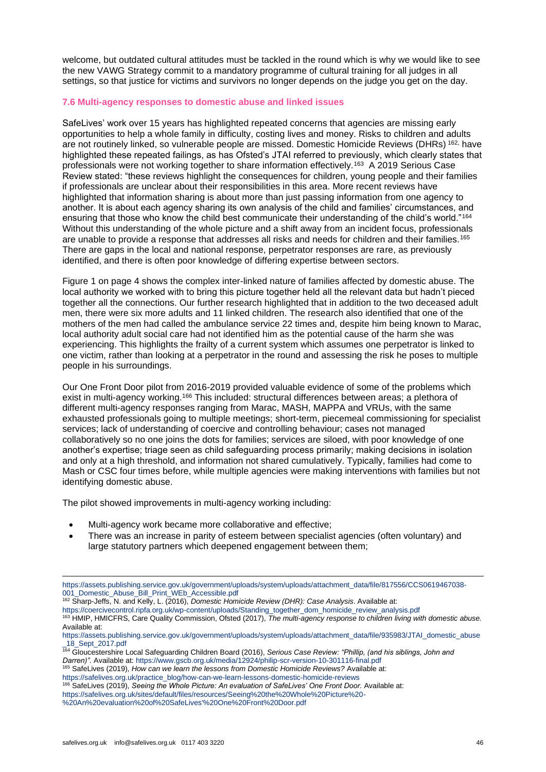welcome, but outdated cultural attitudes must be tackled in the round which is why we would like to see the new VAWG Strategy commit to a mandatory programme of cultural training for all judges in all settings, so that justice for victims and survivors no longer depends on the judge you get on the day.

# **7.6 Multi-agency responses to domestic abuse and linked issues**

SafeLives' work over 15 years has highlighted repeated concerns that agencies are missing early opportunities to help a whole family in difficulty, costing lives and money. Risks to children and adults are not routinely linked, so vulnerable people are missed. Domestic Homicide Reviews (DHRs) 162, have highlighted these repeated failings, as has Ofsted's JTAI referred to previously, which clearly states that professionals were not working together to share information effectively.<sup>163</sup> A 2019 Serious Case Review stated: "these reviews highlight the consequences for children, young people and their families if professionals are unclear about their responsibilities in this area. More recent reviews have highlighted that information sharing is about more than just passing information from one agency to another. It is about each agency sharing its own analysis of the child and families' circumstances, and ensuring that those who know the child best communicate their understanding of the child's world."<sup>164</sup> Without this understanding of the whole picture and a shift away from an incident focus, professionals are unable to provide a response that addresses all risks and needs for children and their families.<sup>165</sup> There are gaps in the local and national response, perpetrator responses are rare, as previously identified, and there is often poor knowledge of differing expertise between sectors.

Figure 1 on page 4 shows the complex inter-linked nature of families affected by domestic abuse. The local authority we worked with to bring this picture together held all the relevant data but hadn't pieced together all the connections. Our further research highlighted that in addition to the two deceased adult men, there were six more adults and 11 linked children. The research also identified that one of the mothers of the men had called the ambulance service 22 times and, despite him being known to Marac, local authority adult social care had not identified him as the potential cause of the harm she was experiencing. This highlights the frailty of a current system which assumes one perpetrator is linked to one victim, rather than looking at a perpetrator in the round and assessing the risk he poses to multiple people in his surroundings.

Our One Front Door pilot from 2016-2019 provided valuable evidence of some of the problems which exist in multi-agency working.<sup>166</sup> This included: structural differences between areas; a plethora of different multi-agency responses ranging from Marac, MASH, MAPPA and VRUs, with the same exhausted professionals going to multiple meetings; short-term, piecemeal commissioning for specialist services; lack of understanding of coercive and controlling behaviour; cases not managed collaboratively so no one joins the dots for families; services are siloed, with poor knowledge of one another's expertise; triage seen as child safeguarding process primarily; making decisions in isolation and only at a high threshold, and information not shared cumulatively. Typically, families had come to Mash or CSC four times before, while multiple agencies were making interventions with families but not identifying domestic abuse.

The pilot showed improvements in multi-agency working including:

- Multi-agency work became more collaborative and effective;
- There was an increase in parity of esteem between specialist agencies (often voluntary) and large statutory partners which deepened engagement between them;

[https://coercivecontrol.ripfa.org.uk/wp-content/uploads/Standing\\_together\\_dom\\_homicide\\_review\\_analysis.pdf](https://coercivecontrol.ripfa.org.uk/wp-content/uploads/Standing_together_dom_homicide_review_analysis.pdf) <sup>163</sup> HMIP, HMICFRS, Care Quality Commission, Ofsted (2017), *The multi-agency response to children living with domestic abuse.*  Available at:

<sup>165</sup> SafeLives (2019), *How can we learn the lessons from Domestic Homicide Reviews?* Available at:

[https://safelives.org.uk/practice\\_blog/how-can-we-learn-lessons-domestic-homicide-reviews](https://safelives.org.uk/practice_blog/how-can-we-learn-lessons-domestic-homicide-reviews)

<sup>166</sup> SafeLives (2019), *Seeing the Whole Picture: An evaluation of SafeLives' One Front Door.* Available at: [https://safelives.org.uk/sites/default/files/resources/Seeing%20the%20Whole%20Picture%20-](https://safelives.org.uk/sites/default/files/resources/Seeing%20the%20Whole%20Picture%20-%20An%20evaluation%20of%20SafeLives) [%20An%20evaluation%20of%20SafeLives'%20One%20Front%20Door.pdf](https://safelives.org.uk/sites/default/files/resources/Seeing%20the%20Whole%20Picture%20-%20An%20evaluation%20of%20SafeLives)

[https://assets.publishing.service.gov.uk/government/uploads/system/uploads/attachment\\_data/file/817556/CCS0619467038-](https://assets.publishing.service.gov.uk/government/uploads/system/uploads/attachment_data/file/817556/CCS0619467038-001_Domestic_Abuse_Bill_Print_WEb_Accessible.pdf) [001\\_Domestic\\_Abuse\\_Bill\\_Print\\_WEb\\_Accessible.pdf](https://assets.publishing.service.gov.uk/government/uploads/system/uploads/attachment_data/file/817556/CCS0619467038-001_Domestic_Abuse_Bill_Print_WEb_Accessible.pdf)

<sup>162</sup> Sharp-Jeffs, N. and Kelly, L. (2016), *Domestic Homicide Review (DHR): Case Analysis*. Available at:

[https://assets.publishing.service.gov.uk/government/uploads/system/uploads/attachment\\_data/file/935983/JTAI\\_domestic\\_abuse](https://assets.publishing.service.gov.uk/government/uploads/system/uploads/attachment_data/file/935983/JTAI_domestic_abuse_18_Sept_2017.pdf) [\\_18\\_Sept\\_2017.pdf](https://assets.publishing.service.gov.uk/government/uploads/system/uploads/attachment_data/file/935983/JTAI_domestic_abuse_18_Sept_2017.pdf)

<sup>164</sup> Gloucestershire Local Safeguarding Children Board (2016), *Serious Case Review: "Phillip, (and his siblings, John and Darren)".* Available at: <https://www.gscb.org.uk/media/12924/philip-scr-version-10-301116-final.pdf>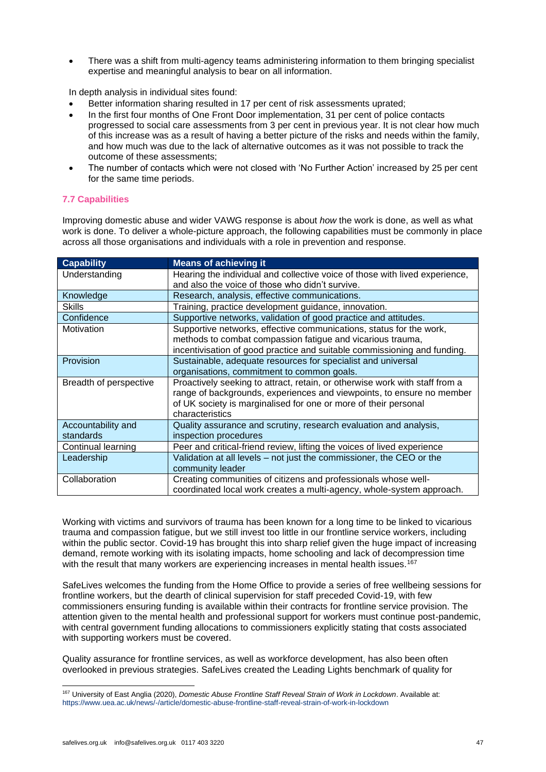• There was a shift from multi-agency teams administering information to them bringing specialist expertise and meaningful analysis to bear on all information.

In depth analysis in individual sites found:

- Better information sharing resulted in 17 per cent of risk assessments uprated;
- In the first four months of One Front Door implementation, 31 per cent of police contacts progressed to social care assessments from 3 per cent in previous year. It is not clear how much of this increase was as a result of having a better picture of the risks and needs within the family, and how much was due to the lack of alternative outcomes as it was not possible to track the outcome of these assessments;
- The number of contacts which were not closed with 'No Further Action' increased by 25 per cent for the same time periods.

# **7.7 Capabilities**

Improving domestic abuse and wider VAWG response is about *how* the work is done, as well as what work is done. To deliver a whole-picture approach, the following capabilities must be commonly in place across all those organisations and individuals with a role in prevention and response.

| <b>Capability</b>      | <b>Means of achieving it</b>                                                |
|------------------------|-----------------------------------------------------------------------------|
| Understanding          | Hearing the individual and collective voice of those with lived experience, |
|                        | and also the voice of those who didn't survive.                             |
| Knowledge              | Research, analysis, effective communications.                               |
| <b>Skills</b>          | Training, practice development guidance, innovation.                        |
| Confidence             | Supportive networks, validation of good practice and attitudes.             |
| Motivation             | Supportive networks, effective communications, status for the work,         |
|                        | methods to combat compassion fatigue and vicarious trauma,                  |
|                        | incentivisation of good practice and suitable commissioning and funding.    |
| Provision              | Sustainable, adequate resources for specialist and universal                |
|                        | organisations, commitment to common goals.                                  |
| Breadth of perspective | Proactively seeking to attract, retain, or otherwise work with staff from a |
|                        | range of backgrounds, experiences and viewpoints, to ensure no member       |
|                        | of UK society is marginalised for one or more of their personal             |
|                        | characteristics                                                             |
| Accountability and     | Quality assurance and scrutiny, research evaluation and analysis,           |
| standards              | inspection procedures                                                       |
| Continual learning     | Peer and critical-friend review, lifting the voices of lived experience     |
| Leadership             | Validation at all levels – not just the commissioner, the CEO or the        |
|                        | community leader                                                            |
| Collaboration          | Creating communities of citizens and professionals whose well-              |
|                        | coordinated local work creates a multi-agency, whole-system approach.       |

Working with victims and survivors of trauma has been known for a long time to be linked to vicarious trauma and compassion fatigue, but we still invest too little in our frontline service workers, including within the public sector. Covid-19 has brought this into sharp relief given the huge impact of increasing demand, remote working with its isolating impacts, home schooling and lack of decompression time with the result that many workers are experiencing increases in mental health issues.<sup>167</sup>

SafeLives welcomes the funding from the Home Office to provide a series of free wellbeing sessions for frontline workers, but the dearth of clinical supervision for staff preceded Covid-19, with few commissioners ensuring funding is available within their contracts for frontline service provision. The attention given to the mental health and professional support for workers must continue post-pandemic, with central government funding allocations to commissioners explicitly stating that costs associated with supporting workers must be covered.

Quality assurance for frontline services, as well as workforce development, has also been often overlooked in previous strategies. SafeLives created the Leading Lights benchmark of quality for

<sup>167</sup> University of East Anglia (2020), *Domestic Abuse Frontline Staff Reveal Strain of Work in Lockdown*. Available at: <https://www.uea.ac.uk/news/-/article/domestic-abuse-frontline-staff-reveal-strain-of-work-in-lockdown>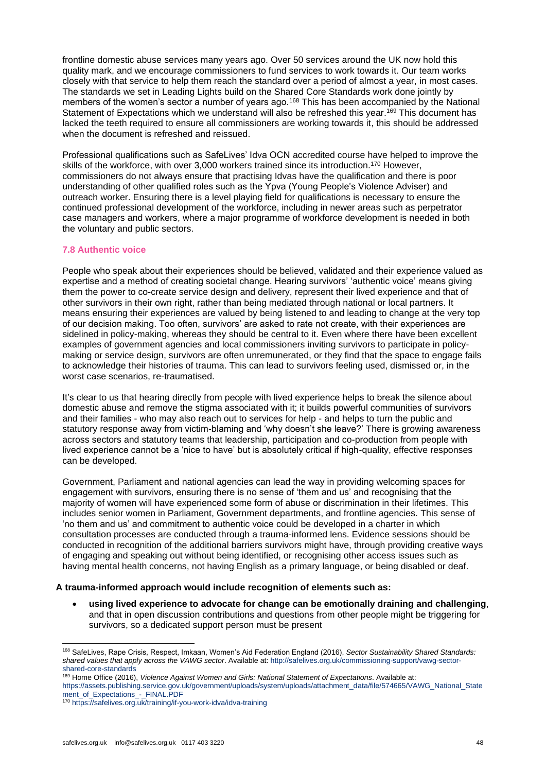frontline domestic abuse services many years ago. Over 50 services around the UK now hold this quality mark, and we encourage commissioners to fund services to work towards it. Our team works closely with that service to help them reach the standard over a period of almost a year, in most cases. The standards we set in Leading Lights build on the Shared Core Standards work done jointly by members of the women's sector a number of years ago.<sup>168</sup> This has been accompanied by the National Statement of Expectations which we understand will also be refreshed this year.<sup>169</sup> This document has lacked the teeth required to ensure all commissioners are working towards it, this should be addressed when the document is refreshed and reissued.

Professional qualifications such as SafeLives' Idva OCN accredited course have helped to improve the skills of the workforce, with over 3,000 workers trained since its introduction.<sup>170</sup> However, commissioners do not always ensure that practising Idvas have the qualification and there is poor understanding of other qualified roles such as the Ypva (Young People's Violence Adviser) and outreach worker. Ensuring there is a level playing field for qualifications is necessary to ensure the continued professional development of the workforce, including in newer areas such as perpetrator case managers and workers, where a major programme of workforce development is needed in both the voluntary and public sectors.

# **7.8 Authentic voice**

People who speak about their experiences should be believed, validated and their experience valued as expertise and a method of creating societal change. Hearing survivors' 'authentic voice' means giving them the power to co-create service design and delivery, represent their lived experience and that of other survivors in their own right, rather than being mediated through national or local partners. It means ensuring their experiences are valued by being listened to and leading to change at the very top of our decision making. Too often, survivors' are asked to rate not create, with their experiences are sidelined in policy-making, whereas they should be central to it. Even where there have been excellent examples of government agencies and local commissioners inviting survivors to participate in policymaking or service design, survivors are often unremunerated, or they find that the space to engage fails to acknowledge their histories of trauma. This can lead to survivors feeling used, dismissed or, in the worst case scenarios, re-traumatised.

It's clear to us that hearing directly from people with lived experience helps to break the silence about domestic abuse and remove the stigma associated with it; it builds powerful communities of survivors and their families - who may also reach out to services for help - and helps to turn the public and statutory response away from victim-blaming and 'why doesn't she leave?' There is growing awareness across sectors and statutory teams that leadership, participation and co-production from people with lived experience cannot be a 'nice to have' but is absolutely critical if high-quality, effective responses can be developed.

Government, Parliament and national agencies can lead the way in providing welcoming spaces for engagement with survivors, ensuring there is no sense of 'them and us' and recognising that the majority of women will have experienced some form of abuse or discrimination in their lifetimes. This includes senior women in Parliament, Government departments, and frontline agencies. This sense of 'no them and us' and commitment to authentic voice could be developed in a charter in which consultation processes are conducted through a trauma-informed lens. Evidence sessions should be conducted in recognition of the additional barriers survivors might have, through providing creative ways of engaging and speaking out without being identified, or recognising other access issues such as having mental health concerns, not having English as a primary language, or being disabled or deaf.

# **A trauma-informed approach would include recognition of elements such as:**

• **using lived experience to advocate for change can be emotionally draining and challenging**, and that in open discussion contributions and questions from other people might be triggering for survivors, so a dedicated support person must be present

[https://assets.publishing.service.gov.uk/government/uploads/system/uploads/attachment\\_data/file/574665/VAWG\\_National\\_State](https://assets.publishing.service.gov.uk/government/uploads/system/uploads/attachment_data/file/574665/VAWG_National_Statement_of_Expectations_-_FINAL.PDF) [ment\\_of\\_Expectations\\_-\\_FINAL.PDF](https://assets.publishing.service.gov.uk/government/uploads/system/uploads/attachment_data/file/574665/VAWG_National_Statement_of_Expectations_-_FINAL.PDF)

<sup>168</sup> SafeLives, Rape Crisis, Respect, Imkaan, Women's Aid Federation England (2016), *Sector Sustainability Shared Standards: shared values that apply across the VAWG sector*. Available at: [http://safelives.org.uk/commissioning-support/vawg-sector](http://safelives.org.uk/commissioning-support/vawg-sector-shared-core-standards)[shared-core-standards](http://safelives.org.uk/commissioning-support/vawg-sector-shared-core-standards)

<sup>169</sup> Home Office (2016), *Violence Against Women and Girls: National Statement of Expectations*. Available at:

<sup>170</sup> <https://safelives.org.uk/training/if-you-work-idva/idva-training>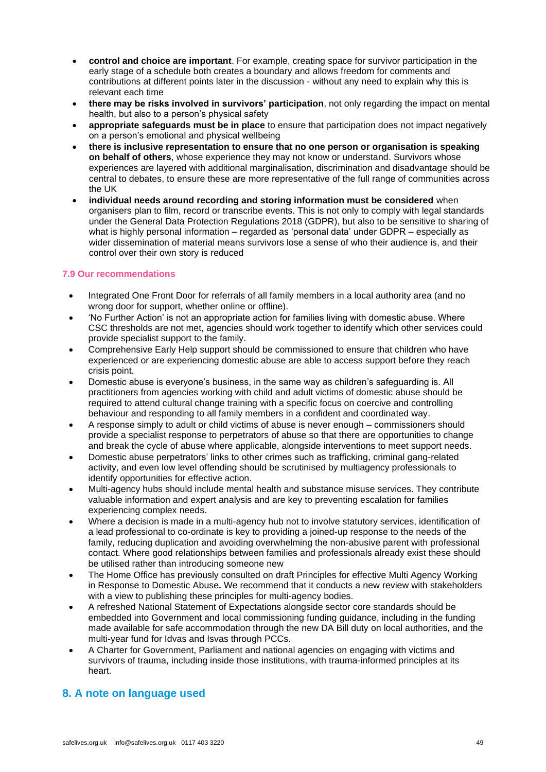- **control and choice are important**. For example, creating space for survivor participation in the early stage of a schedule both creates a boundary and allows freedom for comments and contributions at different points later in the discussion - without any need to explain why this is relevant each time
- **there may be risks involved in survivors' participation**, not only regarding the impact on mental health, but also to a person's physical safety
- **appropriate safeguards must be in place** to ensure that participation does not impact negatively on a person's emotional and physical wellbeing
- **there is inclusive representation to ensure that no one person or organisation is speaking on behalf of others**, whose experience they may not know or understand. Survivors whose experiences are layered with additional marginalisation, discrimination and disadvantage should be central to debates, to ensure these are more representative of the full range of communities across the UK
- **individual needs around recording and storing information must be considered** when organisers plan to film, record or transcribe events. This is not only to comply with legal standards under the General Data Protection Regulations 2018 (GDPR), but also to be sensitive to sharing of what is highly personal information – regarded as 'personal data' under GDPR – especially as wider dissemination of material means survivors lose a sense of who their audience is, and their control over their own story is reduced

# **7.9 Our recommendations**

- Integrated One Front Door for referrals of all family members in a local authority area (and no wrong door for support, whether online or offline).
- 'No Further Action' is not an appropriate action for families living with domestic abuse. Where CSC thresholds are not met, agencies should work together to identify which other services could provide specialist support to the family.
- Comprehensive Early Help support should be commissioned to ensure that children who have experienced or are experiencing domestic abuse are able to access support before they reach crisis point.
- Domestic abuse is everyone's business, in the same way as children's safeguarding is. All practitioners from agencies working with child and adult victims of domestic abuse should be required to attend cultural change training with a specific focus on coercive and controlling behaviour and responding to all family members in a confident and coordinated way.
- A response simply to adult or child victims of abuse is never enough commissioners should provide a specialist response to perpetrators of abuse so that there are opportunities to change and break the cycle of abuse where applicable, alongside interventions to meet support needs.
- Domestic abuse perpetrators' links to other crimes such as trafficking, criminal gang-related activity, and even low level offending should be scrutinised by multiagency professionals to identify opportunities for effective action.
- Multi-agency hubs should include mental health and substance misuse services. They contribute valuable information and expert analysis and are key to preventing escalation for families experiencing complex needs.
- Where a decision is made in a multi-agency hub not to involve statutory services, identification of a lead professional to co-ordinate is key to providing a joined-up response to the needs of the family, reducing duplication and avoiding overwhelming the non-abusive parent with professional contact. Where good relationships between families and professionals already exist these should be utilised rather than introducing someone new
- The Home Office has previously consulted on draft Principles for effective Multi Agency Working in Response to Domestic Abuse**.** We recommend that it conducts a new review with stakeholders with a view to publishing these principles for multi-agency bodies.
- A refreshed National Statement of Expectations alongside sector core standards should be embedded into Government and local commissioning funding guidance, including in the funding made available for safe accommodation through the new DA Bill duty on local authorities, and the multi-year fund for Idvas and Isvas through PCCs.
- A Charter for Government, Parliament and national agencies on engaging with victims and survivors of trauma, including inside those institutions, with trauma-informed principles at its heart.

# **8. A note on language used**